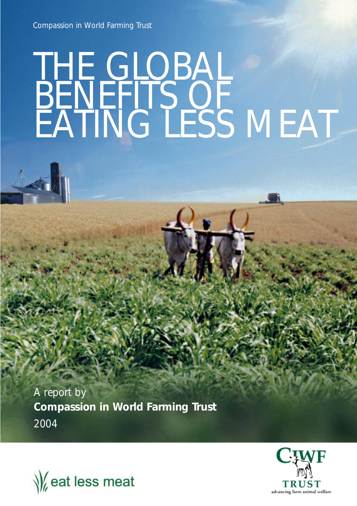Compassion in World Farming Trust

# THE GLOBAL **BENEFITS OF** EATING LESS MEAT

A report by **Compassion in World Farming Trust**  2004



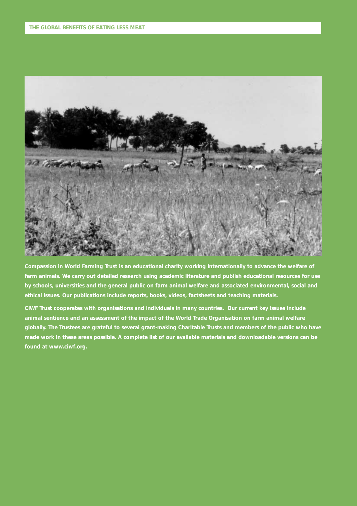

**Compassion in World Farming Trust is an educational charity working internationally to advance the welfare of farm animals. We carry out detailed research using academic literature and publish educational resources for use by schools, universities and the general public on farm animal welfare and associated environmental, social and ethical issues. Our publications include reports, books, videos, factsheets and teaching materials.**

**CIWF Trust cooperates with organisations and individuals in many countries. Our current key issues include animal sentience and an assessment of the impact of the World Trade Organisation on farm animal welfare globally. The Trustees are grateful to several grant-making Charitable Trusts and members of the public who have made work in these areas possible. A complete list of our available materials and downloadable versions can be found at www.ciwf.org.**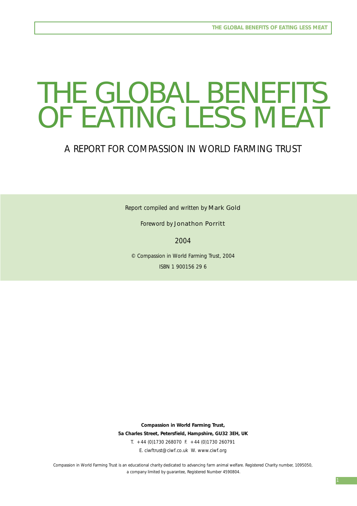# THE GLOBAL BENEFITS OF EATING LESS MEAT

### A REPORT FOR COMPASSION IN WORLD FARMING TRUST

Report compiled and written by Mark Gold

Foreword by Jonathon Porritt

2004

© Compassion in World Farming Trust, 2004 ISBN 1 900156 29 6

**Compassion in World Farming Trust, 5a Charles Street, Petersfield, Hampshire, GU32 3EH, UK** T. +44 (0)1730 268070 F. +44 (0)1730 260791 E. ciwftrust@ciwf.co.uk W. www.ciwf.org

Compassion in World Farming Trust is an educational charity dedicated to advancing farm animal welfare. Registered Charity number, 1095050, a company limited by guarantee, Registered Number 4590804.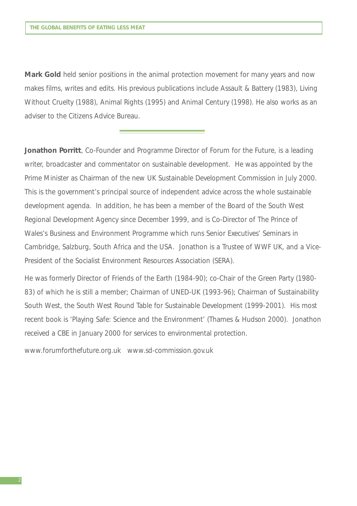**Mark Gold** held senior positions in the animal protection movement for many years and now makes films, writes and edits. His previous publications include Assault & Battery (1983), Living Without Cruelty (1988), Animal Rights (1995) and Animal Century (1998). He also works as an adviser to the Citizens Advice Bureau.

**Jonathon Porritt**, Co-Founder and Programme Director of Forum for the Future, is a leading writer, broadcaster and commentator on sustainable development. He was appointed by the Prime Minister as Chairman of the new UK Sustainable Development Commission in July 2000. This is the government's principal source of independent advice across the whole sustainable development agenda. In addition, he has been a member of the Board of the South West Regional Development Agency since December 1999, and is Co-Director of The Prince of Wales's Business and Environment Programme which runs Senior Executives' Seminars in Cambridge, Salzburg, South Africa and the USA. Jonathon is a Trustee of WWF UK, and a Vice-President of the Socialist Environment Resources Association (SERA).

He was formerly Director of Friends of the Earth (1984-90); co-Chair of the Green Party (1980- 83) of which he is still a member; Chairman of UNED-UK (1993-96); Chairman of Sustainability South West, the South West Round Table for Sustainable Development (1999-2001). His most recent book is 'Playing Safe: Science and the Environment' (Thames & Hudson 2000). Jonathon received a CBE in January 2000 for services to environmental protection.

www.forumforthefuture.org.uk www.sd-commission.gov.uk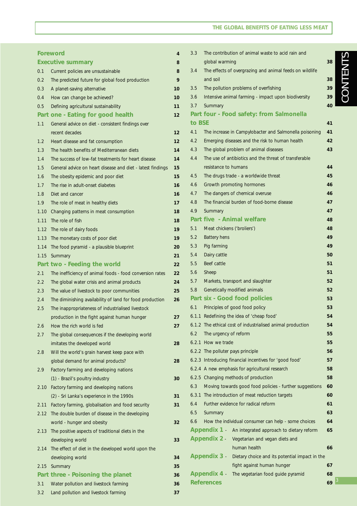#### **THE GLOBAL BENEFITS OF EATING LESS MEAT**

| Foreword                 |                                                            | 4  | 3.3    | The contribution of animal waste to acid rain and            |    |
|--------------------------|------------------------------------------------------------|----|--------|--------------------------------------------------------------|----|
| <b>Executive summary</b> |                                                            | 8  |        | global warming                                               | 38 |
| 0.1                      | Current policies are unsustainable                         | 8  | 3.4    | The effects of overgrazing and animal feeds on wildlife      |    |
| 0.2                      | The predicted future for global food production            | 9  |        | and soil                                                     | 38 |
| 0.3                      | A planet-saving alternative                                | 10 | 3.5    | The pollution problems of overfishing                        | 39 |
| 0.4                      | How can change be achieved?                                | 10 | 3.6    | Intensive animal farming - impact upon biodiversity          | 39 |
| 0.5                      | Defining agricultural sustainability                       | 11 | 3.7    | Summary                                                      | 40 |
|                          | Part one - Eating for good health                          | 12 |        | Part four - Food safety: from Salmonella                     |    |
| 1.1                      | General advice on diet - consistent findings over          |    | to BSE |                                                              | 41 |
|                          | recent decades                                             | 12 | 4.1    | The increase in Campylobacter and Salmonella poisoning       | 41 |
| 1.2                      | Heart disease and fat consumption                          | 12 | 4.2    | Emerging diseases and the risk to human health               | 42 |
| 1.3                      | The health benefits of Mediterranean diets                 | 14 | 4.3    | The global problem of animal diseases                        | 43 |
| 1.4                      | The success of low-fat treatments for heart disease        | 14 | 4.4    | The use of antibiotics and the threat of transferable        |    |
| 1.5                      | General advice on heart disease and diet - latest findings | 15 |        | resistance to humans                                         | 44 |
| 1.6                      | The obesity epidemic and poor diet                         | 15 | 4.5    | The drugs trade - a worldwide threat                         | 45 |
| 1.7                      | The rise in adult-onset diabetes                           | 16 | 4.6    | Growth promoting hormones                                    | 46 |
| 1.8                      | Diet and cancer                                            | 16 | 4.7    | The dangers of chemical overuse                              | 46 |
| 1.9                      | The role of meat in healthy diets                          | 17 | 4.8    | The financial burden of food-borne disease                   | 47 |
| 1.10                     | Changing patterns in meat consumption                      | 18 | 4.9    | Summary                                                      | 47 |
| 1.11                     | The role of fish                                           | 18 |        | Part five - Animal welfare                                   | 48 |
| 1.12                     | The role of dairy foods                                    | 19 | 5.1    | Meat chickens ('broliers')                                   | 48 |
| 1.13                     | The monetary costs of poor diet                            | 19 | 5.2    | <b>Battery hens</b>                                          | 49 |
|                          | 1.14 The food pyramid - a plausible blueprint              | 20 | 5.3    | Pig farming                                                  | 49 |
| 1.15                     | Summary                                                    | 21 | 5.4    | Dairy cattle                                                 | 50 |
|                          | Part two - Feeding the world                               | 22 | 5.5    | Beef cattle                                                  | 51 |
| 2.1                      | The inefficiency of animal foods - food conversion rates   | 22 | 5.6    | Sheep                                                        | 51 |
| 2.2                      | The global water crisis and animal products                | 24 | 5.7    | Markets, transport and slaughter                             | 52 |
| 2.3                      | The value of livestock to poor communities                 | 25 | 5.8    | Genetically modified animals                                 | 52 |
| 2.4                      | The diminishing availability of land for food production   | 26 |        | Part six - Good food policies                                | 53 |
| 2.5                      | The inappropriateness of industrialised livestock          |    | 6.1    | Principles of good food policy                               | 53 |
|                          | production in the fight against human hunger               | 27 |        | 6.1.1 Redefining the idea of 'cheap food'                    | 54 |
| 2.6                      | How the rich world is fed                                  | 27 |        | 6.1.2 The ethical cost of industrialised animal production   | 54 |
| 2.7                      | The global consequences if the developing world            |    | 6.2    | The urgency of reform                                        | 55 |
|                          | imitates the developed world                               | 28 |        | 6.2.1 How we trade                                           | 55 |
| 2.8                      | Will the world's grain harvest keep pace with              |    |        | 6.2.2 The polluter pays principle                            | 56 |
|                          | global demand for animal products?                         | 28 |        | 6.2.3 Introducing financial incentives for 'good food'       | 57 |
| 2.9                      | Factory farming and developing nations                     |    |        | 6.2.4 A new emphasis for agricultural research               | 58 |
|                          | (1) - Brazil's poultry industry                            | 30 |        | 6.2.5 Changing methods of production                         | 58 |
| 2.10                     | Factory farming and developing nations                     |    | 6.3    | Moving towards good food policies - further suggestions      | 60 |
|                          | (2) - Sri Lanka's experience in the 1990s                  | 31 |        | 6.3.1 The introduction of meat reduction targets             | 60 |
| 2.11                     | Factory farming, globalisation and food security           | 31 | 6.4    | Further evidence for radical reform                          | 61 |
| 2.12                     | The double burden of disease in the developing             |    | 6.5    | Summary                                                      | 63 |
|                          | world - hunger and obesity                                 | 32 | 6.6    | How the individual consumer can help - some choices          | 64 |
|                          | 2.13 The positive aspects of traditional diets in the      |    |        | Appendix 1 - An integrated approach to dietary reform        | 65 |
|                          | developing world                                           | 33 |        | <b>Appendix 2 -</b><br>Vegetarian and vegan diets and        |    |
|                          | 2.14 The effect of diet in the developed world upon the    |    |        | human health                                                 | 66 |
|                          | developing world                                           | 34 |        | Appendix 3<br>Dietary choice and its potential impact in the |    |
| 2.15                     | Summary                                                    | 35 |        | fight against human hunger                                   | 67 |
|                          | Part three - Poisoning the planet                          | 36 |        | Appendix 4 -<br>The vegetarian food guide pyramid            | 68 |
| 3.1                      | Water pollution and livestock farming                      | 36 |        | <b>References</b>                                            | 69 |
| 3.2                      | Land pollution and livestock farming                       | 37 |        |                                                              |    |

# CONTENTS CONTENTS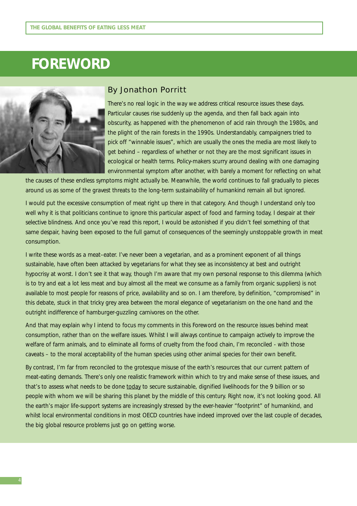## **FOREWORD**



#### By Jonathon Porritt

There's no real logic in the way we address critical resource issues these days. Particular causes rise suddenly up the agenda, and then fall back again into obscurity, as happened with the phenomenon of acid rain through the 1980s, and the plight of the rain forests in the 1990s. Understandably, campaigners tried to pick off "winnable issues", which are usually the ones the media are most likely to get behind – regardless of whether or not they are the most significant issues in ecological or health terms. Policy-makers scurry around dealing with one damaging environmental symptom after another, with barely a moment for reflecting on what

the causes of these endless symptoms might actually be. Meanwhile, the world continues to fall gradually to pieces around us as some of the gravest threats to the long-term sustainability of humankind remain all but ignored.

I would put the excessive consumption of meat right up there in that category. And though I understand only too well why it is that politicians continue to ignore this particular aspect of food and farming today, I despair at their selective blindness. And once you've read this report, I would be astonished if you didn't feel something of that same despair, having been exposed to the full gamut of consequences of the seemingly unstoppable growth in meat consumption.

I write these words as a meat–eater. I've never been a vegetarian, and as a prominent exponent of all things sustainable, have often been attacked by vegetarians for what they see as inconsistency at best and outright hypocrisy at worst. I don't see it that way, though I'm aware that my own personal response to this dilemma (which is to try and eat a lot less meat and buy almost all the meat we consume as a family from organic suppliers) is not available to most people for reasons of price, availability and so on. I am therefore, by definition, "compromised" in this debate, stuck in that tricky grey area between the moral elegance of vegetarianism on the one hand and the outright indifference of hamburger-guzzling carnivores on the other.

And that may explain why I intend to focus my comments in this Foreword on the resource issues behind meat consumption, rather than on the welfare issues. Whilst I will always continue to campaign actively to improve the welfare of farm animals, and to eliminate all forms of cruelty from the food chain, I'm reconciled - with those caveats – to the moral acceptability of the human species using other animal species for their own benefit.

By contrast, I'm far from reconciled to the grotesque misuse of the earth's resources that our current pattern of meat-eating demands. There's only one realistic framework within which to try and make sense of these issues, and that's to assess what needs to be done today to secure sustainable, dignified livelihoods for the 9 billion or so people with whom we will be sharing this planet by the middle of this century. Right now, it's not looking good. All the earth's major life-support systems are increasingly stressed by the ever-heavier "footprint" of humankind, and whilst local environmental conditions in most OECD countries have indeed improved over the last couple of decades, the big global resource problems just go on getting worse.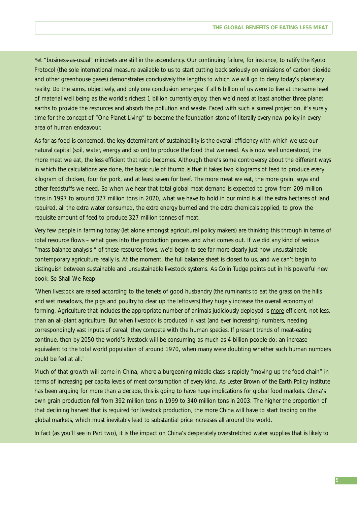Yet "business-as-usual" mindsets are still in the ascendancy. Our continuing failure, for instance, to ratify the Kyoto Protocol (the sole international measure available to us to start cutting back seriously on emissions of carbon dioxide and other greenhouse gases) demonstrates conclusively the lengths to which we will go to deny today's planetary reality. Do the sums, objectively, and only one conclusion emerges: if all 6 billion of us were to live at the same level of material well being as the world's richest 1 billion currently enjoy, then we'd need at least another three planet earths to provide the resources and absorb the pollution and waste. Faced with such a surreal projection, it's surely time for the concept of "One Planet Living" to become the foundation stone of literally every new policy in every area of human endeavour.

As far as food is concerned, the key determinant of sustainability is the overall efficiency with which we use our natural capital (soil, water, energy and so on) to produce the food that we need. As is now well understood, the more meat we eat, the less efficient that ratio becomes. Although there's some controversy about the different ways in which the calculations are done, the basic rule of thumb is that it takes two kilograms of feed to produce every kilogram of chicken, four for pork, and at least seven for beef. The more meat we eat, the more grain, soya and other feedstuffs we need. So when we hear that total global meat demand is expected to grow from 209 million tons in 1997 to around 327 million tons in 2020, what we have to hold in our mind is all the extra hectares of land required, all the extra water consumed, the extra energy burned and the extra chemicals applied, to grow the requisite amount of feed to produce 327 million tonnes of meat.

Very few people in farming today (let alone amongst agricultural policy makers) are thinking this through in terms of total resource flows – what goes into the production process and what comes out. If we did any kind of serious "mass balance analysis " of these resource flows, we'd begin to see far more clearly just how unsustainable contemporary agriculture really is. At the moment, the full balance sheet is closed to us, and we can't begin to distinguish between sustainable and unsustainable livestock systems. As Colin Tudge points out in his powerful new book, *So Shall We Reap*:

'When livestock are raised according to the tenets of good husbandry (the ruminants to eat the grass on the hills and wet meadows, the pigs and poultry to clear up the leftovers) they hugely increase the overall economy of farming. Agriculture that includes the appropriate number of animals judiciously deployed is more efficient, not less, than an all-plant agriculture. But when livestock is produced in vast (and ever increasing) numbers, needing correspondingly vast inputs of cereal, they compete with the human species. If present trends of meat-eating continue, then by 2050 the world's livestock will be consuming as much as 4 billion people do: an increase equivalent to the total world population of around 1970, when many were doubting whether such human numbers could be fed at all.'

Much of that growth will come in China, where a burgeoning middle class is rapidly "moving up the food chain" in terms of increasing per capita levels of meat consumption of every kind. As Lester Brown of the Earth Policy Institute has been arguing for more than a decade, this is going to have huge implications for global food markets. China's own grain production fell from 392 million tons in 1999 to 340 million tons in 2003. The higher the proportion of that declining harvest that is required for livestock production, the more China will have to start trading on the global markets, which must inevitably lead to substantial price increases all around the world.

In fact (as you'll see in Part two), it is the impact on China's desperately overstretched water supplies that is likely to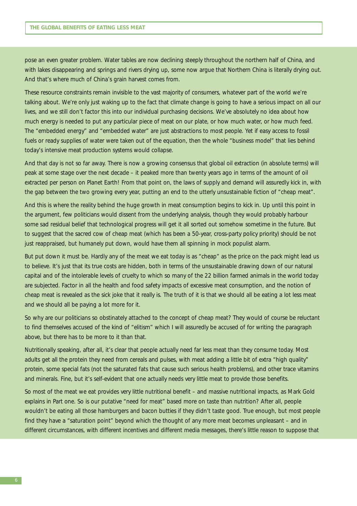pose an even greater problem. Water tables are now declining steeply throughout the northern half of China, and with lakes disappearing and springs and rivers drying up, some now argue that Northern China is literally drying out. And that's where much of China's grain harvest comes from.

These resource constraints remain invisible to the vast majority of consumers, whatever part of the world we're talking about. We're only just waking up to the fact that climate change is going to have a serious impact on all our lives, and we still don't factor this into our individual purchasing decisions. We've absolutely no idea about how much energy is needed to put any particular piece of meat on our plate, or how much water, or how much feed. The "embedded energy" and "embedded water" are just abstractions to most people. Yet if easy access to fossil fuels or ready supplies of water were taken out of the equation, then the whole "business model" that lies behind today's intensive meat production systems would collapse.

And that day is not so far away. There is now a growing consensus that global oil extraction (in absolute terms) will peak at some stage over the next decade – it peaked more than twenty years ago in terms of the amount of oil extracted per person on Planet Earth! From that point on, the laws of supply and demand will assuredly kick in, with the gap between the two growing every year, putting an end to the utterly unsustainable fiction of "cheap meat".

And this is where the reality behind the huge growth in meat consumption begins to kick in. Up until this point in the argument, few politicians would dissent from the underlying analysis, though they would probably harbour some sad residual belief that technological progress will get it all sorted out somehow sometime in the future. But to suggest that the sacred cow of cheap meat (which has been a 50-year, cross-party policy priority) should be not just reappraised, but humanely put down, would have them all spinning in mock populist alarm.

But put down it must be. Hardly any of the meat we eat today is as "cheap" as the price on the pack might lead us to believe. It's just that its true costs are hidden, both in terms of the unsustainable drawing down of our natural capital and of the intolerable levels of cruelty to which so many of the 22 billion farmed animals in the world today are subjected. Factor in all the health and food safety impacts of excessive meat consumption, and the notion of cheap meat is revealed as the sick joke that it really is. The truth of it is that we should all be eating a lot less meat and we should all be paying a lot more for it.

So why are our politicians so obstinately attached to the concept of cheap meat? They would of course be reluctant to find themselves accused of the kind of "elitism" which I will assuredly be accused of for writing the paragraph above, but there has to be more to it than that.

Nutritionally speaking, after all, it's clear that people actually need far less meat than they consume today. Most adults get all the protein they need from cereals and pulses, with meat adding a little bit of extra "high quality" protein, some special fats (not the saturated fats that cause such serious health problems), and other trace vitamins and minerals. Fine, but it's self-evident that one actually needs very little meat to provide those benefits.

So most of the meat we eat provides very little nutritional benefit – and massive nutritional impacts, as Mark Gold explains in Part one. So is our putative "need for meat" based more on taste than nutrition? After all, people wouldn't be eating all those hamburgers and bacon butties if they didn't taste good. True enough, but most people find they have a "saturation point" beyond which the thought of any more meat becomes unpleasant – and in different circumstances, with different incentives and different media messages, there's little reason to suppose that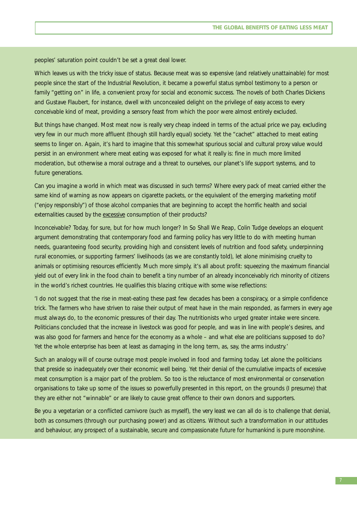peoples' saturation point couldn't be set a great deal lower.

Which leaves us with the tricky issue of status. Because meat was so expensive (and relatively unattainable) for most people since the start of the Industrial Revolution, it became a powerful status symbol testimony to a person or family "getting on" in life, a convenient proxy for social and economic success. The novels of both Charles Dickens and Gustave Flaubert, for instance, dwell with unconcealed delight on the privilege of easy access to every conceivable kind of meat, providing a sensory feast from which the poor were almost entirely excluded.

But things have changed. Most meat now is really very cheap indeed in terms of the actual price we pay, excluding very few in our much more affluent (though still hardly equal) society. Yet the "cachet" attached to meat eating seems to linger on. Again, it's hard to imagine that this somewhat spurious social and cultural proxy value would persist in an environment where meat eating was exposed for what it really is: fine in much more limited moderation, but otherwise a moral outrage and a threat to ourselves, our planet's life support systems, and to future generations.

Can you imagine a world in which meat was discussed in such terms? Where every pack of meat carried either the same kind of warning as now appears on cigarette packets, or the equivalent of the emerging marketing motif ("enjoy responsibly") of those alcohol companies that are beginning to accept the horrific health and social externalities caused by the excessive consumption of their products?

Inconceivable? Today, for sure, but for how much longer? In *So Shall We Reap*, Colin Tudge develops an eloquent argument demonstrating that contemporary food and farming policy has very little to do with meeting human needs, guaranteeing food security, providing high and consistent levels of nutrition and food safety, underpinning rural economies, or supporting farmers' livelihoods (as we are constantly told), let alone minimising cruelty to animals or optimising resources efficiently. Much more simply, it's all about profit: squeezing the maximum financial yield out of every link in the food chain to benefit a tiny number of an already inconceivably rich minority of citizens in the world's richest countries. He qualifies this blazing critique with some wise reflections:

'I do not suggest that the rise in meat-eating these past few decades has been a conspiracy, or a simple confidence trick. The farmers who have striven to raise their output of meat have in the main responded, as farmers in every age must always do, to the economic pressures of their day. The nutritionists who urged greater intake were sincere. Politicians concluded that the increase in livestock was good for people, and was in line with people's desires, and was also good for farmers and hence for the economy as a whole – and what else are politicians supposed to do? Yet the whole enterprise has been at least as damaging in the long term, as, say, the arms industry.'

Such an analogy will of course outrage most people involved in food and farming today. Let alone the politicians that preside so inadequately over their economic well being. Yet their denial of the cumulative impacts of excessive meat consumption is a major part of the problem. So too is the reluctance of most environmental or conservation organisations to take up some of the issues so powerfully presented in this report, on the grounds (I presume) that they are either not "winnable" or are likely to cause great offence to their own donors and supporters.

Be you a vegetarian or a conflicted carnivore (such as myself), the very least we can all do is to challenge that denial, both as consumers (through our purchasing power) and as citizens. Without such a transformation in our attitudes and behaviour, any prospect of a sustainable, secure and compassionate future for humankind is pure moonshine.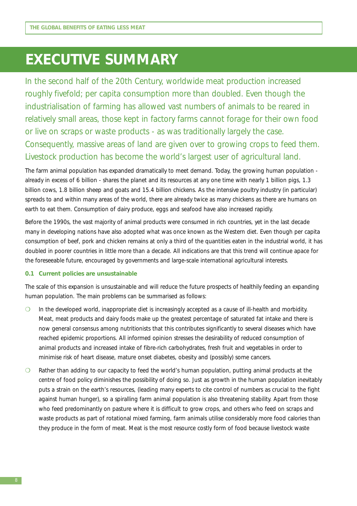## **EXECUTIVE SUMMARY**

In the second half of the 20th Century, worldwide meat production increased roughly fivefold; per capita consumption more than doubled. Even though the industrialisation of farming has allowed vast numbers of animals to be reared in relatively small areas, those kept in factory farms cannot forage for their own food or live on scraps or waste products - as was traditionally largely the case. Consequently, massive areas of land are given over to growing crops to feed them. Livestock production has become the world's largest user of agricultural land.

The farm animal population has expanded dramatically to meet demand. Today, the growing human population already in excess of 6 billion - shares the planet and its resources at any one time with nearly 1 billion pigs, 1.3 billion cows, 1.8 billion sheep and goats and 15.4 billion chickens. As the intensive poultry industry (in particular) spreads to and within many areas of the world, there are already twice as many chickens as there are humans on earth to eat them. Consumption of dairy produce, eggs and seafood have also increased rapidly.

Before the 1990s, the vast majority of animal products were consumed in rich countries, yet in the last decade many in developing nations have also adopted what was once known as the Western diet. Even though per capita consumption of beef, pork and chicken remains at only a third of the quantities eaten in the industrial world, it has doubled in poorer countries in little more than a decade. All indications are that this trend will continue apace for the foreseeable future, encouraged by governments and large-scale international agricultural interests.

#### **0.1 Current policies are unsustainable**

The scale of this expansion is unsustainable and will reduce the future prospects of healthily feeding an expanding human population. The main problems can be summarised as follows:

- ❍ In the developed world, inappropriate diet is increasingly accepted as a cause of ill-health and morbidity. Meat, meat products and dairy foods make up the greatest percentage of saturated fat intake and there is now general consensus among nutritionists that this contributes significantly to several diseases which have reached epidemic proportions. All informed opinion stresses the desirability of reduced consumption of animal products and increased intake of fibre-rich carbohydrates, fresh fruit and vegetables in order to minimise risk of heart disease, mature onset diabetes, obesity and (possibly) some cancers.
- ❍ Rather than adding to our capacity to feed the world's human population, putting animal products at the centre of food policy diminishes the possibility of doing so. Just as growth in the human population inevitably puts a strain on the earth's resources, (leading many experts to cite control of numbers as crucial to the fight against human hunger), so a spiralling farm animal population is also threatening stability. Apart from those who feed predominantly on pasture where it is difficult to grow crops, and others who feed on scraps and waste products as part of rotational mixed farming, farm animals utilise considerably more food calories than they produce in the form of meat. Meat is the most resource costly form of food because livestock waste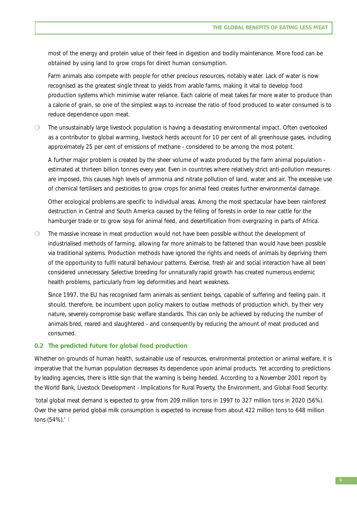most of the energy and protein value of their feed in digestion and bodily maintenance. More food can be obtained by using land to grow crops for direct human consumption.

Farm animals also compete with people for other precious resources, notably water. Lack of water is now recognised as the greatest single threat to yields from arable farms, making it vital to develop food production systems which minimise water reliance. Each calorie of meat takes far more water to produce than a calorie of grain, so one of the simplest ways to increase the ratio of food produced to water consumed is to reduce dependence upon meat.

❍ The unsustainably large livestock population is having a devastating environmental impact. Often overlooked as a contributor to global warming, livestock herds account for 10 per cent of all greenhouse gases, including approximately 25 per cent of emissions of methane - considered to be among the most potent.

A further major problem is created by the sheer volume of waste produced by the farm animal population estimated at thirteen billion tonnes every year. Even in countries where relatively strict anti-pollution measures are imposed, this causes high levels of ammonia and nitrate pollution of land, water and air. The excessive use of chemical fertilisers and pesticides to grow crops for animal feed creates further environmental damage.

Other ecological problems are specific to individual areas. Among the most spectacular have been rainforest destruction in Central and South America caused by the felling of forests in order to rear cattle for the hamburger trade or to grow soya for animal feed, and desertification from overgrazing in parts of Africa.

❍ The massive increase in meat production would not have been possible without the development of industrialised methods of farming, allowing far more animals to be fattened than would have been possible via traditional systems. Production methods have ignored the rights and needs of animals by depriving them of the opportunity to fulfil natural behaviour patterns. Exercise, fresh air and social interaction have all been considered unnecessary. Selective breeding for unnaturally rapid growth has created numerous endemic health problems, particularly from leg deformities and heart weakness.

Since 1997, the EU has recognised farm animals as sentient beings, capable of suffering and feeling pain. It should, therefore, be incumbent upon policy makers to outlaw methods of production which, by their very nature, severely compromise basic welfare standards. This can only be achieved by reducing the number of animals bred, reared and slaughtered - and consequently by reducing the amount of meat produced and consumed.

#### **0.2 The predicted future for global food production**

Whether on grounds of human health, sustainable use of resources, environmental protection or animal welfare, it is imperative that the human population decreases its dependence upon animal products. Yet according to predictions by leading agencies, there is little sign that the warning is being heeded. According to a November 2001 report by the World Bank, *Livestock Development - Implications for Rural Poverty, the Environment, and Global Food Security:*

'total global meat demand is expected to grow from 209 million tons in 1997 to 327 million tons in 2020 (56%). Over the same period global milk consumption is expected to increase from about 422 million tons to 648 million tons (54%).' <sup>1</sup>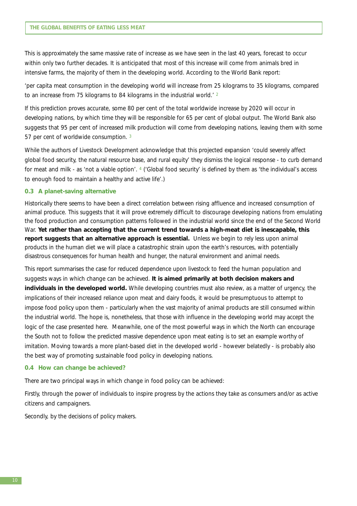This is approximately the same massive rate of increase as we have seen in the last 40 years, forecast to occur within only two further decades. It is anticipated that most of this increase will come from animals bred in intensive farms, the majority of them in the developing world. According to the World Bank report:

'per capita meat consumption in the developing world will increase from 25 kilograms to 35 kilograms, compared to an increase from 75 kilograms to 84 kilograms in the industrial world.<sup>' 2</sup>

If this prediction proves accurate, some 80 per cent of the total worldwide increase by 2020 will occur in developing nations, by which time they will be responsible for 65 per cent of global output. The World Bank also suggests that 95 per cent of increased milk production will come from developing nations, leaving them with some 57 per cent of worldwide consumption. 3

While the authors of *Livestock Development* acknowledge that this projected expansion 'could severely affect global food security, the natural resource base, and rural equity' they dismiss the logical response - to curb demand for meat and milk - as 'not a viable option'. 4 ('Global food security' is defined by them as 'the individual's access to enough food to maintain a healthy and active life'.)

#### **0.3 A planet-saving alternative**

Historically there seems to have been a direct correlation between rising affluence and increased consumption of animal produce. This suggests that it will prove extremely difficult to discourage developing nations from emulating the food production and consumption patterns followed in the industrial world since the end of the Second World War. **Yet rather than accepting that the current trend towards a high-meat diet is inescapable, this report suggests that an alternative approach is essential.** Unless we begin to rely less upon animal products in the human diet we will place a catastrophic strain upon the earth's resources, with potentially disastrous consequences for human health and hunger, the natural environment and animal needs.

This report summarises the case for reduced dependence upon livestock to feed the human population and suggests ways in which change can be achieved. **It is aimed primarily at both decision makers and individuals in the developed world.** While developing countries must also review, as a matter of urgency, the implications of their increased reliance upon meat and dairy foods, it would be presumptuous to attempt to impose food policy upon them - particularly when the vast majority of animal products are still consumed within the industrial world. The hope is, nonetheless, that those with influence in the developing world may accept the logic of the case presented here. Meanwhile, one of the most powerful ways in which the North can encourage the South not to follow the predicted massive dependence upon meat eating is to set an example worthy of imitation. Moving towards a more plant-based diet in the developed world - however belatedly - is probably also the best way of promoting sustainable food policy in developing nations.

#### **0.4 How can change be achieved?**

There are two principal ways in which change in food policy can be achieved:

Firstly, through the power of individuals to inspire progress by the actions they take as consumers and/or as active citizens and campaigners.

Secondly, by the decisions of policy makers.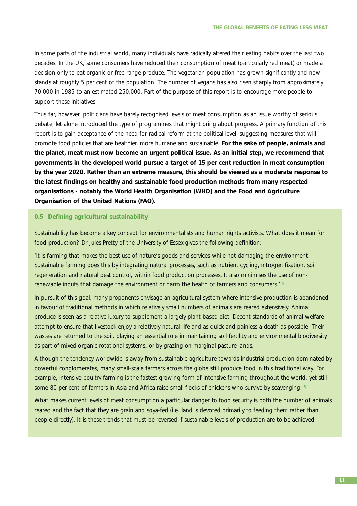In some parts of the industrial world, many individuals have radically altered their eating habits over the last two decades. In the UK, some consumers have reduced their consumption of meat (particularly red meat) or made a decision only to eat organic or free-range produce. The vegetarian population has grown significantly and now stands at roughly 5 per cent of the population. The number of vegans has also risen sharply from approximately 70,000 in 1985 to an estimated 250,000. Part of the purpose of this report is to encourage more people to support these initiatives.

Thus far, however, politicians have barely recognised levels of meat consumption as an issue worthy of serious debate, let alone introduced the type of programmes that might bring about progress. A primary function of this report is to gain acceptance of the need for radical reform at the political level, suggesting measures that will promote food policies that are healthier, more humane and sustainable. **For the sake of people, animals and the planet, meat must now become an urgent political issue. As an initial step, we recommend that governments in the developed world pursue a target of 15 per cent reduction in meat consumption by the year 2020. Rather than an extreme measure, this should be viewed as a moderate response to the latest findings on healthy and sustainable food production methods from many respected organisations - notably the World Health Organisation (WHO) and the Food and Agriculture Organisation of the United Nations (FAO).** 

#### **0.5 Defining agricultural sustainability**

Sustainability has become a key concept for environmentalists and human rights activists. What does it mean for food production? Dr Jules Pretty of the University of Essex gives the following definition:

'It is farming that makes the best use of nature's goods and services while not damaging the environment. Sustainable farming does this by integrating natural processes, such as nutrient cycling, nitrogen fixation, soil regeneration and natural pest control, within food production processes. It also minimises the use of nonrenewable inputs that damage the environment or harm the health of farmers and consumers.' 5

In pursuit of this goal, many proponents envisage an agricultural system where intensive production is abandoned in favour of traditional methods in which relatively small numbers of animals are reared extensively. Animal produce is seen as a relative luxury to supplement a largely plant-based diet. Decent standards of animal welfare attempt to ensure that livestock enjoy a relatively natural life and as quick and painless a death as possible. Their wastes are returned to the soil, playing an essential role in maintaining soil fertility and environmental biodiversity as part of mixed organic rotational systems, or by grazing on marginal pasture lands.

Although the tendency worldwide is away from sustainable agriculture towards industrial production dominated by powerful conglomerates, many small-scale farmers across the globe still produce food in this traditional way. For example, intensive poultry farming is the fastest growing form of intensive farming throughout the world, yet still some 80 per cent of farmers in Asia and Africa raise small flocks of chickens who survive by scavenging. 6

What makes current levels of meat consumption a particular danger to food security is both the number of animals reared and the fact that they are grain and soya-fed (i.e. land is devoted primarily to feeding them rather than people directly). It is these trends that must be reversed if sustainable levels of production are to be achieved.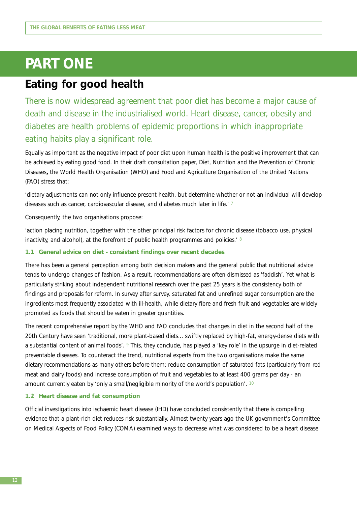## **PART ONE**

### **Eating for good health**

There is now widespread agreement that poor diet has become a major cause of death and disease in the industrialised world. Heart disease, cancer, obesity and diabetes are health problems of epidemic proportions in which inappropriate eating habits play a significant role.

Equally as important as the negative impact of poor diet upon human health is the positive improvement that can be achieved by eating good food. In their draft consultation paper, *Diet, Nutrition and the Prevention of Chronic Diseases***,** the World Health Organisation (WHO) and Food and Agriculture Organisation of the United Nations (FAO) stress that:

'dietary adjustments can not only influence present health, but determine whether or not an individual will develop diseases such as cancer, cardiovascular disease, and diabetes much later in life.' 7

Consequently, the two organisations propose:

'action placing nutrition, together with the other principal risk factors for chronic disease (tobacco use, physical inactivity, and alcohol), at the forefront of public health programmes and policies.<sup>'8</sup>

#### **1.1 General advice on diet - consistent findings over recent decades**

There has been a general perception among both decision makers and the general public that nutritional advice tends to undergo changes of fashion. As a result, recommendations are often dismissed as 'faddish'. Yet what is particularly striking about independent nutritional research over the past 25 years is the consistency both of findings and proposals for reform. In survey after survey, saturated fat and unrefined sugar consumption are the ingredients most frequently associated with ill-health, while dietary fibre and fresh fruit and vegetables are widely promoted as foods that should be eaten in greater quantities.

The recent comprehensive report by the WHO and FAO concludes that changes in diet in the second half of the 20th Century have seen 'traditional, more plant-based diets... swiftly replaced by high-fat, energy-dense diets with a substantial content of animal foods'. 9 This, they conclude, has played a 'key role' in the upsurge in diet-related preventable diseases. To counteract the trend, nutritional experts from the two organisations make the same dietary recommendations as many others before them: reduce consumption of saturated fats (particularly from red meat and dairy foods) and increase consumption of fruit and vegetables to at least 400 grams per day - an amount currently eaten by 'only a small/negligible minority of the world's population'. 10

#### **1.2 Heart disease and fat consumption**

Official investigations into ischaemic heart disease (IHD) have concluded consistently that there is compelling evidence that a plant-rich diet reduces risk substantially. Almost twenty years ago the UK government's Committee on Medical Aspects of Food Policy (COMA) examined ways to decrease what was considered to be a heart disease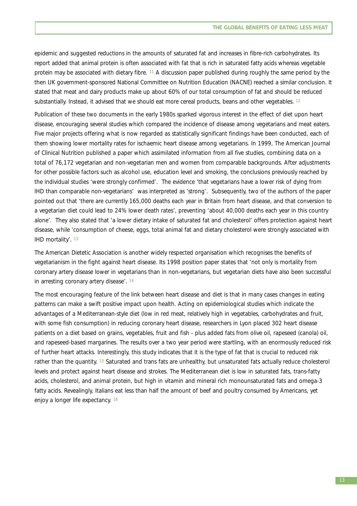epidemic and suggested reductions in the amounts of saturated fat and increases in fibre-rich carbohydrates. Its report added that animal protein is often associated with fat that is rich in saturated fatty acids whereas vegetable protein may be associated with dietary fibre*.* <sup>11</sup> A discussion paper published during roughly the same period by the then UK government-sponsored National Committee on Nutrition Education (NACNE) reached a similar conclusion. It stated that meat and dairy products make up about 60% of our total consumption of fat and should be reduced substantially. Instead, it advised that we should eat more cereal products, beans and other vegetables. 12

Publication of these two documents in the early 1980s sparked vigorous interest in the effect of diet upon heart disease, encouraging several studies which compared the incidence of disease among vegetarians and meat eaters. Five major projects offering what is now regarded as statistically significant findings have been conducted, each of them showing lower mortality rates for ischaemic heart disease among vegetarians. In 1999, The American Journal of Clinical Nutrition published a paper which assimilated information from all five studies, combining data on a total of 76,172 vegetarian and non-vegetarian men and women from comparable backgrounds. After adjustments for other possible factors such as alcohol use, education level and smoking, the conclusions previously reached by the individual studies 'were strongly confirmed'. The evidence 'that vegetarians have a lower risk of dying from IHD than comparable non-vegetarians' was interpreted as 'strong'. Subsequently, two of the authors of the paper pointed out that 'there are currently 165,000 deaths each year in Britain from heart disease, and that conversion to a vegetarian diet could lead to 24% lower death rates', preventing 'about 40,000 deaths each year in this country alone'. They also stated that 'a lower dietary intake of saturated fat and cholesterol' offers protection against heart disease, while 'consumption of cheese, eggs, total animal fat and dietary cholesterol were strongly associated with IHD mortality'. 13

The American Dietetic Association is another widely respected organisation which recognises the benefits of vegetarianism in the fight against heart disease. Its 1998 position paper states that 'not only is mortality from coronary artery disease lower in vegetarians than in non-vegetarians, but vegetarian diets have also been successful in arresting coronary artery disease'. 14

The most encouraging feature of the link between heart disease and diet is that in many cases changes in eating patterns can make a swift positive impact upon health. Acting on epidemiological studies which indicate the advantages of a Mediterranean-style diet (low in red meat, relatively high in vegetables, carbohydrates and fruit, with some fish consumption) in reducing coronary heart disease, researchers in Lyon placed 302 heart disease patients on a diet based on grains, vegetables, fruit and fish - plus added fats from olive oil, rapeseed (canola) oil, and rapeseed-based margarines. The results over a two year period were startling, with an enormously reduced risk of further heart attacks. Interestingly, this study indicates that it is the type of fat that is crucial to reduced risk rather than the quantity. <sup>15</sup> Saturated and trans fats are unhealthy, but unsaturated fats actually reduce cholesterol levels and protect against heart disease and strokes. The Mediterranean diet is low in saturated fats, trans-fatty acids, cholesterol, and animal protein, but high in vitamin and mineral rich monounsaturated fats and omega-3 fatty acids. Revealingly, Italians eat less than half the amount of beef and poultry consumed by Americans, yet enjoy a longer life expectancy. 16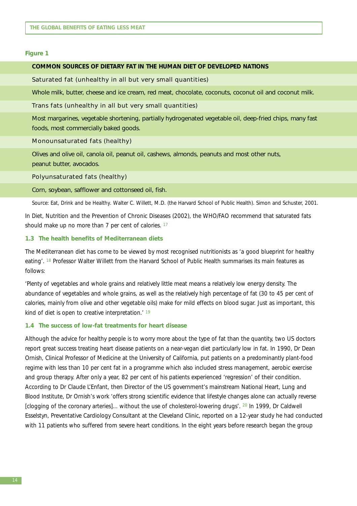#### **Figure 1**

#### **COMMON SOURCES OF DIETARY FAT IN THE HUMAN DIET OF DEVELOPED NATIONS**

#### Saturated fat (unhealthy in all but very small quantities)

Whole milk, butter, cheese and ice cream, red meat, chocolate, coconuts, coconut oil and coconut milk.

#### Trans fats (unhealthy in all but very small quantities)

Most margarines, vegetable shortening, partially hydrogenated vegetable oil, deep-fried chips, many fast foods, most commercially baked goods.

#### Monounsaturated fats (healthy)

Olives and olive oil, canola oil, peanut oil, cashews, almonds, peanuts and most other nuts, peanut butter, avocados.

#### Polyunsaturated fats (healthy)

#### Corn, soybean, safflower and cottonseed oil, fish.

Source: *Eat, Drink and be Healthy*. Walter C. Willett, M.D. (the Harvard School of Public Health). Simon and Schuster, 2001.

In *Diet, Nutrition and the Prevention of Chronic Diseases* (2002), the WHO/FAO recommend that saturated fats should make up no more than 7 per cent of calories. <sup>17</sup>

#### **1.3 The health benefits of Mediterranean diets**

The Mediterranean diet has come to be viewed by most recognised nutritionists as 'a good blueprint for healthy eating'. 18 Professor Walter Willett from the Harvard School of Public Health summarises its main features as follows:

'Plenty of vegetables and whole grains and relatively little meat means a relatively low energy density. The abundance of vegetables and whole grains, as well as the relatively high percentage of fat (30 to 45 per cent of calories, mainly from olive and other vegetable oils) make for mild effects on blood sugar. Just as important, this kind of diet is open to creative interpretation.' 19

#### **1.4 The success of low-fat treatments for heart disease**

Although the advice for healthy people is to worry more about the type of fat than the quantity, two US doctors report great success treating heart disease patients on a near-vegan diet particularly low in fat. In 1990, Dr Dean Ornish, Clinical Professor of Medicine at the University of California, put patients on a predominantly plant-food regime with less than 10 per cent fat in a programme which also included stress management, aerobic exercise and group therapy. After only a year, 82 per cent of his patients experienced 'regression' of their condition. According to Dr Claude L'Enfant, then Director of the US government's mainstream National Heart, Lung and Blood Institute, Dr Ornish's work 'offers strong scientific evidence that lifestyle changes alone can actually reverse [clogging of the coronary arteries]... without the use of cholesterol-lowering drugs'. 20 In 1999, Dr Caldwell Esselstyn, Preventative Cardiology Consultant at the Cleveland Clinic, reported on a 12-year study he had conducted with 11 patients who suffered from severe heart conditions. In the eight years before research began the group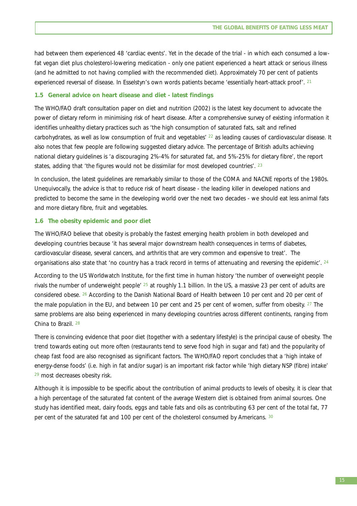had between them experienced 48 'cardiac events'. Yet in the decade of the trial - in which each consumed a lowfat vegan diet plus cholesterol-lowering medication - only one patient experienced a heart attack or serious illness (and he admitted to not having complied with the recommended diet). Approximately 70 per cent of patients experienced reversal of disease. In Esselstyn's own words patients became 'essentially heart-attack proof'. <sup>21</sup>

#### **1.5 General advice on heart disease and diet - latest findings**

The WHO/FAO draft consultation paper on diet and nutrition (2002) is the latest key document to advocate the power of dietary reform in minimising risk of heart disease. After a comprehensive survey of existing information it identifies unhealthy dietary practices such as 'the high consumption of saturated fats, salt and refined carbohydrates, as well as low consumption of fruit and vegetables' <sup>22</sup> as leading causes of cardiovascular disease. It also notes that few people are following suggested dietary advice. The percentage of British adults achieving national dietary guidelines is 'a discouraging 2%-4% for saturated fat, and 5%-25% for dietary fibre', the report states, adding that 'the figures would not be dissimilar for most developed countries'. 23

In conclusion, the latest guidelines are remarkably similar to those of the COMA and NACNE reports of the 1980s. Unequivocally, the advice is that to reduce risk of heart disease - the leading killer in developed nations and predicted to become the same in the developing world over the next two decades - we should eat less animal fats and more dietary fibre, fruit and vegetables.

#### **1.6 The obesity epidemic and poor diet**

The WHO/FAO believe that obesity is probably the fastest emerging health problem in both developed and developing countries because 'it has several major downstream health consequences in terms of diabetes, cardiovascular disease, several cancers, and arthritis that are very common and expensive to treat'. The organisations also state that 'no country has a track record in terms of attenuating and reversing the epidemic'. <sup>24</sup>

According to the US Worldwatch Institute, for the first time in human history 'the number of overweight people rivals the number of underweight people' <sup>25</sup> at roughly 1.1 billion. In the US, a massive 23 per cent of adults are considered obese. 26 According to the Danish National Board of Health between 10 per cent and 20 per cent of the male population in the EU, and between 10 per cent and 25 per cent of women, suffer from obesity. <sup>27</sup> The same problems are also being experienced in many developing countries across different continents, ranging from China to Brazil. 28

There is convincing evidence that poor diet (together with a sedentary lifestyle) is the principal cause of obesity. The trend towards eating out more often (restaurants tend to serve food high in sugar and fat) and the popularity of cheap fast food are also recognised as significant factors. The WHO/FAO report concludes that a 'high intake of energy-dense foods' (i.e. high in fat and/or sugar) is an important risk factor while 'high dietary NSP (fibre) intake' <sup>29</sup> most decreases obesity risk.

Although it is impossible to be specific about the contribution of animal products to levels of obesity, it is clear that a high percentage of the saturated fat content of the average Western diet is obtained from animal sources. One study has identified meat, dairy foods, eggs and table fats and oils as contributing 63 per cent of the total fat, 77 per cent of the saturated fat and 100 per cent of the cholesterol consumed by Americans. 30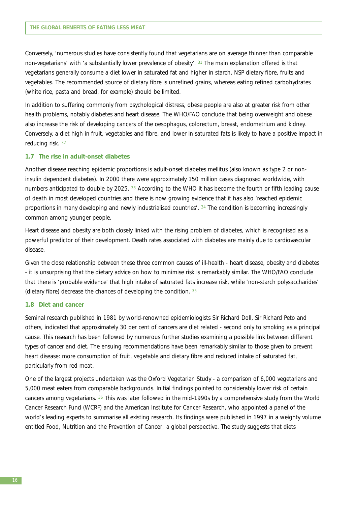Conversely, 'numerous studies have consistently found that vegetarians are on average thinner than comparable non-vegetarians' with 'a substantially lower prevalence of obesity'. 31 The main explanation offered is that vegetarians generally consume a diet lower in saturated fat and higher in starch, NSP dietary fibre, fruits and vegetables. The recommended source of dietary fibre is unrefined grains, whereas eating refined carbohydrates (white rice, pasta and bread, for example) should be limited.

In addition to suffering commonly from psychological distress, obese people are also at greater risk from other health problems, notably diabetes and heart disease. The WHO/FAO conclude that being overweight and obese also increase the risk of developing cancers of the oesophagus, colorectum, breast, endometrium and kidney. Conversely, a diet high in fruit, vegetables and fibre, and lower in saturated fats is likely to have a positive impact in reducing risk. 32

#### **1.7 The rise in adult-onset diabetes**

Another disease reaching epidemic proportions is adult-onset diabetes mellitus (also known as type 2 or noninsulin dependent diabetes). In 2000 there were approximately 150 million cases diagnosed worldwide, with numbers anticipated to double by 2025. 33 According to the WHO it has become the fourth or fifth leading cause of death in most developed countries and there is now growing evidence that it has also 'reached epidemic proportions in many developing and newly industrialised countries'. 34 The condition is becoming increasingly common among younger people.

Heart disease and obesity are both closely linked with the rising problem of diabetes, which is recognised as a powerful predictor of their development. Death rates associated with diabetes are mainly due to cardiovascular disease.

Given the close relationship between these three common causes of ill-health - heart disease, obesity and diabetes - it is unsurprising that the dietary advice on how to minimise risk is remarkably similar. The WHO/FAO conclude that there is 'probable evidence' that high intake of saturated fats increase risk, while 'non-starch polysaccharides' (dietary fibre) decrease the chances of developing the condition. 35

#### **1.8 Diet and cancer**

Seminal research published in 1981 by world-renowned epidemiologists Sir Richard Doll, Sir Richard Peto and others, indicated that approximately 30 per cent of cancers are diet related - second only to smoking as a principal cause. This research has been followed by numerous further studies examining a possible link between different types of cancer and diet. The ensuing recommendations have been remarkably similar to those given to prevent heart disease: more consumption of fruit, vegetable and dietary fibre and reduced intake of saturated fat, particularly from red meat.

One of the largest projects undertaken was the Oxford Vegetarian Study - a comparison of 6,000 vegetarians and 5,000 meat eaters from comparable backgrounds. Initial findings pointed to considerably lower risk of certain cancers among vegetarians. 36 This was later followed in the mid-1990s by a comprehensive study from the World Cancer Research Fund (WCRF) and the American Institute for Cancer Research, who appointed a panel of the world's leading experts to summarise all existing research. Its findings were published in 1997 in a weighty volume entitled *Food, Nutrition and the Prevention of Cancer: a global perspective*. The study suggests that diets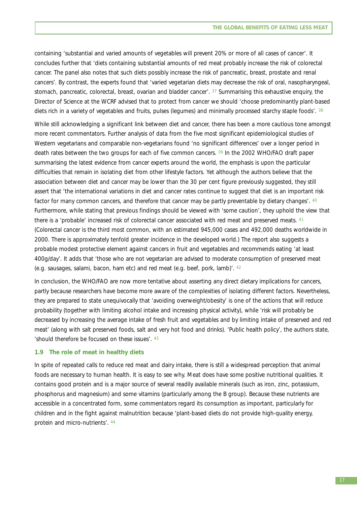containing 'substantial and varied amounts of vegetables will prevent 20% or more of all cases of cancer'. It concludes further that 'diets containing substantial amounts of red meat probably increase the risk of colorectal cancer. The panel also notes that such diets possibly increase the risk of pancreatic, breast, prostate and renal cancers'. By contrast, the experts found that 'varied vegetarian diets may decrease the risk of oral, nasopharyngeal, stomach, pancreatic, colorectal, breast, ovarian and bladder cancer'. 37 Summarising this exhaustive enquiry, the Director of Science at the WCRF advised that to protect from cancer we should 'choose predominantly plant-based diets rich in a variety of vegetables and fruits, pulses (legumes) and minimally processed starchy staple foods'. 38

While still acknowledging a significant link between diet and cancer, there has been a more cautious tone amongst more recent commentators. Further analysis of data from the five most significant epidemiological studies of Western vegetarians and comparable non-vegetarians found 'no significant differences' over a longer period in death rates between the two groups for each of five common cancers. 39 In the 2002 WHO/FAO draft paper summarising the latest evidence from cancer experts around the world, the emphasis is upon the particular difficulties that remain in isolating diet from other lifestyle factors. Yet although the authors believe that the association between diet and cancer may be lower than the 30 per cent figure previously suggested, they still assert that 'the international variations in diet and cancer rates continue to suggest that diet is an important risk factor for many common cancers, and therefore that cancer may be partly preventable by dietary changes'. <sup>40</sup> Furthermore, while stating that previous findings should be viewed with 'some caution', they uphold the view that there is a 'probable' increased risk of colorectal cancer associated with red meat and preserved meats. 41 (Colorectal cancer is the third most common, with an estimated 945,000 cases and 492,000 deaths worldwide in 2000. There is approximately tenfold greater incidence in the developed world.) The report also suggests a probable modest protective element against cancers in fruit and vegetables and recommends eating 'at least 400g/day'. It adds that 'those who are not vegetarian are advised to moderate consumption of preserved meat (e.g. sausages, salami, bacon, ham etc) and red meat (e.g. beef, pork, lamb)'. 42

In conclusion, the WHO/FAO are now more tentative about asserting any direct dietary implications for cancers, partly because researchers have become more aware of the complexities of isolating different factors. Nevertheless, they are prepared to state unequivocally that 'avoiding overweight/obesity' is one of the actions that will reduce probability (together with limiting alcohol intake and increasing physical activity), while 'risk will probably be decreased by increasing the average intake of fresh fruit and vegetables and by limiting intake of preserved and red meat' (along with salt preserved foods, salt and very hot food and drinks). 'Public health policy', the authors state, 'should therefore be focused on these issues'. 43

#### **1.9 The role of meat in healthy diets**

In spite of repeated calls to reduce red meat and dairy intake, there is still a widespread perception that animal foods are necessary to human health. It is easy to see why. Meat does have some positive nutritional qualities. It contains good protein and is a major source of several readily available minerals (such as iron, zinc, potassium, phosphorus and magnesium) and some vitamins (particularly among the B group). Because these nutrients are accessible in a concentrated form, some commentators regard its consumption as important, particularly for children and in the fight against malnutrition because 'plant-based diets do not provide high-quality energy, protein and micro-nutrients'. 44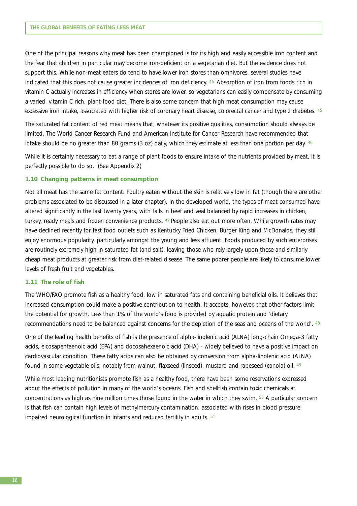One of the principal reasons why meat has been championed is for its high and easily accessible iron content and the fear that children in particular may become iron-deficient on a vegetarian diet. But the evidence does not support this. While non-meat eaters do tend to have lower iron stores than omnivores, several studies have indicated that this does not cause greater incidences of iron deficiency. 46 Absorption of iron from foods rich in vitamin C actually increases in efficiency when stores are lower, so vegetarians can easily compensate by consuming a varied, vitamin C rich, plant-food diet. There is also some concern that high meat consumption may cause excessive iron intake, associated with higher risk of coronary heart disease, colorectal cancer and type 2 diabetes. 45

The saturated fat content of red meat means that, whatever its positive qualities, consumption should always be limited. The World Cancer Research Fund and American Institute for Cancer Research have recommended that intake should be no greater than 80 grams (3 oz) daily, which they estimate at less than one portion per day. 46

While it is certainly necessary to eat a range of plant foods to ensure intake of the nutrients provided by meat, it is perfectly possible to do so. (See Appendix 2)

#### **1.10 Changing patterns in meat consumption**

Not all meat has the same fat content. Poultry eaten without the skin is relatively low in fat (though there are other problems associated to be discussed in a later chapter). In the developed world, the types of meat consumed have altered significantly in the last twenty years, with falls in beef and veal balanced by rapid increases in chicken, turkey, ready meals and frozen convenience products. 47 People also eat out more often. While growth rates may have declined recently for fast food outlets such as Kentucky Fried Chicken, Burger King and McDonalds, they still enjoy enormous popularity, particularly amongst the young and less affluent. Foods produced by such enterprises are routinely extremely high in saturated fat (and salt), leaving those who rely largely upon these and similarly cheap meat products at greater risk from diet-related disease. The same poorer people are likely to consume lower levels of fresh fruit and vegetables.

#### **1.11 The role of fish**

The WHO/FAO promote fish as a healthy food, low in saturated fats and containing beneficial oils. It believes that increased consumption could make a positive contribution to health. It accepts, however, that other factors limit the potential for growth. Less than 1% of the world's food is provided by aquatic protein and 'dietary recommendations need to be balanced against concerns for the depletion of the seas and oceans of the world'. 48

One of the leading health benefits of fish is the presence of alpha-linolenic acid (ALNA) long-chain Omega-3 fatty acids, eicosapentaenoic acid (EPA) and docosahexaenoic acid (DHA) - widely believed to have a positive impact on cardiovascular condition. These fatty acids can also be obtained by conversion from alpha-linolenic acid (ALNA) found in some vegetable oils, notably from walnut, flaxseed (linseed), mustard and rapeseed (canola) oil. 49

While most leading nutritionists promote fish as a healthy food, there have been some reservations expressed about the effects of pollution in many of the world's oceans. Fish and shellfish contain toxic chemicals at concentrations as high as nine million times those found in the water in which they swim.  $50$  A particular concern is that fish can contain high levels of methylmercury contamination, associated with rises in blood pressure, impaired neurological function in infants and reduced fertility in adults. 51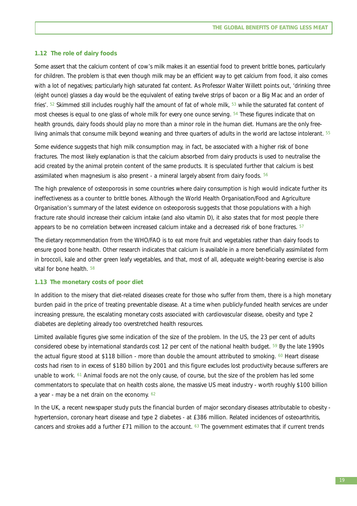#### **1.12 The role of dairy foods**

Some assert that the calcium content of cow's milk makes it an essential food to prevent brittle bones, particularly for children. The problem is that even though milk may be an efficient way to get calcium from food, it also comes with a lot of negatives; particularly high saturated fat content. As Professor Walter Willett points out, 'drinking three (eight ounce) glasses a day would be the equivalent of eating twelve strips of bacon or a Big Mac and an order of fries'.  $52$  Skimmed still includes roughly half the amount of fat of whole milk,  $53$  while the saturated fat content of most cheeses is equal to one glass of whole milk for every one ounce serving. <sup>54</sup> These figures indicate that on health grounds, dairy foods should play no more than a minor role in the human diet. Humans are the only freeliving animals that consume milk beyond weaning and three quarters of adults in the world are lactose intolerant. <sup>55</sup>

Some evidence suggests that high milk consumption may, in fact, be associated with a higher risk of bone fractures. The most likely explanation is that the calcium absorbed from dairy products is used to neutralise the acid created by the animal protein content of the same products. It is speculated further that calcium is best assimilated when magnesium is also present - a mineral largely absent from dairy foods. 56

The high prevalence of osteoporosis in some countries where dairy consumption is high would indicate further its ineffectiveness as a counter to brittle bones. Although the World Health Organisation/Food and Agriculture Organisation's summary of the latest evidence on osteoporosis suggests that those populations with a high fracture rate should increase their calcium intake (and also vitamin D), it also states that for most people there appears to be no correlation between increased calcium intake and a decreased risk of bone fractures. 57

The dietary recommendation from the WHO/FAO is to eat more fruit and vegetables rather than dairy foods to ensure good bone health. Other research indicates that calcium is available in a more beneficially assimilated form in broccoli, kale and other green leafy vegetables, and that, most of all, adequate weight-bearing exercise is also vital for bone health. 58

#### **1.13 The monetary costs of poor diet**

In addition to the misery that diet-related diseases create for those who suffer from them, there is a high monetary burden paid in the price of treating preventable disease. At a time when publicly-funded health services are under increasing pressure, the escalating monetary costs associated with cardiovascular disease, obesity and type 2 diabetes are depleting already too overstretched health resources.

Limited available figures give some indication of the size of the problem. In the US, the 23 per cent of adults considered obese by international standards cost 12 per cent of the national health budget.  $59$  By the late 1990s the actual figure stood at \$118 billion - more than double the amount attributed to smoking. <sup>60</sup> Heart disease costs had risen to in excess of \$180 billion by 2001 and this figure excludes lost productivity because sufferers are unable to work. <sup>61</sup> Animal foods are not the only cause, of course, but the size of the problem has led some commentators to speculate that on health costs alone, the massive US meat industry - worth roughly \$100 billion a year - may be a net drain on the economy.  $62$ 

In the UK, a recent newspaper study puts the financial burden of major secondary diseases attributable to obesity hypertension, coronary heart disease and type 2 diabetes - at £386 million. Related incidences of osteoarthritis, cancers and strokes add a further £71 million to the account. <sup>63</sup> The government estimates that if current trends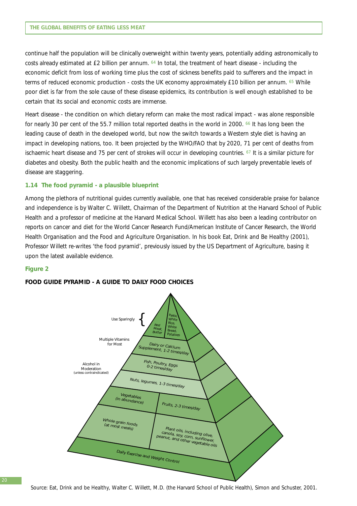continue half the population will be clinically overweight within twenty years, potentially adding astronomically to costs already estimated at £2 billion per annum. 64 In total, the treatment of heart disease - including the economic deficit from loss of working time plus the cost of sickness benefits paid to sufferers and the impact in terms of reduced economic production - costs the UK economy approximately £10 billion per annum. <sup>65</sup> While poor diet is far from the sole cause of these disease epidemics, its contribution is well enough established to be certain that its social and economic costs are immense.

Heart disease - the condition on which dietary reform can make the most radical impact - was alone responsible for nearly 30 per cent of the 55.7 million total reported deaths in the world in 2000. <sup>66</sup> It has long been the leading cause of death in the developed world, but now the switch towards a Western style diet is having an impact in developing nations, too. It been projected by the WHO/FAO that by 2020, 71 per cent of deaths from ischaemic heart disease and 75 per cent of strokes will occur in developing countries. 67 It is a similar picture for diabetes and obesity. Both the public health and the economic implications of such largely preventable levels of disease are staggering.

#### **1.14 The food pyramid - a plausible blueprint**

Among the plethora of nutritional guides currently available, one that has received considerable praise for balance and independence is by Walter C. Willett, Chairman of the Department of Nutrition at the Harvard School of Public Health and a professor of medicine at the Harvard Medical School. Willett has also been a leading contributor on reports on cancer and diet for the World Cancer Research Fund/American Institute of Cancer Research, the World Health Organisation and the Food and Agriculture Organisation. In his book *Eat, Drink and Be Healthy* (2001), Professor Willett re-writes 'the food pyramid', previously issued by the US Department of Agriculture, basing it upon the latest available evidence.

#### **Figure 2**

#### **FOOD GUIDE PYRAMID - A GUIDE TO DAILY FOOD CHOICES**



Source: *Eat, Drink and be Healthy*, Walter C. Willett, M.D. (the Harvard School of Public Health), Simon and Schuster, 2001.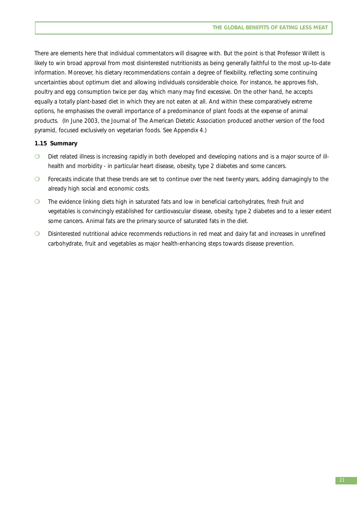There are elements here that individual commentators will disagree with. But the point is that Professor Willett is likely to win broad approval from most disinterested nutritionists as being generally faithful to the most up-to-date information. Moreover, his dietary recommendations contain a degree of flexibility, reflecting some continuing uncertainties about optimum diet and allowing individuals considerable choice. For instance, he approves fish, poultry and egg consumption twice per day, which many may find excessive. On the other hand, he accepts equally a totally plant-based diet in which they are not eaten at all. And within these comparatively extreme options, he emphasises the overall importance of a predominance of plant foods at the expense of animal products. (In June 2003, the Journal of The American Dietetic Association produced another version of the food pyramid, focused exclusively on vegetarian foods. See Appendix 4.)

#### **1.15 Summary**

- ❍ Diet related illness is increasing rapidly in both developed and developing nations and is a major source of illhealth and morbidity - in particular heart disease, obesity, type 2 diabetes and some cancers.
- ❍ Forecasts indicate that these trends are set to continue over the next twenty years, adding damagingly to the already high social and economic costs.
- ❍ The evidence linking diets high in saturated fats and low in beneficial carbohydrates, fresh fruit and vegetables is convincingly established for cardiovascular disease, obesity, type 2 diabetes and to a lesser extent some cancers. Animal fats are the primary source of saturated fats in the diet.
- ❍ Disinterested nutritional advice recommends reductions in red meat and dairy fat and increases in unrefined carbohydrate, fruit and vegetables as major health-enhancing steps towards disease prevention.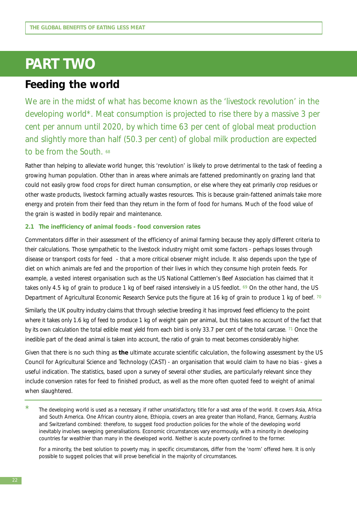## **PART TWO**

### **Feeding the world**

We are in the midst of what has become known as the 'livestock revolution' in the developing world\*. Meat consumption is projected to rise there by a massive 3 per cent per annum until 2020, by which time 63 per cent of global meat production and slightly more than half (50.3 per cent) of global milk production are expected to be from the South. 68

Rather than helping to alleviate world hunger, this 'revolution' is likely to prove detrimental to the task of feeding a growing human population. Other than in areas where animals are fattened predominantly on grazing land that could not easily grow food crops for direct human consumption, or else where they eat primarily crop residues or other waste products, livestock farming actually wastes resources. This is because grain-fattened animals take more energy and protein from their feed than they return in the form of food for humans. Much of the food value of the grain is wasted in bodily repair and maintenance.

#### **2.1 The inefficiency of animal foods - food conversion rates**

Commentators differ in their assessment of the efficiency of animal farming because they apply different criteria to their calculations. Those sympathetic to the livestock industry might omit some factors - perhaps losses through disease or transport costs for feed - that a more critical observer might include. It also depends upon the type of diet on which animals are fed and the proportion of their lives in which they consume high protein feeds. For example, a vested interest organisation such as the US National Cattlemen's Beef Association has claimed that it takes only 4.5 kg of grain to produce 1 kg of beef raised intensively in a US feedlot. 69 On the other hand, the US Department of Agricultural Economic Research Service puts the figure at 16 kg of grain to produce 1 kg of beef. 70

Similarly, the UK poultry industry claims that through selective breeding it has improved feed efficiency to the point where it takes only 1.6 kg of feed to produce 1 kg of weight gain per animal, but this takes no account of the fact that by its own calculation the total edible meat yield from each bird is only 33.7 per cent of the total carcase. 71 Once the inedible part of the dead animal is taken into account, the ratio of grain to meat becomes considerably higher.

Given that there is no such thing as **the** ultimate accurate scientific calculation, the following assessment by the US Council for Agricultural Science and Technology (CAST) - an organisation that would claim to have no bias - gives a useful indication. The statistics, based upon a survey of several other studies, are particularly relevant since they include conversion rates for feed to finished product, as well as the more often quoted feed to weight of animal when slaughtered.

For a minority, the best solution to poverty may, in specific circumstances, differ from the 'norm' offered here. It is only possible to suggest policies that will prove beneficial in the majority of circumstances.

<sup>\*</sup> The developing world is used as a necessary, if rather unsatisfactory, title for a vast area of the world. It covers Asia, Africa and South America. One African country alone, Ethiopia, covers an area greater than Holland, France, Germany, Austria and Switzerland combined: therefore, to suggest food production policies for the whole of the developing world inevitably involves sweeping generalisations. Economic circumstances vary enormously, with a minority in developing countries far wealthier than many in the developed world. Neither is acute poverty confined to the former.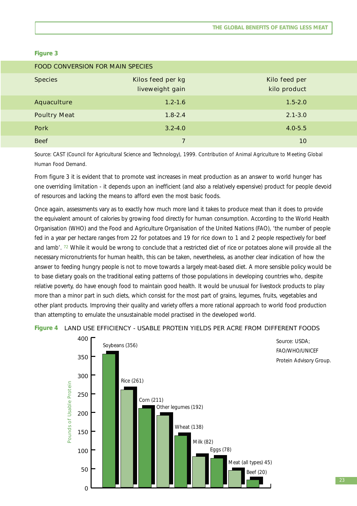#### **Figure 3**

| <b>FOOD CONVERSION FOR MAIN SPECIES</b> |                                      |                               |  |  |  |  |
|-----------------------------------------|--------------------------------------|-------------------------------|--|--|--|--|
| <b>Species</b>                          | Kilos feed per kg<br>liveweight gain | Kilo feed per<br>kilo product |  |  |  |  |
| Aquaculture                             | $1.2 - 1.6$                          | $1.5 - 2.0$                   |  |  |  |  |
| <b>Poultry Meat</b>                     | $1.8 - 2.4$                          | $2.1 - 3.0$                   |  |  |  |  |
| <b>Pork</b>                             | $3.2 - 4.0$                          | $4.0 - 5.5$                   |  |  |  |  |
| <b>Beef</b>                             |                                      | 10                            |  |  |  |  |

Source: CAST (Council for Agricultural Science and Technology), 1999. *Contribution of Animal Agriculture to Meeting Global Human Food Demand.*

From figure 3 it is evident that to promote vast increases in meat production as an answer to world hunger has one overriding limitation - it depends upon an inefficient (and also a relatively expensive) product for people devoid of resources and lacking the means to afford even the most basic foods.

Once again, assessments vary as to exactly how much more land it takes to produce meat than it does to provide the equivalent amount of calories by growing food directly for human consumption. According to the World Health Organisation (WHO) and the Food and Agriculture Organisation of the United Nations (FAO), 'the number of people fed in a year per hectare ranges from 22 for potatoes and 19 for rice down to 1 and 2 people respectively for beef and lamb'. <sup>72</sup> While it would be wrong to conclude that a restricted diet of rice or potatoes alone will provide all the necessary micronutrients for human health, this can be taken, nevertheless, as another clear indication of how the answer to feeding hungry people is not to move towards a largely meat-based diet. A more sensible policy would be to base dietary goals on the traditional eating patterns of those populations in developing countries who, despite relative poverty, do have enough food to maintain good health. It would be unusual for livestock products to play more than a minor part in such diets, which consist for the most part of grains, legumes, fruits, vegetables and other plant products. Improving their quality and variety offers a more rational approach to world food production than attempting to emulate the unsustainable model practised in the developed world.

#### **Figure 4**  LAND USE EFFICIENCY - USABLE PROTEIN YIELDS PER ACRE FROM DIFFERENT FOODS

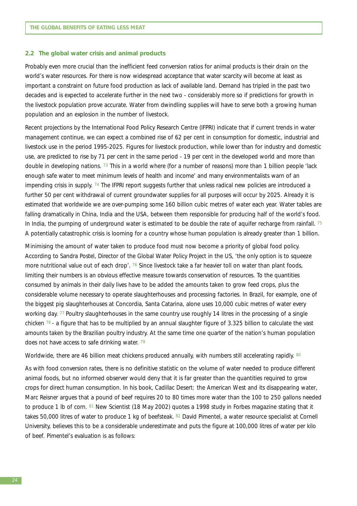#### **2.2 The global water crisis and animal products**

Probably even more crucial than the inefficient feed conversion ratios for animal products is their drain on the world's water resources. For there is now widespread acceptance that water scarcity will become at least as important a constraint on future food production as lack of available land. Demand has tripled in the past two decades and is expected to accelerate further in the next two - considerably more so if predictions for growth in the livestock population prove accurate. Water from dwindling supplies will have to serve both a growing human population and an explosion in the number of livestock.

Recent projections by the International Food Policy Research Centre (IFPRI) indicate that if current trends in water management continue, we can expect a combined rise of 62 per cent in consumption for domestic, industrial and livestock use in the period 1995-2025. Figures for livestock production, while lower than for industry and domestic use, are predicted to rise by 71 per cent in the same period - 19 per cent in the developed world and more than double in developing nations. <sup>73</sup> This in a world where (for a number of reasons) more than 1 billion people 'lack enough safe water to meet minimum levels of health and income' and many environmentalists warn of an impending crisis in supply. 74 The IFPRI report suggests further that unless radical new policies are introduced a further 50 per cent withdrawal of current groundwater supplies for all purposes will occur by 2025. Already it is estimated that worldwide we are over-pumping some 160 billion cubic metres of water each year. Water tables are falling dramatically in China, India and the USA, between them responsible for producing half of the world's food. In India, the pumping of underground water is estimated to be double the rate of aquifer recharge from rainfall. <sup>75</sup> A potentially catastrophic crisis is looming for a country whose human population is already greater than 1 billion.

Minimising the amount of water taken to produce food must now become a priority of global food policy. According to Sandra Postel, Director of the Global Water Policy Project in the US, 'the only option is to squeeze more nutritional value out of each drop'. 76 Since livestock take a far heavier toll on water than plant foods, limiting their numbers is an obvious effective measure towards conservation of resources. To the quantities consumed by animals in their daily lives have to be added the amounts taken to grow feed crops, plus the considerable volume necessary to operate slaughterhouses and processing factories. In Brazil, for example, one of the biggest pig slaughterhouses at Concordia, Santa Catarina, alone uses 10,000 cubic metres of water every working day. 77 Poultry slaughterhouses in the same country use roughly 14 litres in the processing of a single chicken  $78$  - a figure that has to be multiplied by an annual slaughter figure of 3.325 billion to calculate the vast amounts taken by the Brazilian poultry industry. At the same time one quarter of the nation's human population does not have access to safe drinking water. 79

Worldwide, there are 46 billion meat chickens produced annually, with numbers still accelerating rapidly. 80

As with food conversion rates, there is no definitive statistic on the volume of water needed to produce different animal foods, but no informed observer would deny that it is far greater than the quantities required to grow crops for direct human consumption. In his book, *Cadillac Desert: the American West and its disappearing water*, Marc Reisner argues that a pound of beef requires 20 to 80 times more water than the 100 to 250 gallons needed to produce 1 lb of corn. 81 New Scientist (18 May 2002) quotes a 1998 study in Forbes magazine stating that it takes 50,000 litres of water to produce 1 kg of beefsteak. 82 David Pimentel, a water resource specialist at Cornell University, believes this to be a considerable underestimate and puts the figure at 100,000 litres of water per kilo of beef. Pimentel's evaluation is as follows: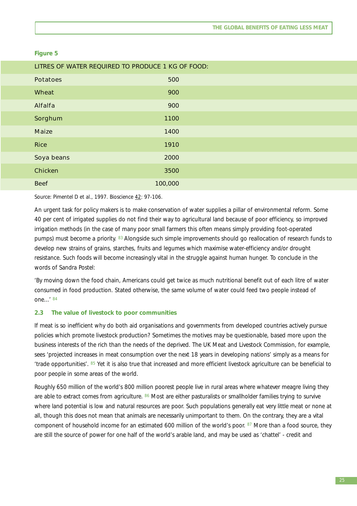#### **Figure 5**

| LITRES OF WATER REQUIRED TO PRODUCE 1 KG OF FOOD: |         |  |  |  |  |
|---------------------------------------------------|---------|--|--|--|--|
| <b>Potatoes</b>                                   | 500     |  |  |  |  |
| <b>Wheat</b>                                      | 900     |  |  |  |  |
| <b>Alfalfa</b>                                    | 900     |  |  |  |  |
| Sorghum                                           | 1100    |  |  |  |  |
| <b>Maize</b>                                      | 1400    |  |  |  |  |
| <b>Rice</b>                                       | 1910    |  |  |  |  |
| Soya beans                                        | 2000    |  |  |  |  |
| <b>Chicken</b>                                    | 3500    |  |  |  |  |
| <b>Beef</b>                                       | 100,000 |  |  |  |  |

Source: Pimentel D *et al*., 1997. Bioscience 42: 97-106.

An urgent task for policy makers is to make conservation of water supplies a pillar of environmental reform. Some 40 per cent of irrigated supplies do not find their way to agricultural land because of poor efficiency, so improved irrigation methods (in the case of many poor small farmers this often means simply providing foot-operated pumps) must become a priority. 83 Alongside such simple improvements should go reallocation of research funds to develop new strains of grains, starches, fruits and legumes which maximise water-efficiency and/or drought resistance. Such foods will become increasingly vital in the struggle against human hunger. To conclude in the words of Sandra Postel:

'By moving down the food chain, Americans could get twice as much nutritional benefit out of each litre of water consumed in food production. Stated otherwise, the same volume of water could feed two people instead of one...' <sup>84</sup>

#### **2.3 The value of livestock to poor communities**

If meat is so inefficient why do both aid organisations and governments from developed countries actively pursue policies which promote livestock production? Sometimes the motives may be questionable, based more upon the business interests of the rich than the needs of the deprived. The UK Meat and Livestock Commission, for example, sees 'projected increases in meat consumption over the next 18 years in developing nations' simply as a means for 'trade opportunities'. 85 Yet it is also true that increased and more efficient livestock agriculture can be beneficial to poor people in some areas of the world.

Roughly 650 million of the world's 800 million poorest people live in rural areas where whatever meagre living they are able to extract comes from agriculture. 86 Most are either pasturalists or smallholder families trying to survive where land potential is low and natural resources are poor. Such populations generally eat very little meat or none at all, though this does not mean that animals are necessarily unimportant to them. On the contrary, they are a vital component of household income for an estimated 600 million of the world's poor. 87 More than a food source, they are still the source of power for one half of the world's arable land, and may be used as 'chattel' - credit and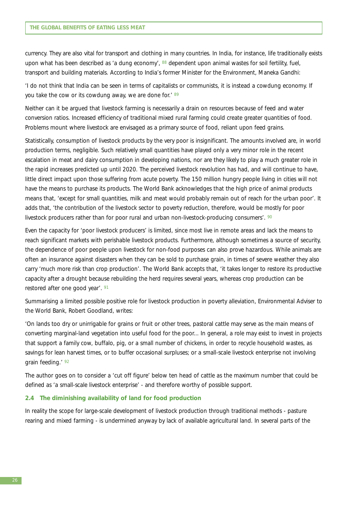currency. They are also vital for transport and clothing in many countries. In India, for instance, life traditionally exists upon what has been described as 'a dung economy', 88 dependent upon animal wastes for soil fertility, fuel, transport and building materials. According to India's former Minister for the Environment, Maneka Gandhi:

'I do not think that India can be seen in terms of capitalists or communists, it is instead a cowdung economy. If you take the cow or its cowdung away, we are done for.' 89

Neither can it be argued that livestock farming is necessarily a drain on resources because of feed and water conversion ratios. Increased efficiency of traditional mixed rural farming could create greater quantities of food. Problems mount where livestock are envisaged as a primary source of food, reliant upon feed grains.

Statistically, consumption of livestock products by the very poor is insignificant. The amounts involved are, in world production terms, negligible. Such relatively small quantities have played only a very minor role in the recent escalation in meat and dairy consumption in developing nations, nor are they likely to play a much greater role in the rapid increases predicted up until 2020. The perceived livestock revolution has had, and will continue to have, little direct impact upon those suffering from acute poverty. The 150 million hungry people living in cities will not have the means to purchase its products. The World Bank acknowledges that the high price of animal products means that, 'except for small quantities, milk and meat would probably remain out of reach for the urban poor'. It adds that, 'the contribution of the livestock sector to poverty reduction, therefore, would be mostly for poor livestock producers rather than for poor rural and urban non-livestock-producing consumers'. 90

Even the capacity for 'poor livestock producers' is limited, since most live in remote areas and lack the means to reach significant markets with perishable livestock products. Furthermore, although sometimes a source of security, the dependence of poor people upon livestock for non-food purposes can also prove hazardous. While animals are often an insurance against disasters when they can be sold to purchase grain, in times of severe weather they also carry 'much more risk than crop production'. The World Bank accepts that, 'it takes longer to restore its productive capacity after a drought because rebuilding the herd requires several years, whereas crop production can be restored after one good year'. 91

Summarising a limited possible positive role for livestock production in poverty alleviation, Environmental Adviser to the World Bank, Robert Goodland, writes:

'On lands too dry or unirrigable for grains or fruit or other trees, pastoral cattle may serve as the main means of converting marginal-land vegetation into useful food for the poor... In general, a role may exist to invest in projects that support a family cow, buffalo, pig, or a small number of chickens, in order to recycle household wastes, as savings for lean harvest times, or to buffer occasional surpluses; or a small-scale livestock enterprise not involving grain feeding.' <sup>92</sup>

The author goes on to consider a 'cut off figure' below ten head of cattle as the maximum number that could be defined as 'a small-scale livestock enterprise' - and therefore worthy of possible support.

#### **2.4 The diminishing availability of land for food production**

In reality the scope for large-scale development of livestock production through traditional methods - pasture rearing and mixed farming - is undermined anyway by lack of available agricultural land. In several parts of the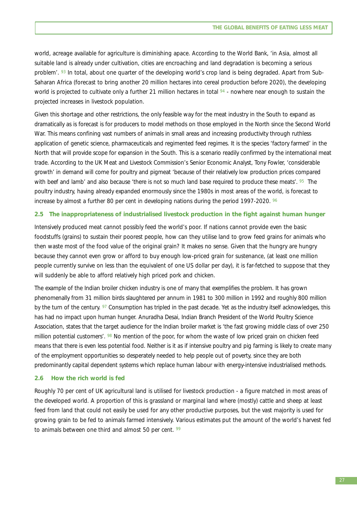world, acreage available for agriculture is diminishing apace. According to the World Bank, 'in Asia, almost all suitable land is already under cultivation, cities are encroaching and land degradation is becoming a serious problem'. <sup>93</sup> In total, about one quarter of the developing world's crop land is being degraded. Apart from Sub-Saharan Africa (forecast to bring another 20 million hectares into cereal production before 2020), the developing world is projected to cultivate only a further 21 million hectares in total  $94$  - nowhere near enough to sustain the projected increases in livestock population.

Given this shortage and other restrictions, the only feasible way for the meat industry in the South to expand as dramatically as is forecast is for producers to model methods on those employed in the North since the Second World War. This means confining vast numbers of animals in small areas and increasing productivity through ruthless application of genetic science, pharmaceuticals and regimented feed regimes. It is the species 'factory farmed' in the North that will provide scope for expansion in the South. This is a scenario readily confirmed by the international meat trade. According to the UK Meat and Livestock Commission's Senior Economic Analyst, Tony Fowler, 'considerable growth' in demand will come for poultry and pigmeat 'because of their relatively low production prices compared with beef and lamb' and also because 'there is not so much land base required to produce these meats'. <sup>95</sup> The poultry industry, having already expanded enormously since the 1980s in most areas of the world, is forecast to increase by almost a further 80 per cent in developing nations during the period 1997-2020.  $96$ 

#### **2.5 The inappropriateness of industrialised livestock production in the fight against human hunger**

Intensively produced meat cannot possibly feed the world's poor. If nations cannot provide even the basic foodstuffs (grains) to sustain their poorest people, how can they utilise land to grow feed grains for animals who then waste most of the food value of the original grain? It makes no sense. Given that the hungry are hungry because they cannot even grow or afford to buy enough low-priced grain for sustenance, (at least one million people currently survive on less than the equivalent of one US dollar per day), it is far-fetched to suppose that they will suddenly be able to afford relatively high priced pork and chicken.

The example of the Indian broiler chicken industry is one of many that exemplifies the problem. It has grown phenomenally from 31 million birds slaughtered per annum in 1981 to 300 million in 1992 and roughly 800 million by the turn of the century. 97 Consumption has tripled in the past decade. Yet as the industry itself acknowledges, this has had no impact upon human hunger. Anuradha Desai, Indian Branch President of the World Poultry Science Association, states that the target audience for the Indian broiler market is 'the fast growing middle class of over 250 million potential customers'. <sup>98</sup> No mention of the poor, for whom the waste of low priced grain on chicken feed means that there is even less potential food. Neither is it as if intensive poultry and pig farming is likely to create many of the employment opportunities so desperately needed to help people out of poverty, since they are both predominantly capital dependent systems which replace human labour with energy-intensive industrialised methods.

#### **2.6 How the rich world is fed**

Roughly 70 per cent of UK agricultural land is utilised for livestock production - a figure matched in most areas of the developed world. A proportion of this is grassland or marginal land where (mostly) cattle and sheep at least feed from land that could not easily be used for any other productive purposes, but the vast majority is used for growing grain to be fed to animals farmed intensively. Various estimates put the amount of the world's harvest fed to animals between one third and almost 50 per cent. 99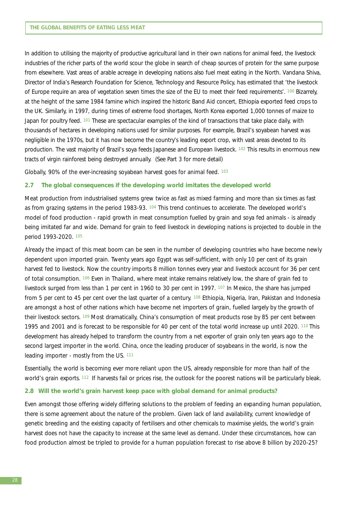In addition to utilising the majority of productive agricultural land in their own nations for animal feed, the livestock industries of the richer parts of the world scour the globe in search of cheap sources of protein for the same purpose from elsewhere. Vast areas of arable acreage in developing nations also fuel meat eating in the North. Vandana Shiva, Director of India's Research Foundation for Science, Technology and Resource Policy, has estimated that 'the livestock of Europe require an area of vegetation seven times the size of the EU to meet their feed requirements'. 100 Bizarrely, at the height of the same 1984 famine which inspired the historic Band Aid concert, Ethiopia exported feed crops to the UK. Similarly, in 1997, during times of extreme food shortages, North Korea exported 1,000 tonnes of maize to Japan for poultry feed. 101 These are spectacular examples of the kind of transactions that take place daily, with thousands of hectares in developing nations used for similar purposes. For example, Brazil's soyabean harvest was negligible in the 1970s, but it has now become the country's leading export crop, with vast areas devoted to its production. The vast majority of Brazil's soya feeds Japanese and European livestock. 102 This results in enormous new tracts of virgin rainforest being destroyed annually. (See Part 3 for more detail)

Globally, 90% of the ever-increasing soyabean harvest goes for animal feed. 103

#### **2.7 The global consequences if the developing world imitates the developed world**

Meat production from industrialised systems grew twice as fast as mixed farming and more than six times as fast as from grazing systems in the period 1983-93. 104 This trend continues to accelerate. The developed world's model of food production - rapid growth in meat consumption fuelled by grain and soya fed animals - is already being imitated far and wide. Demand for grain to feed livestock in developing nations is projected to double in the period 1993-2020. 105

Already the impact of this meat boom can be seen in the number of developing countries who have become newly dependent upon imported grain. Twenty years ago Egypt was self-sufficient, with only 10 per cent of its grain harvest fed to livestock. Now the country imports 8 million tonnes every year and livestock account for 36 per cent of total consumption. 106 Even in Thailand, where meat intake remains relatively low, the share of grain fed to livestock surged from less than 1 per cent in 1960 to 30 per cent in 1997. <sup>107</sup> In Mexico, the share has jumped from 5 per cent to 45 per cent over the last quarter of a century. <sup>108</sup> Ethiopia, Nigeria, Iran, Pakistan and Indonesia are amongst a host of other nations which have become net importers of grain, fuelled largely by the growth of their livestock sectors. 109 Most dramatically, China's consumption of meat products rose by 85 per cent between 1995 and 2001 and is forecast to be responsible for 40 per cent of the total world increase up until 2020. 110 This development has already helped to transform the country from a net exporter of grain only ten years ago to the second largest importer in the world. China, once the leading producer of soyabeans in the world, is now the leading importer - mostly from the US. 111

Essentially, the world is becoming ever more reliant upon the US, already responsible for more than half of the world's grain exports. 112 If harvests fail or prices rise, the outlook for the poorest nations will be particularly bleak.

#### **2.8 Will the world's grain harvest keep pace with global demand for animal products?**

Even amongst those offering widely differing solutions to the problem of feeding an expanding human population, there is some agreement about the nature of the problem. Given lack of land availability, current knowledge of genetic breeding and the existing capacity of fertilisers and other chemicals to maximise yields, the world's grain harvest does not have the capacity to increase at the same level as demand. Under these circumstances, how can food production almost be tripled to provide for a human population forecast to rise above 8 billion by 2020-25?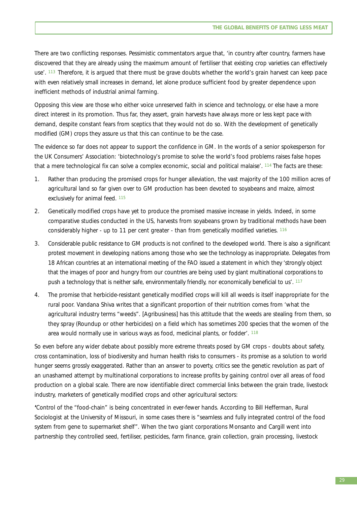There are two conflicting responses. Pessimistic commentators argue that, 'in country after country, farmers have discovered that they are already using the maximum amount of fertiliser that existing crop varieties can effectively use'. 113 Therefore, it is argued that there must be grave doubts whether the world's grain harvest can keep pace with even relatively small increases in demand, let alone produce sufficient food by greater dependence upon inefficient methods of industrial animal farming.

Opposing this view are those who either voice unreserved faith in science and technology, or else have a more direct interest in its promotion. Thus far, they assert, grain harvests have always more or less kept pace with demand, despite constant fears from sceptics that they would not do so. With the development of genetically modified (GM) crops they assure us that this can continue to be the case.

The evidence so far does not appear to support the confidence in GM. In the words of a senior spokesperson for the UK Consumers' Association: 'biotechnology's promise to solve the world's food problems raises false hopes that a mere technological fix can solve a complex economic, social and political malaise'. 114 The facts are these:

- 1. Rather than producing the promised crops for hunger alleviation, the vast majority of the 100 million acres of agricultural land so far given over to GM production has been devoted to soyabeans and maize, almost exclusively for animal feed. 115
- 2. Genetically modified crops have yet to produce the promised massive increase in yields. Indeed, in some comparative studies conducted in the US, harvests from soyabeans grown by traditional methods have been considerably higher - up to 11 per cent greater - than from genetically modified varieties. 116
- 3. Considerable public resistance to GM products is not confined to the developed world. There is also a significant protest movement in developing nations among those who see the technology as inappropriate. Delegates from 18 African countries at an international meeting of the FAO issued a statement in which they 'strongly object that the images of poor and hungry from our countries are being used by giant multinational corporations to push a technology that is neither safe, environmentally friendly, nor economically beneficial to us'. 117
- 4. The promise that herbicide-resistant genetically modified crops will kill all weeds is itself inappropriate for the rural poor. Vandana Shiva writes that a significant proportion of their nutrition comes from 'what the agricultural industry terms "weeds". [Agribusiness] has this attitude that the weeds are stealing from them, so they spray (Roundup or other herbicides) on a field which has sometimes 200 species that the women of the area would normally use in various ways as food, medicinal plants, or fodder'. 118

So even before any wider debate about possibly more extreme threats posed by GM crops - doubts about safety, cross contamination, loss of biodiversity and human health risks to consumers - its promise as a solution to world hunger seems grossly exaggerated. Rather than an answer to poverty, critics see the genetic revolution as part of an unashamed attempt by multinational corporations to increase profits by gaining control over all areas of food production on a global scale. There are now identifiable direct commercial links between the grain trade, livestock industry, marketers of genetically modified crops and other agricultural sectors:

**'**Control of the "food-chain" is being concentrated in ever-fewer hands. According to Bill Hefferman, Rural Sociologist at the University of Missouri, in some cases there is "seamless and fully integrated control of the food system from gene to supermarket shelf". When the two giant corporations Monsanto and Cargill went into partnership they controlled seed, fertiliser, pesticides, farm finance, grain collection, grain processing, livestock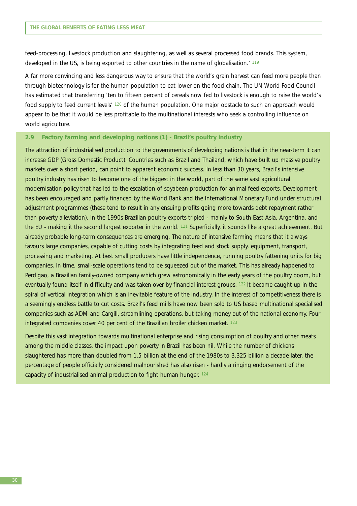feed-processing, livestock production and slaughtering, as well as several processed food brands. This system, developed in the US, is being exported to other countries in the name of globalisation.' <sup>119</sup>

A far more convincing and less dangerous way to ensure that the world's grain harvest can feed more people than through biotechnology is for the human population to eat lower on the food chain. The UN World Food Council has estimated that transferring 'ten to fifteen percent of cereals now fed to livestock is enough to raise the world's food supply to feed current levels' <sup>120</sup> of the human population. One major obstacle to such an approach would appear to be that it would be less profitable to the multinational interests who seek a controlling influence on world agriculture.

#### **2.9 Factory farming and developing nations (1) - Brazil's poultry industry**

The attraction of industrialised production to the governments of developing nations is that in the near-term it can increase GDP (Gross Domestic Product). Countries such as Brazil and Thailand, which have built up massive poultry markets over a short period, can point to apparent economic success. In less than 30 years, Brazil's intensive poultry industry has risen to become one of the biggest in the world, part of the same vast agricultural modernisation policy that has led to the escalation of soyabean production for animal feed exports. Development has been encouraged and partly financed by the World Bank and the International Monetary Fund under structural adjustment programmes (these tend to result in any ensuing profits going more towards debt repayment rather than poverty alleviation). In the 1990s Brazilian poultry exports tripled - mainly to South East Asia, Argentina, and the EU - making it the second largest exporter in the world. 121 Superficially, it sounds like a great achievement. But already probable long-term consequences are emerging. The nature of intensive farming means that it always favours large companies, capable of cutting costs by integrating feed and stock supply, equipment, transport, processing and marketing. At best small producers have little independence, running poultry fattening units for big companies. In time, small-scale operations tend to be squeezed out of the market. This has already happened to Perdigao, a Brazilian family-owned company which grew astronomically in the early years of the poultry boom, but eventually found itself in difficulty and was taken over by financial interest groups. 122 It became caught up in the spiral of vertical integration which is an inevitable feature of the industry. In the interest of competitiveness there is a seemingly endless battle to cut costs. Brazil's feed mills have now been sold to US based multinational specialised companies such as ADM and Cargill, streamlining operations, but taking money out of the national economy. Four integrated companies cover 40 per cent of the Brazilian broiler chicken market. 123

Despite this vast integration towards multinational enterprise and rising consumption of poultry and other meats among the middle classes, the impact upon poverty in Brazil has been nil. While the number of chickens slaughtered has more than doubled from 1.5 billion at the end of the 1980s to 3.325 billion a decade later, the percentage of people officially considered malnourished has also risen - hardly a ringing endorsement of the capacity of industrialised animal production to fight human hunger. 124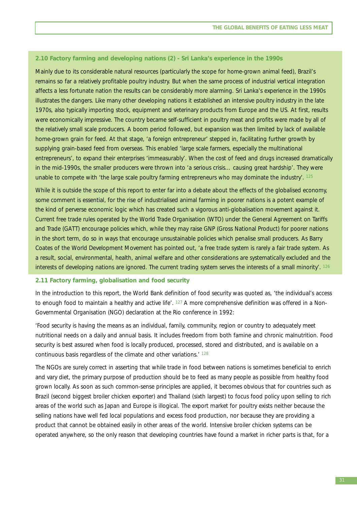#### **2.10 Factory farming and developing nations (2) - Sri Lanka's experience in the 1990s**

Mainly due to its considerable natural resources (particularly the scope for home-grown animal feed), Brazil's remains so far a relatively profitable poultry industry. But when the same process of industrial vertical integration affects a less fortunate nation the results can be considerably more alarming. Sri Lanka's experience in the 1990s illustrates the dangers. Like many other developing nations it established an intensive poultry industry in the late 1970s, also typically importing stock, equipment and veterinary products from Europe and the US. At first, results were economically impressive. The country became self-sufficient in poultry meat and profits were made by all of the relatively small scale producers. A boom period followed, but expansion was then limited by lack of available home-grown grain for feed. At that stage, 'a foreign entrepreneur' stepped in, facilitating further growth by supplying grain-based feed from overseas. This enabled 'large scale farmers, especially the multinational entrepreneurs', to expand their enterprises 'immeasurably'. When the cost of feed and drugs increased dramatically in the mid-1990s, the smaller producers were thrown into 'a serious crisis… causing great hardship'. They were unable to compete with 'the large scale poultry farming entrepreneurs who may dominate the industry'. 125

While it is outside the scope of this report to enter far into a debate about the effects of the globalised economy, some comment is essential, for the rise of industrialised animal farming in poorer nations is a potent example of the kind of perverse economic logic which has created such a vigorous anti-globalisation movement against it. Current free trade rules operated by the World Trade Organisation (WTO) under the General Agreement on Tariffs and Trade (GATT) encourage policies which, while they may raise GNP (Gross National Product) for poorer nations in the short term, do so in ways that encourage unsustainable policies which penalise small producers. As Barry Coates of the World Development Movement has pointed out, 'a free trade system is rarely a fair trade system. As a result, social, environmental, health, animal welfare and other considerations are systematically excluded and the interests of developing nations are ignored. The current trading system serves the interests of a small minority'. 126

#### **2.11 Factory farming, globalisation and food security**

In the introduction to this report, the World Bank definition of food security was quoted as, 'the individual's access to enough food to maintain a healthy and active life'. 127 A more comprehensive definition was offered in a Non-Governmental Organisation (NGO) declaration at the Rio conference in 1992:

'Food security is having the means as an individual, family, community, region or country to adequately meet nutritional needs on a daily and annual basis. It includes freedom from both famine and chronic malnutrition. Food security is best assured when food is locally produced, processed, stored and distributed, and is available on a continuous basis regardless of the climate and other variations.<sup>' 128</sup>

The NGOs are surely correct in asserting that while trade in food between nations is sometimes beneficial to enrich and vary diet, the primary purpose of production should be to feed as many people as possible from healthy food grown locally. As soon as such common-sense principles are applied, it becomes obvious that for countries such as Brazil (second biggest broiler chicken exporter) and Thailand (sixth largest) to focus food policy upon selling to rich areas of the world such as Japan and Europe is illogical. The export market for poultry exists neither because the selling nations have well fed local populations and excess food production, nor because they are providing a product that cannot be obtained easily in other areas of the world. Intensive broiler chicken systems can be operated anywhere, so the only reason that developing countries have found a market in richer parts is that, for a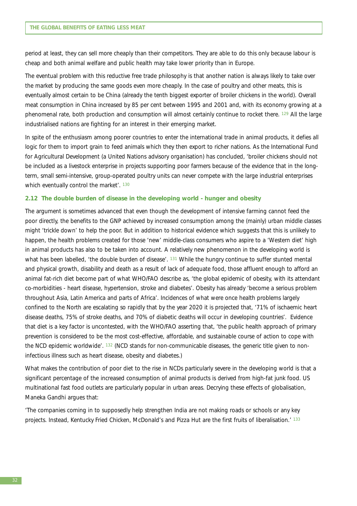period at least, they can sell more cheaply than their competitors. They are able to do this only because labour is cheap and both animal welfare and public health may take lower priority than in Europe.

The eventual problem with this reductive free trade philosophy is that another nation is always likely to take over the market by producing the same goods even more cheaply. In the case of poultry and other meats, this is eventually almost certain to be China (already the tenth biggest exporter of broiler chickens in the world). Overall meat consumption in China increased by 85 per cent between 1995 and 2001 and, with its economy growing at a phenomenal rate, both production and consumption will almost certainly continue to rocket there. 129 All the large industrialised nations are fighting for an interest in their emerging market.

In spite of the enthusiasm among poorer countries to enter the international trade in animal products, it defies all logic for them to import grain to feed animals which they then export to richer nations. As the International Fund for Agricultural Development (a United Nations advisory organisation) has concluded, 'broiler chickens should not be included as a livestock enterprise in projects supporting poor farmers because of the evidence that in the longterm, small semi-intensive, group-operated poultry units can never compete with the large industrial enterprises which eventually control the market'. 130

#### **2.12 The double burden of disease in the developing world - hunger and obesity**

The argument is sometimes advanced that even though the development of intensive farming cannot feed the poor directly, the benefits to the GNP achieved by increased consumption among the (mainly) urban middle classes might 'trickle down' to help the poor. But in addition to historical evidence which suggests that this is unlikely to happen, the health problems created for those 'new' middle-class consumers who aspire to a 'Western diet' high in animal products has also to be taken into account. A relatively new phenomenon in the developing world is what has been labelled, 'the double burden of disease'. 131 While the hungry continue to suffer stunted mental and physical growth, disability and death as a result of lack of adequate food, those affluent enough to afford an animal fat-rich diet become part of what WHO/FAO describe as, 'the global epidemic of obesity, with its attendant co-morbidities - heart disease, hypertension, stroke and diabetes'. Obesity has already 'become a serious problem throughout Asia, Latin America and parts of Africa'. Incidences of what were once health problems largely confined to the North are escalating so rapidly that by the year 2020 it is projected that, '71% of ischaemic heart disease deaths, 75% of stroke deaths, and 70% of diabetic deaths will occur in developing countries'. Evidence that diet is a key factor is uncontested, with the WHO/FAO asserting that, 'the public health approach of primary prevention is considered to be the most cost-effective, affordable, and sustainable course of action to cope with the NCD epidemic worldwide'. 132 (NCD stands for non-communicable diseases, the generic title given to noninfectious illness such as heart disease, obesity and diabetes.)

What makes the contribution of poor diet to the rise in NCDs particularly severe in the developing world is that a significant percentage of the increased consumption of animal products is derived from high-fat junk food. US multinational fast food outlets are particularly popular in urban areas. Decrying these effects of globalisation, Maneka Gandhi argues that:

'The companies coming in to supposedly help strengthen India are not making roads or schools or any key projects. Instead, Kentucky Fried Chicken, McDonald's and Pizza Hut are the first fruits of liberalisation.' <sup>133</sup>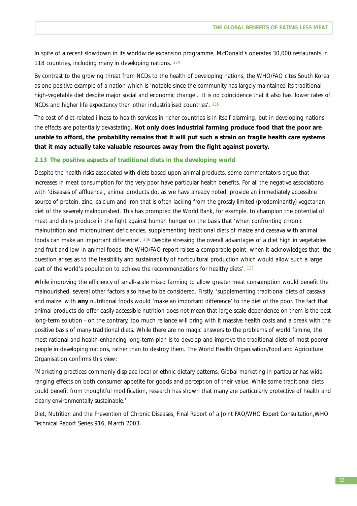In spite of a recent slowdown in its worldwide expansion programme, McDonald's operates 30,000 restaurants in 118 countries, including many in developing nations. 134

By contrast to the growing threat from NCDs to the health of developing nations, the WHO/FAO cites South Korea as one positive example of a nation which is 'notable since the community has largely maintained its traditional high-vegetable diet despite major social and economic change'. It is no coincidence that it also has 'lower rates of NCDs and higher life expectancy than other industrialised countries'. 135

The cost of diet-related illness to health services in richer countries is in itself alarming, but in developing nations the effects are potentially devastating. **Not only does industrial farming produce food that the poor are unable to afford, the probability remains that it will put such a strain on fragile health care systems that it may actually take valuable resources away from the fight against poverty.**

#### **2.13 The positive aspects of traditional diets in the developing world**

Despite the health risks associated with diets based upon animal products, some commentators argue that increases in meat consumption for the very poor have particular health benefits. For all the negative associations with 'diseases of affluence', animal products do, as we have already noted, provide an immediately accessible source of protein, zinc, calcium and iron that is often lacking from the grossly limited (predominantly) vegetarian diet of the severely malnourished. This has prompted the World Bank, for example, to champion the potential of meat and dairy produce in the fight against human hunger on the basis that 'when confronting chronic malnutrition and micronutrient deficiencies, supplementing traditional diets of maize and cassava with animal foods can make an important difference'. 136 Despite stressing the overall advantages of a diet high in vegetables and fruit and low in animal foods, the WHO/FAO report raises a comparable point, when it acknowledges that 'the question arises as to the feasibility and sustainability of horticultural production which would allow such a large part of the world's population to achieve the recommendations for healthy diets'. 137

While improving the efficiency of small-scale mixed farming to allow greater meat consumption would benefit the malnourished, several other factors also have to be considered. Firstly, 'supplementing traditional diets of cassava and maize' with **any** nutritional foods would 'make an important difference' to the diet of the poor. The fact that animal products do offer easily accessible nutrition does not mean that large-scale dependence on them is the best long-term solution - on the contrary, too much reliance will bring with it massive health costs and a break with the positive basis of many traditional diets. While there are no magic answers to the problems of world famine, the most rational and health-enhancing long-term plan is to develop and improve the traditional diets of most poorer people in developing nations, rather than to destroy them. The World Health Organisation/Food and Agriculture Organisation confirms this view:

'Marketing practices commonly displace local or ethnic dietary patterns. Global marketing in particular has wideranging effects on both consumer appetite for goods and perception of their value. While some traditional diets could benefit from thoughtful modification, research has shown that many are particularly protective of health and clearly environmentally sustainable.'

*Diet, Nutrition and the Prevention of Chronic Diseases*, Final Report of a Joint FAO/WHO Expert Consultation,WHO Technical Report Series 916, March 2003.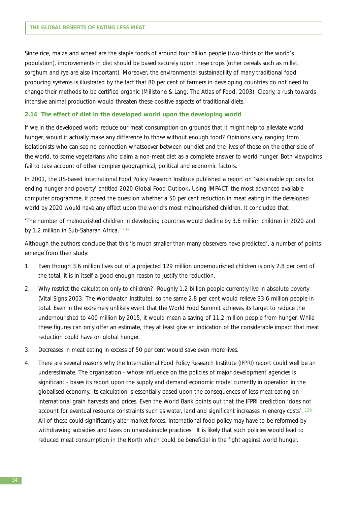Since rice, maize and wheat are the staple foods of around four billion people (two-thirds of the world's population), improvements in diet should be based securely upon these crops (other cereals such as millet, sorghum and rye are also important). Moreover, the environmental sustainability of many traditional food producing systems is illustrated by the fact that 80 per cent of farmers in developing countries do not need to change their methods to be certified organic (Millstone & Lang. The Atlas of Food, 2003). Clearly, a rush towards intensive animal production would threaten these positive aspects of traditional diets.

#### **2.14 The effect of diet in the developed world upon the developing world**

If we in the developed world reduce our meat consumption on grounds that it might help to alleviate world hunger, would it actually make any difference to those without enough food? Opinions vary, ranging from isolationists who can see no connection whatsoever between our diet and the lives of those on the other side of the world, to some vegetarians who claim a non-meat diet as a complete answer to world hunger. Both viewpoints fail to take account of other complex geographical, political and economic factors.

In 2001, the US-based International Food Policy Research Institute published a report on 'sustainable options for ending hunger and poverty' entitled *2020 Global Food Outlook***.** Using IMPACT, the most advanced available computer programme, it posed the question whether a 50 per cent reduction in meat eating in the developed world by 2020 would have any effect upon the world's most malnourished children. It concluded that:

'The number of malnourished children in developing countries would decline by 3.6 million children in 2020 and by 1.2 million in Sub-Saharan Africa.' 138

Although the authors conclude that this 'is much smaller than many observers have predicted', a number of points emerge from their study:

- 1. Even though 3.6 million lives out of a projected 129 million undernourished children is only 2.8 per cent of the total, it is in itself a good enough reason to justify the reduction.
- 2. Why restrict the calculation only to children? Roughly 1.2 billion people currently live in absolute poverty (Vital Signs 2003: The Worldwatch Institute), so the same 2.8 per cent would relieve 33.6 million people in total. Even in the extremely unlikely event that the World Food Summit achieves its target to reduce the undernourished to 400 million by 2015, it would mean a saving of 11.2 million people from hunger. While these figures can only offer an estimate, they at least give an indication of the considerable impact that meat reduction could have on global hunger.
- 3. Decreases in meat eating in excess of 50 per cent would save even more lives.
- 4. There are several reasons why the International Food Policy Research Institute (IFPRI) report could well be an underestimate. The organisation - whose influence on the policies of major development agencies is significant - bases its report upon the supply and demand economic model currently in operation in the globalised economy. Its calculation is essentially based upon the consequences of less meat eating on international grain harvests and prices. Even the World Bank points out that the IFPRI prediction 'does not account for eventual resource constraints such as water, land and significant increases in energy costs'. 139 All of these could significantly alter market forces. International food policy may have to be reformed by withdrawing subsidies and taxes on unsustainable practices. It is likely that such policies would lead to reduced meat consumption in the North which could be beneficial in the fight against world hunger.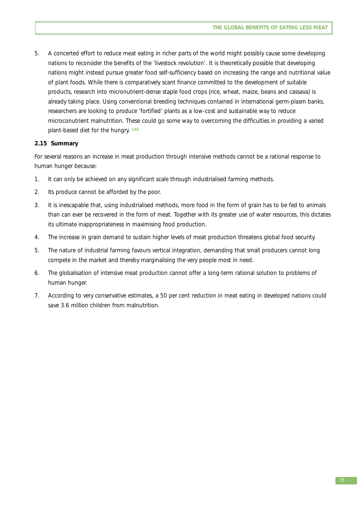5. A concerted effort to reduce meat eating in richer parts of the world might possibly cause some developing nations to reconsider the benefits of the 'livestock revolution'. It is theoretically possible that developing nations might instead pursue greater food self-sufficiency based on increasing the range and nutritional value of plant foods. While there is comparatively scant finance committed to the development of suitable products, research into micronutrient-dense staple food crops (rice, wheat, maize, beans and cassava) is already taking place. Using conventional breeding techniques contained in international germ-plasm banks, researchers are looking to produce 'fortified' plants as a low-cost and sustainable way to reduce microconutrient malnutrition. These could go some way to overcoming the difficulties in providing a varied plant-based diet for the hungry. 140

## **2.15 Summary**

For several reasons an increase in meat production through intensive methods cannot be a rational response to human hunger because:

- 1. It can only be achieved on any significant scale through industrialised farming methods.
- 2. Its produce cannot be afforded by the poor.
- 3. It is inescapable that, using industrialised methods, more food in the form of grain has to be fed to animals than can ever be recovered in the form of meat. Together with its greater use of water resources, this dictates its ultimate inappropriateness in maximising food production.
- 4. The increase in grain demand to sustain higher levels of meat production threatens global food security.
- 5. The nature of industrial farming favours vertical integration, demanding that small producers cannot long compete in the market and thereby marginalising the very people most in need.
- 6. The globalisation of intensive meat production cannot offer a long-term rational solution to problems of human hunger.
- 7. According to very conservative estimates, a 50 per cent reduction in meat eating in developed nations could save 3.6 million children from malnutrition.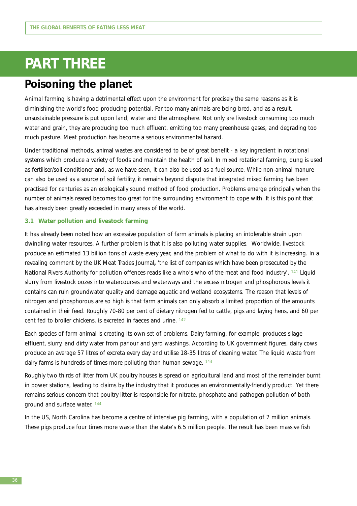# **PART THREE**

# **Poisoning the planet**

Animal farming is having a detrimental effect upon the environment for precisely the same reasons as it is diminishing the world's food producing potential. Far too many animals are being bred, and as a result, unsustainable pressure is put upon land, water and the atmosphere. Not only are livestock consuming too much water and grain, they are producing too much effluent, emitting too many greenhouse gases, and degrading too much pasture. Meat production has become a serious environmental hazard.

Under traditional methods, animal wastes are considered to be of great benefit - a key ingredient in rotational systems which produce a variety of foods and maintain the health of soil. In mixed rotational farming, dung is used as fertiliser/soil conditioner and, as we have seen, it can also be used as a fuel source. While non-animal manure can also be used as a source of soil fertility, it remains beyond dispute that integrated mixed farming has been practised for centuries as an ecologically sound method of food production. Problems emerge principally when the number of animals reared becomes too great for the surrounding environment to cope with. It is this point that has already been greatly exceeded in many areas of the world.

### **3.1 Water pollution and livestock farming**

It has already been noted how an excessive population of farm animals is placing an intolerable strain upon dwindling water resources. A further problem is that it is also polluting water supplies. Worldwide, livestock produce an estimated 13 billion tons of waste every year, and the problem of what to do with it is increasing. In a revealing comment by the UK Meat Trades Journal**,** 'the list of companies which have been prosecuted by the National Rivers Authority for pollution offences reads like a who's who of the meat and food industry'. <sup>141</sup> Liquid slurry from livestock oozes into watercourses and waterways and the excess nitrogen and phosphorous levels it contains can ruin groundwater quality and damage aquatic and wetland ecosystems. The reason that levels of nitrogen and phosphorous are so high is that farm animals can only absorb a limited proportion of the amounts contained in their feed. Roughly 70-80 per cent of dietary nitrogen fed to cattle, pigs and laying hens, and 60 per cent fed to broiler chickens, is excreted in faeces and urine. 142

Each species of farm animal is creating its own set of problems. Dairy farming, for example, produces silage effluent, slurry, and dirty water from parlour and yard washings. According to UK government figures, dairy cows produce an average 57 litres of excreta every day and utilise 18-35 litres of cleaning water. The liquid waste from dairy farms is hundreds of times more polluting than human sewage. 143

Roughly two thirds of litter from UK poultry houses is spread on agricultural land and most of the remainder burnt in power stations, leading to claims by the industry that it produces an environmentally-friendly product. Yet there remains serious concern that poultry litter is responsible for nitrate, phosphate and pathogen pollution of both ground and surface water. 144

In the US, North Carolina has become a centre of intensive pig farming, with a population of 7 million animals. These pigs produce four times more waste than the state's 6.5 million people. The result has been massive fish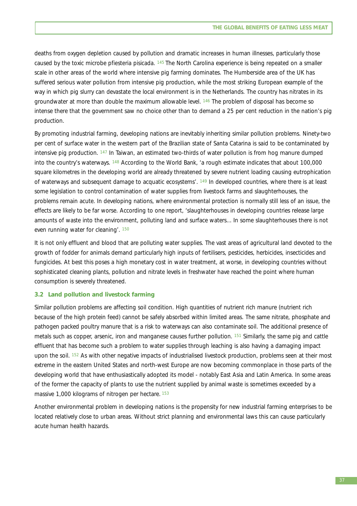deaths from oxygen depletion caused by pollution and dramatic increases in human illnesses, particularly those caused by the toxic microbe *pfiesteria pisicada*. 145 The North Carolina experience is being repeated on a smaller scale in other areas of the world where intensive pig farming dominates. The Humberside area of the UK has suffered serious water pollution from intensive pig production, while the most striking European example of the way in which pig slurry can devastate the local environment is in the Netherlands. The country has nitrates in its groundwater at more than double the maximum allowable level. 146 The problem of disposal has become so intense there that the government saw no choice other than to demand a 25 per cent reduction in the nation's pig production.

By promoting industrial farming, developing nations are inevitably inheriting similar pollution problems. Ninety-two per cent of surface water in the western part of the Brazilian state of Santa Catarina is said to be contaminated by intensive pig production. 147 In Taiwan, an estimated two-thirds of water pollution is from hog manure dumped into the country's waterways. 148 According to the World Bank, 'a rough estimate indicates that about 100,000 square kilometres in the developing world are already threatened by severe nutrient loading causing eutrophication of waterways and subsequent damage to acquatic ecosystems'. 149 In developed countries, where there is at least some legislation to control contamination of water supplies from livestock farms and slaughterhouses, the problems remain acute. In developing nations, where environmental protection is normally still less of an issue, the effects are likely to be far worse. According to one report, 'slaughterhouses in developing countries release large amounts of waste into the environment, polluting land and surface waters... In some slaughterhouses there is not even running water for cleaning'. 150

It is not only effluent and blood that are polluting water supplies. The vast areas of agricultural land devoted to the growth of fodder for animals demand particularly high inputs of fertilisers, pesticides, herbicides, insecticides and fungicides. At best this poses a high monetary cost in water treatment, at worse, in developing countries without sophisticated cleaning plants, pollution and nitrate levels in freshwater have reached the point where human consumption is severely threatened.

## **3.2 Land pollution and livestock farming**

Similar pollution problems are affecting soil condition. High quantities of nutrient rich manure (nutrient rich because of the high protein feed) cannot be safely absorbed within limited areas. The same nitrate, phosphate and pathogen packed poultry manure that is a risk to waterways can also contaminate soil. The additional presence of metals such as copper, arsenic, iron and manganese causes further pollution. 151 Similarly, the same pig and cattle effluent that has become such a problem to water supplies through leaching is also having a damaging impact upon the soil. <sup>152</sup> As with other negative impacts of industrialised livestock production, problems seen at their most extreme in the eastern United States and north-west Europe are now becoming commonplace in those parts of the developing world that have enthusiastically adopted its model - notably East Asia and Latin America. In some areas of the former the capacity of plants to use the nutrient supplied by animal waste is sometimes exceeded by a massive 1,000 kilograms of nitrogen per hectare. <sup>153</sup>

Another environmental problem in developing nations is the propensity for new industrial farming enterprises to be located relatively close to urban areas. Without strict planning and environmental laws this can cause particularly acute human health hazards.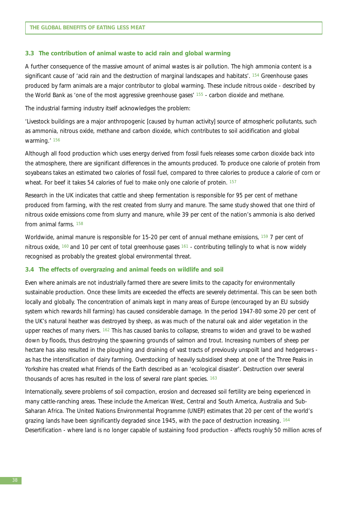#### **3.3 The contribution of animal waste to acid rain and global warming**

A further consequence of the massive amount of animal wastes is air pollution. The high ammonia content is a significant cause of 'acid rain and the destruction of marginal landscapes and habitats'. 154 Greenhouse gases produced by farm animals are a major contributor to global warming. These include nitrous oxide - described by the World Bank as 'one of the most aggressive greenhouse gases' 155 - carbon dioxide and methane.

The industrial farming industry itself acknowledges the problem:

'Livestock buildings are a major anthropogenic [caused by human activity] source of atmospheric pollutants, such as ammonia, nitrous oxide, methane and carbon dioxide, which contributes to soil acidification and global warming.' <sup>156</sup>

Although all food production which uses energy derived from fossil fuels releases some carbon dioxide back into the atmosphere, there are significant differences in the amounts produced. To produce one calorie of protein from soyabeans takes an estimated two calories of fossil fuel, compared to three calories to produce a calorie of corn or wheat. For beef it takes 54 calories of fuel to make only one calorie of protein. 157

Research in the UK indicates that cattle and sheep fermentation is responsible for 95 per cent of methane produced from farming, with the rest created from slurry and manure. The same study showed that one third of nitrous oxide emissions come from slurry and manure, while 39 per cent of the nation's ammonia is also derived from animal farms. 158

Worldwide, animal manure is responsible for 15-20 per cent of annual methane emissions, 159 7 per cent of nitrous oxide, 160 and 10 per cent of total greenhouse gases 161 - contributing tellingly to what is now widely recognised as probably the greatest global environmental threat.

#### **3.4 The effects of overgrazing and animal feeds on wildlife and soil**

Even where animals are not industrially farmed there are severe limits to the capacity for environmentally sustainable production. Once these limits are exceeded the effects are severely detrimental. This can be seen both locally and globally. The concentration of animals kept in many areas of Europe (encouraged by an EU subsidy system which rewards hill farming) has caused considerable damage. In the period 1947-80 some 20 per cent of the UK's natural heather was destroyed by sheep, as was much of the natural oak and alder vegetation in the upper reaches of many rivers. 162 This has caused banks to collapse, streams to widen and gravel to be washed down by floods, thus destroying the spawning grounds of salmon and trout. Increasing numbers of sheep per hectare has also resulted in the ploughing and draining of vast tracts of previously unspoilt land and hedgerows as has the intensification of dairy farming. Overstocking of heavily subsidised sheep at one of the Three Peaks in Yorkshire has created what Friends of the Earth described as an 'ecological disaster'. Destruction over several thousands of acres has resulted in the loss of several rare plant species. 163

Internationally, severe problems of soil compaction, erosion and decreased soil fertility are being experienced in many cattle-ranching areas. These include the American West, Central and South America, Australia and Sub-Saharan Africa. The United Nations Environmental Programme (UNEP) estimates that 20 per cent of the world's grazing lands have been significantly degraded since 1945, with the pace of destruction increasing. 164 Desertification - where land is no longer capable of sustaining food production - affects roughly 50 million acres of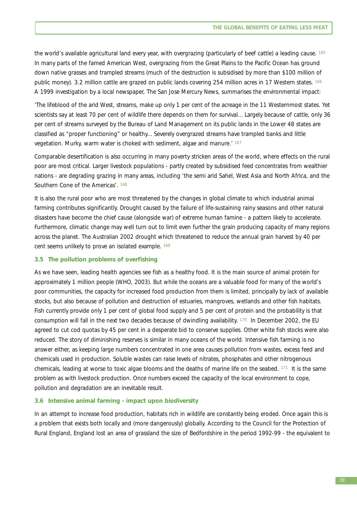the world's available agricultural land every year, with overgrazing (particularly of beef cattle) a leading cause. 165 In many parts of the famed American West, overgrazing from the Great Plains to the Pacific Ocean has ground down native grasses and trampled streams (much of the destruction is subsidised by more than \$100 million of public money). 3.2 million cattle are grazed on public lands covering 254 million acres in 17 Western states. 166 A 1999 investigation by a local newspaper, The San Jose Mercury News, summarises the environmental impact:

'The lifeblood of the arid West, streams, make up only 1 per cent of the acreage in the 11 Westernmost states. Yet scientists say at least 70 per cent of wildlife there depends on them for survival... Largely because of cattle, only 36 per cent of streams surveyed by the Bureau of Land Management on its public lands in the Lower 48 states are classified as "proper functioning" or healthy... Severely overgrazed streams have trampled banks and little vegetation. Murky, warm water is choked with sediment, algae and manure.' <sup>167</sup>

Comparable desertification is also occurring in many poverty stricken areas of the world, where effects on the rural poor are most critical. Larger livestock populations - partly created by subsidised feed concentrates from wealthier nations - are degrading grazing in many areas, including 'the semi arid Sahel, West Asia and North Africa, and the Southern Cone of the Americas'. 168

It is also the rural poor who are most threatened by the changes in global climate to which industrial animal farming contributes significantly. Drought caused by the failure of life-sustaining rainy seasons and other natural disasters have become the chief cause (alongside war) of extreme human famine - a pattern likely to accelerate. Furthermore, climatic change may well turn out to limit even further the grain producing capacity of many regions across the planet. The Australian 2002 drought which threatened to reduce the annual grain harvest by 40 per cent seems unlikely to prove an isolated example. 169

### **3.5 The pollution problems of overfishing**

As we have seen, leading health agencies see fish as a healthy food. It is the main source of animal protein for approximately 1 million people (WHO, 2003). But while the oceans are a valuable food for many of the world's poor communities, the capacity for increased food production from them is limited, principally by lack of available stocks, but also because of pollution and destruction of estuaries, mangroves, wetlands and other fish habitats. Fish currently provide only 1 per cent of global food supply and 5 per cent of protein and the probability is that consumption will fall in the next two decades because of dwindling availability. 170 In December 2002, the EU agreed to cut cod quotas by 45 per cent in a desperate bid to conserve supplies. Other white fish stocks were also reduced. The story of diminishing reserves is similar in many oceans of the world. Intensive fish farming is no answer either, as keeping large numbers concentrated in one area causes pollution from wastes, excess feed and chemicals used in production. Soluble wastes can raise levels of nitrates, phosphates and other nitrogenous chemicals, leading at worse to toxic algae blooms and the deaths of marine life on the seabed.  $171$  It is the same problem as with livestock production. Once numbers exceed the capacity of the local environment to cope, pollution and degradation are an inevitable result.

#### **3.6 Intensive animal farming - impact upon biodiversity**

In an attempt to increase food production, habitats rich in wildlife are constantly being eroded. Once again this is a problem that exists both locally and (more dangerously) globally. According to the Council for the Protection of Rural England, England lost an area of grassland the size of Bedfordshire in the period 1992-99 - the equivalent to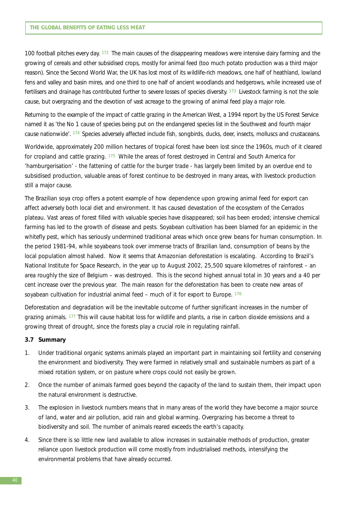100 football pitches every day. 172 The main causes of the disappearing meadows were intensive dairy farming and the growing of cereals and other subsidised crops, mostly for animal feed (too much potato production was a third major reason). Since the Second World War, the UK has lost most of its wildlife-rich meadows, one half of heathland, lowland fens and valley and basin mires, and one third to one half of ancient woodlands and hedgerows, while increased use of fertilisers and drainage has contributed further to severe losses of species diversity. 173 Livestock farming is not the sole cause, but overgrazing and the devotion of vast acreage to the growing of animal feed play a major role.

Returning to the example of the impact of cattle grazing in the American West, a 1994 report by the US Forest Service named it as 'the No 1 cause of species being put on the endangered species list in the Southwest and fourth major cause nationwide'. 174 Species adversely affected include fish, songbirds, ducks, deer, insects, molluscs and crustaceans.

Worldwide, approximately 200 million hectares of tropical forest have been lost since the 1960s, much of it cleared for cropland and cattle grazing. 175 While the areas of forest destroyed in Central and South America for 'hamburgerisation' - the fattening of cattle for the burger trade - has largely been limited by an overdue end to subsidised production, valuable areas of forest continue to be destroyed in many areas, with livestock production still a major cause.

The Brazilian soya crop offers a potent example of how dependence upon growing animal feed for export can affect adversely both local diet and environment. It has caused devastation of the ecosystem of the Cerrados plateau. Vast areas of forest filled with valuable species have disappeared; soil has been eroded; intensive chemical farming has led to the growth of disease and pests. Soyabean cultivation has been blamed for an epidemic in the whitefly pest, which has seriously undermined traditional areas which once grew beans for human consumption. In the period 1981-94, while soyabeans took over immense tracts of Brazilian land, consumption of beans by the local population almost halved. Now it seems that Amazonian deforestation is escalating. According to Brazil's National Institute for Space Research, in the year up to August 2002, 25,500 square kilometres of rainforest – an area roughly the size of Belgium – was destroyed. This is the second highest annual total in 30 years and a 40 per cent increase over the previous year. The main reason for the deforestation has been to create new areas of soyabean cultivation for industrial animal feed  $-$  much of it for export to Europe.  $176$ 

Deforestation and degradation will be the inevitable outcome of further significant increases in the number of grazing animals. 177 This will cause habitat loss for wildlife and plants, a rise in carbon dioxide emissions and a growing threat of drought, since the forests play a crucial role in regulating rainfall.

#### **3.7 Summary**

- 1. Under traditional organic systems animals played an important part in maintaining soil fertility and conserving the environment and biodiversity. They were farmed in relatively small and sustainable numbers as part of a mixed rotation system, or on pasture where crops could not easily be grown.
- 2. Once the number of animals farmed goes beyond the capacity of the land to sustain them, their impact upon the natural environment is destructive.
- 3. The explosion in livestock numbers means that in many areas of the world they have become a major source of land, water and air pollution, acid rain and global warming. Overgrazing has become a threat to biodiversity and soil. The number of animals reared exceeds the earth's capacity.
- 4. Since there is so little new land available to allow increases in sustainable methods of production, greater reliance upon livestock production will come mostly from industrialised methods, intensifying the environmental problems that have already occurred.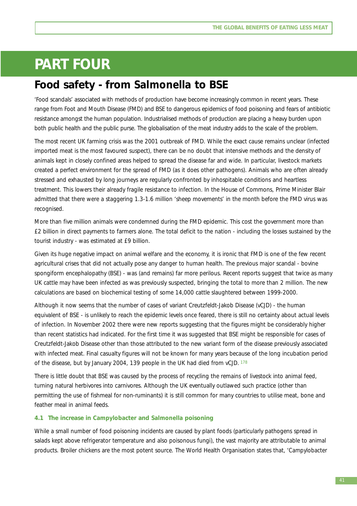# **PART FOUR**

# **Food safety - from** *Salmonella* **to BSE**

'Food scandals' associated with methods of production have become increasingly common in recent years. These range from Foot and Mouth Disease (FMD) and BSE to dangerous epidemics of food poisoning and fears of antibiotic resistance amongst the human population. Industrialised methods of production are placing a heavy burden upon both public health and the public purse. The globalisation of the meat industry adds to the scale of the problem.

The most recent UK farming crisis was the 2001 outbreak of FMD. While the exact cause remains unclear (infected imported meat is the most favoured suspect), there can be no doubt that intensive methods and the density of animals kept in closely confined areas helped to spread the disease far and wide. In particular, livestock markets created a perfect environment for the spread of FMD (as it does other pathogens). Animals who are often already stressed and exhausted by long journeys are regularly confronted by inhospitable conditions and heartless treatment. This lowers their already fragile resistance to infection. In the House of Commons, Prime Minister Blair admitted that there were a staggering 1.3-1.6 million 'sheep movements' in the month before the FMD virus was recognised.

More than five million animals were condemned during the FMD epidemic. This cost the government more than £2 billion in direct payments to farmers alone. The total deficit to the nation - including the losses sustained by the tourist industry - was estimated at £9 billion.

Given its huge negative impact on animal welfare and the economy, it is ironic that FMD is one of the few recent agricultural crises that did not actually pose any danger to human health. The previous major scandal - bovine spongiform encephalopathy (BSE) - was (and remains) far more perilous. Recent reports suggest that twice as many UK cattle may have been infected as was previously suspected, bringing the total to more than 2 million. The new calculations are based on biochemical testing of some 14,000 cattle slaughtered between 1999-2000.

Although it now seems that the number of cases of variant Creutzfeldt-Jakob Disease (vCJD) - the human equivalent of BSE - is unlikely to reach the epidemic levels once feared, there is still no certainty about actual levels of infection. In November 2002 there were new reports suggesting that the figures might be considerably higher than recent statistics had indicated. For the first time it was suggested that BSE might be responsible for cases of Creutzfeldt-Jakob Disease other than those attributed to the new variant form of the disease previously associated with infected meat. Final casualty figures will not be known for many years because of the long incubation period of the disease, but by January 2004, 139 people in the UK had died from vCJD. 178

There is little doubt that BSE was caused by the process of recycling the remains of livestock into animal feed, turning natural herbivores into carnivores. Although the UK eventually outlawed such practice (other than permitting the use of fishmeal for non-ruminants) it is still common for many countries to utilise meat, bone and feather meal in animal feeds.

# **4.1 The increase in** *Campylobacter* **and** *Salmonella* **poisoning**

While a small number of food poisoning incidents are caused by plant foods (particularly pathogens spread in salads kept above refrigerator temperature and also poisonous fungi), the vast majority are attributable to animal products. Broiler chickens are the most potent source. The World Health Organisation states that, '*Campylobacter*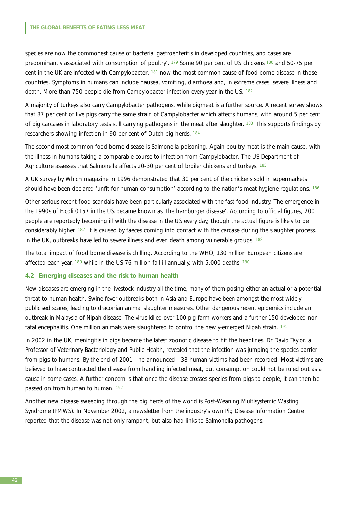species are now the commonest cause of bacterial gastroenteritis in developed countries, and cases are predominantly associated with consumption of poultry'. 179 Some 90 per cent of US chickens 180 and 50-75 per cent in the UK are infected with *Campylobacter*, 181 now the most common cause of food borne disease in those countries. Symptoms in humans can include nausea, vomiting, diarrhoea and, in extreme cases, severe illness and death. More than 750 people die from *Campylobacter* infection every year in the US. 182

A majority of turkeys also carry *Campylobacter* pathogens, while pigmeat is a further source. A recent survey shows that 87 per cent of live pigs carry the same strain of *Campylobacter* which affects humans, with around 5 per cent of pig carcases in laboratory tests still carrying pathogens in the meat after slaughter. 183 This supports findings by researchers showing infection in 90 per cent of Dutch pig herds. 184

The second most common food borne disease is *Salmonella* poisoning. Again poultry meat is the main cause, with the illness in humans taking a comparable course to infection from *Campylobacter*. The US Department of Agriculture assesses that *Salmonella* affects 20-30 per cent of broiler chickens and turkeys. 185

A UK survey by Which magazine in 1996 demonstrated that 30 per cent of the chickens sold in supermarkets should have been declared 'unfit for human consumption' according to the nation's meat hygiene regulations. 186

Other serious recent food scandals have been particularly associated with the fast food industry. The emergence in the 1990s of E.coli 0157 in the US became known as 'the hamburger disease'. According to official figures, 200 people are reportedly becoming ill with the disease in the US every day, though the actual figure is likely to be considerably higher. 187 It is caused by faeces coming into contact with the carcase during the slaughter process. In the UK, outbreaks have led to severe illness and even death among vulnerable groups. 188

The total impact of food borne disease is chilling. According to the WHO, 130 million European citizens are affected each year, 189 while in the US 76 million fall ill annually, with 5,000 deaths. <sup>190</sup>

#### **4.2 Emerging diseases and the risk to human health**

New diseases are emerging in the livestock industry all the time, many of them posing either an actual or a potential threat to human health. Swine fever outbreaks both in Asia and Europe have been amongst the most widely publicised scares, leading to draconian animal slaughter measures. Other dangerous recent epidemics include an outbreak in Malaysia of Nipah disease. The virus killed over 100 pig farm workers and a further 150 developed nonfatal encephalitis. One million animals were slaughtered to control the newly-emerged Nipah strain. 191

In 2002 in the UK, meningitis in pigs became the latest zoonotic disease to hit the headlines. Dr David Taylor, a Professor of Veterinary Bacteriology and Public Health, revealed that the infection was jumping the species barrier from pigs to humans. By the end of 2001 - he announced - 38 human victims had been recorded. Most victims are believed to have contracted the disease from handling infected meat, but consumption could not be ruled out as a cause in some cases. A further concern is that once the disease crosses species from pigs to people, it can then be passed on from human to human. 192

Another new disease sweeping through the pig herds of the world is Post-Weaning Multisystemic Wasting Syndrome (PMWS). In November 2002, a newsletter from the industry's own Pig Disease Information Centre reported that the disease was not only rampant, but also had links to *Salmonella* pathogens: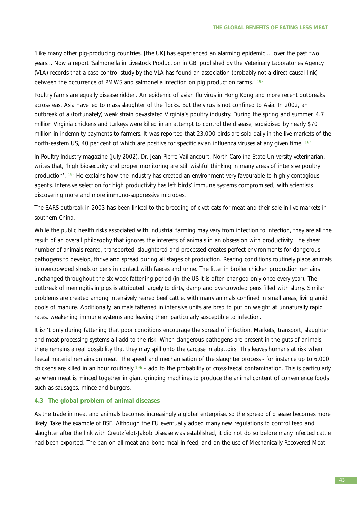'Like many other pig-producing countries, [the UK] has experienced an alarming epidemic ... over the past two years... Now a report 'Salmonella in Livestock Production in GB' published by the Veterinary Laboratories Agency (VLA) records that a case-control study by the VLA has found an association (probably not a direct causal link) between the occurrence of PMWS and salmonella infection on pig production farms.<sup>' 193</sup>

Poultry farms are equally disease ridden. An epidemic of avian flu virus in Hong Kong and more recent outbreaks across east Asia have led to mass slaughter of the flocks. But the virus is not confined to Asia. In 2002, an outbreak of a (fortunately) weak strain devastated Virginia's poultry industry. During the spring and summer, 4.7 million Virginia chickens and turkeys were killed in an attempt to control the disease, subsidised by nearly \$70 million in indemnity payments to farmers. It was reported that 23,000 birds are sold daily in the live markets of the north-eastern US, 40 per cent of which are positive for specific avian influenza viruses at any given time. <sup>194</sup>

In Poultry Industry magazine (July 2002), Dr. Jean-Pierre Vaillancourt, North Carolina State University veterinarian, writes that, 'high biosecurity and proper monitoring are still wishful thinking in many areas of intensive poultry production'. 195 He explains how the industry has created an environment very favourable to highly contagious agents. Intensive selection for high productivity has left birds' immune systems compromised, with scientists discovering more and more immuno-suppressive microbes.

The SARS outbreak in 2003 has been linked to the breeding of civet cats for meat and their sale in live markets in southern China.

While the public health risks associated with industrial farming may vary from infection to infection, they are all the result of an overall philosophy that ignores the interests of animals in an obsession with productivity. The sheer number of animals reared, transported, slaughtered and processed creates perfect environments for dangerous pathogens to develop, thrive and spread during all stages of production. Rearing conditions routinely place animals in overcrowded sheds or pens in contact with faeces and urine. The litter in broiler chicken production remains unchanged throughout the six-week fattening period (in the US it is often changed only once every year). The outbreak of meningitis in pigs is attributed largely to dirty, damp and overcrowded pens filled with slurry. Similar problems are created among intensively reared beef cattle, with many animals confined in small areas, living amid pools of manure*.* Additionally, animals fattened in intensive units are bred to put on weight at unnaturally rapid rates, weakening immune systems and leaving them particularly susceptible to infection.

It isn't only during fattening that poor conditions encourage the spread of infection. Markets, transport, slaughter and meat processing systems all add to the risk. When dangerous pathogens are present in the guts of animals, there remains a real possibility that they may spill onto the carcase in abattoirs. This leaves humans at risk when faecal material remains on meat. The speed and mechanisation of the slaughter process - for instance up to 6,000 chickens are killed in an hour routinely 196 - add to the probability of cross-faecal contamination. This is particularly so when meat is minced together in giant grinding machines to produce the animal content of convenience foods such as sausages, mince and burgers.

### **4.3 The global problem of animal diseases**

As the trade in meat and animals becomes increasingly a global enterprise, so the spread of disease becomes more likely. Take the example of BSE. Although the EU eventually added many new regulations to control feed and slaughter after the link with Creutzfeldt-Jakob Disease was established, it did not do so before many infected cattle had been exported. The ban on all meat and bone meal in feed, and on the use of Mechanically Recovered Meat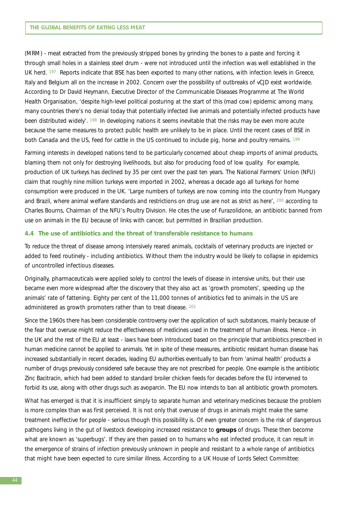(MRM) - meat extracted from the previously stripped bones by grinding the bones to a paste and forcing it through small holes in a stainless steel drum - were not introduced until the infection was well established in the UK herd. 197 Reports indicate that BSE has been exported to many other nations, with infection levels in Greece, Italy and Belgium all on the increase in 2002. Concern over the possibility of outbreaks of vCJD exist worldwide. According to Dr David Heymann, Executive Director of the Communicable Diseases Programme at The World Health Organisation, 'despite high-level political posturing at the start of this (mad cow) epidemic among many, many countries there's no denial today that potentially infected live animals and potentially infected products have been distributed widely'. <sup>198</sup> In developing nations it seems inevitable that the risks may be even more acute because the same measures to protect public health are unlikely to be in place. Until the recent cases of BSE in both Canada and the US, feed for cattle in the US continued to include pig, horse and poultry remains. 199

Farming interests in developed nations tend to be particularly concerned about cheap imports of animal products, blaming them not only for destroying livelihoods, but also for producing food of low quality. For example, production of UK turkeys has declined by 35 per cent over the past ten years. The National Farmers' Union (NFU) claim that roughly nine million turkeys were imported in 2002, whereas a decade ago all turkeys for home consumption were produced in the UK. 'Large numbers of turkeys are now coming into the country from Hungary and Brazil, where animal welfare standards and restrictions on drug use are not as strict as here', 200 according to Charles Bourns, Chairman of the NFU's Poultry Division. He cites the use of Furazolidone, an antibiotic banned from use on animals in the EU because of links with cancer, but permitted in Brazilian production.

## **4.4 The use of antibiotics and the threat of transferable resistance to humans**

To reduce the threat of disease among intensively reared animals, cocktails of veterinary products are injected or added to feed routinely - including antibiotics. Without them the industry would be likely to collapse in epidemics of uncontrolled infectious diseases.

Originally, pharmaceuticals were applied solely to control the levels of disease in intensive units, but their use became even more widespread after the discovery that they also act as 'growth promoters', speeding up the animals' rate of fattening. Eighty per cent of the 11,000 tonnes of antibiotics fed to animals in the US are administered as growth promoters rather than to treat disease. 201

Since the 1960s there has been considerable controversy over the application of such substances, mainly because of the fear that overuse might reduce the effectiveness of medicines used in the treatment of human illness. Hence - in the UK and the rest of the EU at least - laws have been introduced based on the principle that antibiotics prescribed in human medicine cannot be applied to animals. Yet in spite of these measures, antibiotic resistant human disease has increased substantially in recent decades, leading EU authorities eventually to ban from 'animal health' products a number of drugs previously considered safe because they are not prescribed for people. One example is the antibiotic Zinc Bacitracin, which had been added to standard broiler chicken feeds for decades before the EU intervened to forbid its use, along with other drugs such as avoparcin. The EU now intends to ban all antibiotic growth promoters.

What has emerged is that it is insufficient simply to separate human and veterinary medicines because the problem is more complex than was first perceived. It is not only that overuse of drugs in animals might make the same treatment ineffective for people - serious though this possibility is. Of even greater concern is the risk of dangerous pathogens living in the gut of livestock developing increased resistance to **groups** of drugs. These then become what are known as 'superbugs'. If they are then passed on to humans who eat infected produce, it can result in the emergence of strains of infection previously unknown in people and resistant to a whole range of antibiotics that might have been expected to cure similar illness. According to a UK House of Lords Select Committee: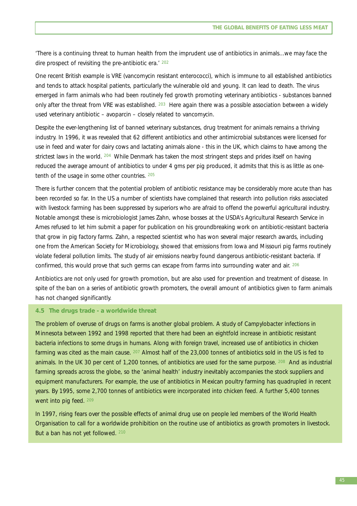'There is a continuing threat to human health from the imprudent use of antibiotics in animals...we may face the dire prospect of revisiting the pre-antibiotic era.' <sup>202</sup>

One recent British example is VRE (vancomycin resistant enterococci), which is immune to all established antibiotics and tends to attack hospital patients, particularly the vulnerable old and young. It can lead to death. The virus emerged in farm animals who had been routinely fed growth promoting veterinary antibiotics - substances banned only after the threat from VRE was established. <sup>203</sup> Here again there was a possible association between a widely used veterinary antibiotic – avoparcin – closely related to vancomycin.

Despite the ever-lengthening list of banned veterinary substances, drug treatment for animals remains a thriving industry. In 1996, it was revealed that 62 different antibiotics and other antimicrobial substances were licensed for use in feed and water for dairy cows and lactating animals alone - this in the UK, which claims to have among the strictest laws in the world. 204 While Denmark has taken the most stringent steps and prides itself on having reduced the average amount of antibiotics to under 4 gms per pig produced, it admits that this is as little as onetenth of the usage in some other countries. 205

There is further concern that the potential problem of antibiotic resistance may be considerably more acute than has been recorded so far. In the US a number of scientists have complained that research into pollution risks associated with livestock farming has been suppressed by superiors who are afraid to offend the powerful agricultural industry. Notable amongst these is microbiologist James Zahn, whose bosses at the USDA's Agricultural Research Service in Ames refused to let him submit a paper for publication on his groundbreaking work on antibiotic-resistant bacteria that grow in pig factory farms. Zahn, a respected scientist who has won several major research awards, including one from the American Society for Microbiology, showed that emissions from Iowa and Missouri pig farms routinely violate federal pollution limits. The study of air emissions nearby found dangerous antibiotic-resistant bacteria. If confirmed, this would prove that such germs can escape from farms into surrounding water and air. 206

Antibiotics are not only used for growth promotion, but are also used for prevention and treatment of disease. In spite of the ban on a series of antibiotic growth promoters, the overall amount of antibiotics given to farm animals has not changed significantly.

## **4.5 The drugs trade - a worldwide threat**

The problem of overuse of drugs on farms is another global problem. A study of *Campylobacter* infections in Minnesota between 1992 and 1998 reported that there had been an eightfold increase in antibiotic resistant bacteria infections to some drugs in humans. Along with foreign travel, increased use of antibiotics in chicken farming was cited as the main cause. 207 Almost half of the 23,000 tonnes of antibiotics sold in the US is fed to animals. In the UK 30 per cent of 1,200 tonnes, of antibiotics are used for the same purpose. 208 And as industrial farming spreads across the globe, so the 'animal health' industry inevitably accompanies the stock suppliers and equipment manufacturers. For example, the use of antibiotics in Mexican poultry farming has quadrupled in recent years. By 1995, some 2,700 tonnes of antibiotics were incorporated into chicken feed. A further 5,400 tonnes went into pig feed. 209

In 1997, rising fears over the possible effects of animal drug use on people led members of the World Health Organisation to call for a worldwide prohibition on the routine use of antibiotics as growth promoters in livestock. But a ban has not yet followed. 210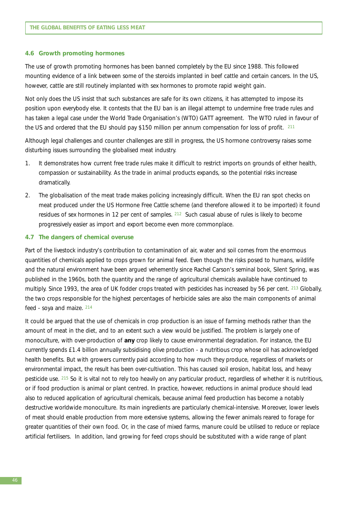#### **4.6 Growth promoting hormones**

The use of growth promoting hormones has been banned completely by the EU since 1988. This followed mounting evidence of a link between some of the steroids implanted in beef cattle and certain cancers. In the US, however, cattle are still routinely implanted with sex hormones to promote rapid weight gain.

Not only does the US insist that such substances are safe for its own citizens, it has attempted to impose its position upon everybody else. It contests that the EU ban is an illegal attempt to undermine free trade rules and has taken a legal case under the World Trade Organisation's (WTO) GATT agreement. The WTO ruled in favour of the US and ordered that the EU should pay \$150 million per annum compensation for loss of profit. 211

Although legal challenges and counter challenges are still in progress, the US hormone controversy raises some disturbing issues surrounding the globalised meat industry.

- 1. It demonstrates how current free trade rules make it difficult to restrict imports on grounds of either health, compassion or sustainability. As the trade in animal products expands, so the potential risks increase dramatically.
- 2. The globalisation of the meat trade makes policing increasingly difficult. When the EU ran spot checks on meat produced under the US Hormone Free Cattle scheme (and therefore allowed it to be imported) it found residues of sex hormones in 12 per cent of samples. 212 Such casual abuse of rules is likely to become progressively easier as import and export become even more commonplace.

#### **4.7 The dangers of chemical overuse**

Part of the livestock industry's contribution to contamination of air, water and soil comes from the enormous quantities of chemicals applied to crops grown for animal feed. Even though the risks posed to humans, wildlife and the natural environment have been argued vehemently since Rachel Carson's seminal book, *Silent Spring*, was published in the 1960s, both the quantity and the range of agricultural chemicals available have continued to multiply. Since 1993, the area of UK fodder crops treated with pesticides has increased by 56 per cent. 213 Globally, the two crops responsible for the highest percentages of herbicide sales are also the main components of animal feed - soya and maize. 214

It could be argued that the use of chemicals in crop production is an issue of farming methods rather than the amount of meat in the diet, and to an extent such a view would be justified. The problem is largely one of monoculture, with over-production of **any** crop likely to cause environmental degradation. For instance, the EU currently spends £1.4 billion annually subsidising olive production - a nutritious crop whose oil has acknowledged health benefits. But with growers currently paid according to how much they produce, regardless of markets or environmental impact, the result has been over-cultivation. This has caused soil erosion, habitat loss, and heavy pesticide use. 215 So it is vital not to rely too heavily on any particular product, regardless of whether it is nutritious, or if food production is animal or plant centred. In practice, however, reductions in animal produce should lead also to reduced application of agricultural chemicals, because animal feed production has become a notably destructive worldwide monoculture. Its main ingredients are particularly chemical-intensive. Moreover, lower levels of meat should enable production from more extensive systems, allowing the fewer animals reared to forage for greater quantities of their own food. Or, in the case of mixed farms, manure could be utilised to reduce or replace artificial fertilisers. In addition, land growing for feed crops should be substituted with a wide range of plant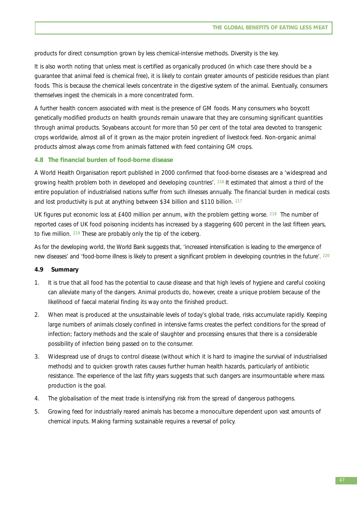products for direct consumption grown by less chemical-intensive methods. Diversity is the key.

It is also worth noting that unless meat is certified as organically produced (in which case there should be a guarantee that animal feed is chemical free), it is likely to contain greater amounts of pesticide residues than plant foods. This is because the chemical levels concentrate in the digestive system of the animal. Eventually, consumers themselves ingest the chemicals in a more concentrated form.

A further health concern associated with meat is the presence of GM foods. Many consumers who boycott genetically modified products on health grounds remain unaware that they are consuming significant quantities through animal products. Soyabeans account for more than 50 per cent of the total area devoted to transgenic crops worldwide, almost all of it grown as the major protein ingredient of livestock feed. Non-organic animal products almost always come from animals fattened with feed containing GM crops.

### **4.8 The financial burden of food-borne disease**

A World Health Organisation report published in 2000 confirmed that food-borne diseases are a 'widespread and growing health problem both in developed and developing countries'. 216 It estimated that almost a third of the entire population of industrialised nations suffer from such illnesses annually. The financial burden in medical costs and lost productivity is put at anything between \$34 billion and \$110 billion. 217

UK figures put economic loss at £400 million per annum, with the problem getting worse, 218. The number of reported cases of UK food poisoning incidents has increased by a staggering 600 percent in the last fifteen years, to five million. <sup>219</sup> These are probably only the tip of the iceberg.

As for the developing world, the World Bank suggests that, 'increased intensification is leading to the emergence of new diseases' and 'food-borne illness is likely to present a significant problem in developing countries in the future'*.* <sup>220</sup>

#### **4.9 Summary**

- 1. It is true that all food has the potential to cause disease and that high levels of hygiene and careful cooking can alleviate many of the dangers. Animal products do, however, create a unique problem because of the likelihood of faecal material finding its way onto the finished product.
- 2. When meat is produced at the unsustainable levels of today's global trade, risks accumulate rapidly. Keeping large numbers of animals closely confined in intensive farms creates the perfect conditions for the spread of infection; factory methods and the scale of slaughter and processing ensures that there is a considerable possibility of infection being passed on to the consumer.
- 3. Widespread use of drugs to control disease (without which it is hard to imagine the survival of industrialised methods) and to quicken growth rates causes further human health hazards, particularly of antibiotic resistance. The experience of the last fifty years suggests that such dangers are insurmountable where mass production is the goal.
- 4. The globalisation of the meat trade is intensifying risk from the spread of dangerous pathogens.
- 5. Growing feed for industrially reared animals has become a monoculture dependent upon vast amounts of chemical inputs. Making farming sustainable requires a reversal of policy.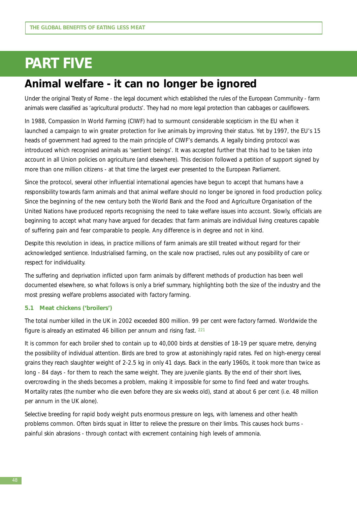# **PART FIVE**

# **Animal welfare - it can no longer be ignored**

Under the original Treaty of Rome - the legal document which established the rules of the European Community - farm animals were classified as 'agricultural products'. They had no more legal protection than cabbages or cauliflowers.

In 1988, Compassion In World Farming (CIWF) had to surmount considerable scepticism in the EU when it launched a campaign to win greater protection for live animals by improving their status. Yet by 1997, the EU's 15 heads of government had agreed to the main principle of CIWF's demands. A legally binding protocol was introduced which recognised animals as 'sentient beings'. It was accepted further that this had to be taken into account in all Union policies on agriculture (and elsewhere). This decision followed a petition of support signed by more than one million citizens - at that time the largest ever presented to the European Parliament.

Since the protocol, several other influential international agencies have begun to accept that humans have a responsibility towards farm animals and that animal welfare should no longer be ignored in food production policy. Since the beginning of the new century both the World Bank and the Food and Agriculture Organisation of the United Nations have produced reports recognising the need to take welfare issues into account. Slowly, officials are beginning to accept what many have argued for decades: that farm animals are individual living creatures capable of suffering pain and fear comparable to people. Any difference is in degree and not in kind.

Despite this revolution in *ideas*, in *practice* millions of farm animals are still treated without regard for their acknowledged sentience. Industrialised farming, on the scale now practised, rules out any possibility of care or respect for individuality.

The suffering and deprivation inflicted upon farm animals by different methods of production has been well documented elsewhere, so what follows is only a brief summary, highlighting both the size of the industry and the most pressing welfare problems associated with factory farming.

## **5.1 Meat chickens ('broilers')**

The total number killed in the UK in 2002 exceeded 800 million. 99 per cent were factory farmed. Worldwide the figure is already an estimated 46 billion per annum and rising fast. 221

It is common for each broiler shed to contain up to 40,000 birds at densities of 18-19 per square metre, denying the possibility of individual attention. Birds are bred to grow at astonishingly rapid rates. Fed on high-energy cereal grains they reach slaughter weight of 2-2.5 kg in only 41 days. Back in the early 1960s, it took more than twice as long - 84 days - for them to reach the same weight. They are juvenile giants. By the end of their short lives, overcrowding in the sheds becomes a problem, making it impossible for some to find feed and water troughs. Mortality rates (the number who die even before they are six weeks old), stand at about 6 per cent (i.e. 48 million per annum in the UK alone).

Selective breeding for rapid body weight puts enormous pressure on legs, with lameness and other health problems common. Often birds squat in litter to relieve the pressure on their limbs. This causes hock burns painful skin abrasions - through contact with excrement containing high levels of ammonia.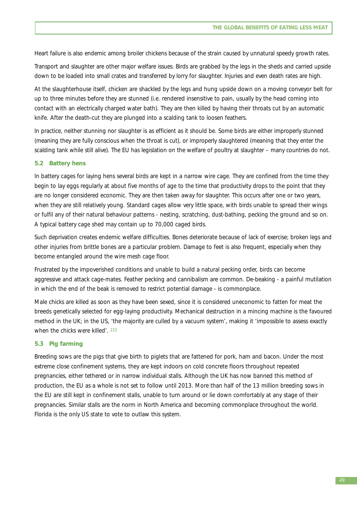Heart failure is also endemic among broiler chickens because of the strain caused by unnatural speedy growth rates.

Transport and slaughter are other major welfare issues. Birds are grabbed by the legs in the sheds and carried upside down to be loaded into small crates and transferred by lorry for slaughter. Injuries and even death rates are high.

At the slaughterhouse itself, chicken are shackled by the legs and hung upside down on a moving conveyor belt for up to three minutes before they are stunned (i.e. rendered insensitive to pain, usually by the head coming into contact with an electrically charged water bath). They are then killed by having their throats cut by an automatic knife. After the death-cut they are plunged into a scalding tank to loosen feathers.

In practice, neither stunning nor slaughter is as efficient as it should be. Some birds are either improperly stunned (meaning they are fully conscious when the throat is cut), or improperly slaughtered (meaning that they enter the scalding tank while still alive). The EU has legislation on the welfare of poultry at slaughter – many countries do not.

## **5.2 Battery hens**

In battery cages for laying hens several birds are kept in a narrow wire cage. They are confined from the time they begin to lay eggs regularly at about five months of age to the time that productivity drops to the point that they are no longer considered economic. They are then taken away for slaughter. This occurs after one or two years, when they are still relatively young. Standard cages allow very little space, with birds unable to spread their wings or fulfil any of their natural behaviour patterns - nesting, scratching, dust-bathing, pecking the ground and so on. A typical battery cage shed may contain up to 70,000 caged birds.

Such deprivation creates endemic welfare difficulties. Bones deteriorate because of lack of exercise; broken legs and other injuries from brittle bones are a particular problem. Damage to feet is also frequent, especially when they become entangled around the wire mesh cage floor.

Frustrated by the impoverished conditions and unable to build a natural pecking order, birds can become aggressive and attack cage-mates. Feather pecking and cannibalism are common. De-beaking - a painful mutilation in which the end of the beak is removed to restrict potential damage - is commonplace.

Male chicks are killed as soon as they have been sexed, since it is considered uneconomic to fatten for meat the breeds genetically selected for egg-laying productivity. Mechanical destruction in a mincing machine is the favoured method in the UK; in the US, 'the majority are culled by a vacuum system', making it 'impossible to assess exactly when the chicks were killed'. 222

# **5.3 Pig farming**

Breeding sows are the pigs that give birth to piglets that are fattened for pork, ham and bacon. Under the most extreme close confinement systems, they are kept indoors on cold concrete floors throughout repeated pregnancies, either tethered or in narrow individual stalls. Although the UK has now banned this method of production, the EU as a whole is not set to follow until 2013. More than half of the 13 million breeding sows in the EU are still kept in confinement stalls, unable to turn around or lie down comfortably at any stage of their pregnancies. Similar stalls are the norm in North America and becoming commonplace throughout the world. Florida is the only US state to vote to outlaw this system.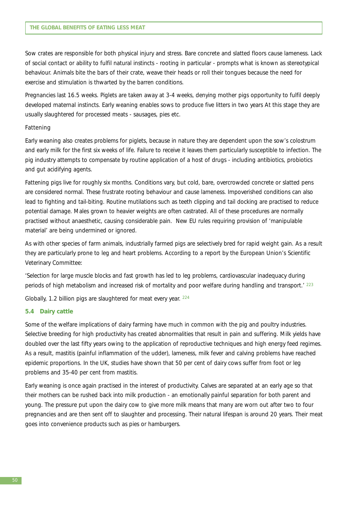Sow crates are responsible for both physical injury and stress. Bare concrete and slatted floors cause lameness. Lack of social contact or ability to fulfil natural instincts - rooting in particular - prompts what is known as stereotypical behaviour. Animals bite the bars of their crate, weave their heads or roll their tongues because the need for exercise and stimulation is thwarted by the barren conditions.

Pregnancies last 16.5 weeks. Piglets are taken away at 3-4 weeks, denying mother pigs opportunity to fulfil deeply developed maternal instincts. Early weaning enables sows to produce five litters in two years At this stage they are usually slaughtered for processed meats - sausages, pies etc.

### *Fattening*

Early weaning also creates problems for piglets, because in nature they are dependent upon the sow's colostrum and early milk for the first six weeks of life. Failure to receive it leaves them particularly susceptible to infection. The pig industry attempts to compensate by routine application of a host of drugs - including antibiotics, probiotics and gut acidifying agents.

Fattening pigs live for roughly six months. Conditions vary, but cold, bare, overcrowded concrete or slatted pens are considered normal. These frustrate rooting behaviour and cause lameness. Impoverished conditions can also lead to fighting and tail-biting. Routine mutilations such as teeth clipping and tail docking are practised to reduce potential damage. Males grown to heavier weights are often castrated. All of these procedures are normally practised without anaesthetic, causing considerable pain. New EU rules requiring provision of 'manipulable material' are being undermined or ignored.

As with other species of farm animals, industrially farmed pigs are selectively bred for rapid weight gain. As a result they are particularly prone to leg and heart problems. According to a report by the European Union's Scientific Veterinary Committee:

'Selection for large muscle blocks and fast growth has led to leg problems, cardiovascular inadequacy during periods of high metabolism and increased risk of mortality and poor welfare during handling and transport.' <sup>223</sup>

Globally, 1.2 billion pigs are slaughtered for meat every year. 224

#### **5.4 Dairy cattle**

Some of the welfare implications of dairy farming have much in common with the pig and poultry industries. Selective breeding for high productivity has created abnormalities that result in pain and suffering. Milk yields have doubled over the last fifty years owing to the application of reproductive techniques and high energy feed regimes. As a result, mastitis (painful inflammation of the udder), lameness, milk fever and calving problems have reached epidemic proportions. In the UK, studies have shown that 50 per cent of dairy cows suffer from foot or leg problems and 35-40 per cent from mastitis.

Early weaning is once again practised in the interest of productivity. Calves are separated at an early age so that their mothers can be rushed back into milk production - an emotionally painful separation for both parent and young. The pressure put upon the dairy cow to give more milk means that many are worn out after two to four pregnancies and are then sent off to slaughter and processing. Their natural lifespan is around 20 years. Their meat goes into convenience products such as pies or hamburgers.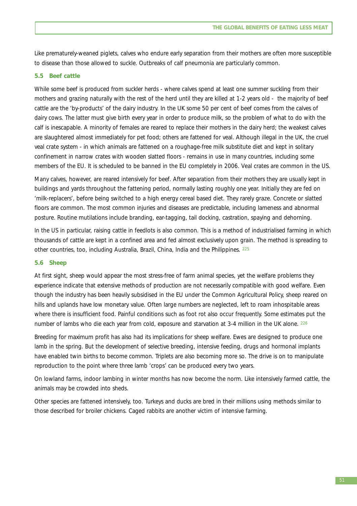Like prematurely-weaned piglets, calves who endure early separation from their mothers are often more susceptible to disease than those allowed to suckle. Outbreaks of calf pneumonia are particularly common.

## **5.5 Beef cattle**

While some beef is produced from suckler herds - where calves spend at least one summer suckling from their mothers and grazing naturally with the rest of the herd until they are killed at 1-2 years old - the majority of beef cattle are the 'by-products' of the dairy industry. In the UK some 50 per cent of beef comes from the calves of dairy cows. The latter must give birth every year in order to produce milk, so the problem of what to do with the calf is inescapable. A minority of females are reared to replace their mothers in the dairy herd; the weakest calves are slaughtered almost immediately for pet food; others are fattened for veal. Although illegal in the UK, the cruel veal crate system - in which animals are fattened on a roughage-free milk substitute diet and kept in solitary confinement in narrow crates with wooden slatted floors - remains in use in many countries, including some members of the EU. It is scheduled to be banned in the EU completely in 2006. Veal crates are common in the US.

Many calves, however, are reared intensively for beef. After separation from their mothers they are usually kept in buildings and yards throughout the fattening period, normally lasting roughly one year. Initially they are fed on 'milk-replacers', before being switched to a high energy cereal based diet. They rarely graze. Concrete or slatted floors are common. The most common injuries and diseases are predictable, including lameness and abnormal posture. Routine mutilations include branding, ear-tagging, tail docking, castration, spaying and dehorning.

In the US in particular, raising cattle in feedlots is also common. This is a method of industrialised farming in which thousands of cattle are kept in a confined area and fed almost exclusively upon grain. The method is spreading to other countries, too, including Australia, Brazil, China, India and the Philippines. 225

## **5.6 Sheep**

At first sight, sheep would appear the most stress-free of farm animal species, yet the welfare problems they experience indicate that extensive methods of production are not necessarily compatible with good welfare. Even though the industry has been heavily subsidised in the EU under the Common Agricultural Policy, sheep reared on hills and uplands have low monetary value. Often large numbers are neglected, left to roam inhospitable areas where there is insufficient food. Painful conditions such as foot rot also occur frequently. Some estimates put the number of lambs who die each year from cold, exposure and starvation at 3-4 million in the UK alone. 226

Breeding for maximum profit has also had its implications for sheep welfare. Ewes are designed to produce one lamb in the spring. But the development of selective breeding, intensive feeding, drugs and hormonal implants have enabled twin births to become common. Triplets are also becoming more so. The drive is on to manipulate reproduction to the point where three lamb 'crops' can be produced every two years.

On lowland farms, indoor lambing in winter months has now become the norm. Like intensively farmed cattle, the animals may be crowded into sheds.

Other species are fattened intensively, too. Turkeys and ducks are bred in their millions using methods similar to those described for broiler chickens. Caged rabbits are another victim of intensive farming.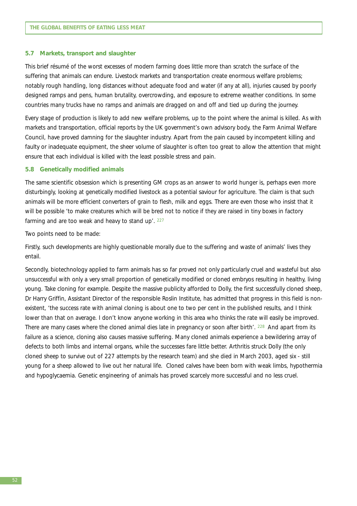#### **5.7 Markets, transport and slaughter**

This brief résumé of the worst excesses of modern farming does little more than scratch the surface of the suffering that animals can endure. Livestock markets and transportation create enormous welfare problems; notably rough handling, long distances without adequate food and water (if any at all), injuries caused by poorly designed ramps and pens, human brutality, overcrowding, and exposure to extreme weather conditions. In some countries many trucks have no ramps and animals are dragged on and off and tied up during the journey.

Every stage of production is likely to add new welfare problems, up to the point where the animal is killed. As with markets and transportation, official reports by the UK government's own advisory body, the Farm Animal Welfare Council, have proved damning for the slaughter industry. Apart from the pain caused by incompetent killing and faulty or inadequate equipment, the sheer volume of slaughter is often too great to allow the attention that might ensure that each individual is killed with the least possible stress and pain.

#### **5.8 Genetically modified animals**

The same scientific obsession which is presenting GM crops as an answer to world hunger is, perhaps even more disturbingly, looking at genetically modified livestock as a potential saviour for agriculture. The claim is that such animals will be more efficient converters of grain to flesh, milk and eggs. There are even those who insist that it will be possible 'to make creatures which will be bred not to notice if they are raised in tiny boxes in factory farming and are too weak and heavy to stand up'. 227

Two points need to be made:

Firstly, such developments are highly questionable morally due to the suffering and waste of animals' lives they entail.

Secondly, biotechnology applied to farm animals has so far proved not only particularly cruel and wasteful but also unsuccessful with only a very small proportion of genetically modified or cloned embryos resulting in healthy, living young. Take cloning for example. Despite the massive publicity afforded to Dolly, the first successfully cloned sheep, Dr Harry Griffin, Assistant Director of the responsible Roslin Institute, has admitted that progress in this field is nonexistent, 'the success rate with animal cloning is about one to two per cent in the published results, and I think lower than that on average. I don't know anyone working in this area who thinks the rate will easily be improved. There are many cases where the cloned animal dies late in pregnancy or soon after birth'. 228 And apart from its failure as a science, cloning also causes massive suffering. Many cloned animals experience a bewildering array of defects to both limbs and internal organs, while the successes fare little better. Arthritis struck Dolly (the only cloned sheep to survive out of 227 attempts by the research team) and she died in March 2003, aged six - still young for a sheep allowed to live out her natural life. Cloned calves have been born with weak limbs, hypothermia and hypoglycaemia. Genetic engineering of animals has proved scarcely more successful and no less cruel.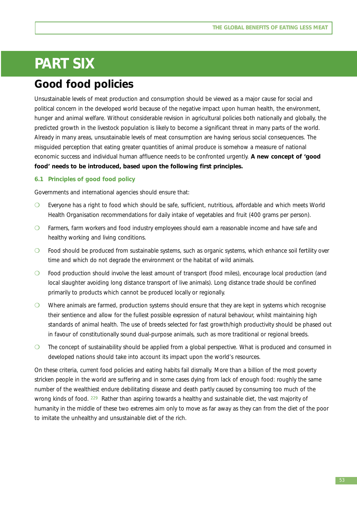# **PART SIX**

# **Good food policies**

Unsustainable levels of meat production and consumption should be viewed as a major cause for social and political concern in the developed world because of the negative impact upon human health, the environment, hunger and animal welfare. Without considerable revision in agricultural policies both nationally and globally, the predicted growth in the livestock population is likely to become a significant threat in many parts of the world. Already in many areas, unsustainable levels of meat consumption are having serious social consequences. The misguided perception that eating greater quantities of animal produce is somehow a measure of national economic success and individual human affluence needs to be confronted urgently. **A new concept of 'good food' needs to be introduced, based upon the following first principles.** 

## **6.1 Principles of good food policy**

Governments and international agencies should ensure that:

- ❍ Everyone has a right to food which should be safe, sufficient, nutritious, affordable and which meets World Health Organisation recommendations for daily intake of vegetables and fruit (400 grams per person).
- ❍ Farmers, farm workers and food industry employees should earn a reasonable income and have safe and healthy working and living conditions.
- ❍ Food should be produced from sustainable systems, such as organic systems, which enhance soil fertility over time and which do not degrade the environment or the habitat of wild animals.
- ❍ Food production should involve the least amount of transport (food miles), encourage local production (and local slaughter avoiding long distance transport of live animals). Long distance trade should be confined primarily to products which cannot be produced locally or regionally.
- ❍ Where animals are farmed, production systems should ensure that they are kept in systems which recognise their sentience and allow for the fullest possible expression of natural behaviour, whilst maintaining high standards of animal health. The use of breeds selected for fast growth/high productivity should be phased out in favour of constitutionally sound dual-purpose animals, such as more traditional or regional breeds.
- ❍ The concept of sustainability should be applied from a global perspective. What is produced and consumed in developed nations should take into account its impact upon the world's resources.

On these criteria, current food policies and eating habits fail dismally. More than a billion of the most poverty stricken people in the world are suffering and in some cases dying from lack of enough food: roughly the same number of the wealthiest endure debilitating disease and death partly caused by consuming too much of the wrong kinds of food. <sup>229</sup> Rather than aspiring towards a healthy and sustainable diet, the vast majority of humanity in the middle of these two extremes aim only to move as far away as they can from the diet of the poor to imitate the unhealthy and unsustainable diet of the rich.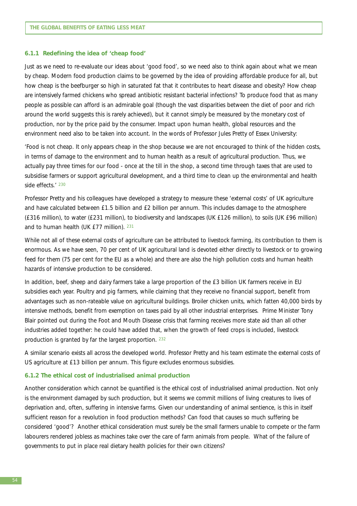#### **6.1.1 Redefining the idea of 'cheap food'**

Just as we need to re-evaluate our ideas about 'good food', so we need also to think again about what we mean by cheap. Modern food production claims to be governed by the idea of providing affordable produce for all, but how cheap is the beefburger so high in saturated fat that it contributes to heart disease and obesity? How cheap are intensively farmed chickens who spread antibiotic resistant bacterial infections? To produce food that as many people as possible can afford is an admirable goal (though the vast disparities between the diet of poor and rich around the world suggests this is rarely achieved), but it cannot simply be measured by the monetary cost of production, nor by the price paid by the consumer. Impact upon human health, global resources and the environment need also to be taken into account. In the words of Professor Jules Pretty of Essex University:

'Food is not cheap. It only appears cheap in the shop because we are not encouraged to think of the hidden costs, in terms of damage to the environment and to human health as a result of agricultural production. Thus, we actually pay three times for our food - once at the till in the shop, a second time through taxes that are used to subsidise farmers or support agricultural development, and a third time to clean up the environmental and health side effects.' <sup>230</sup>

Professor Pretty and his colleagues have developed a strategy to measure these 'external costs' of UK agriculture and have calculated between £1.5 billion and £2 billion per annum. This includes damage to the atmosphere (£316 million), to water (£231 million), to biodiversity and landscapes (UK £126 million), to soils (UK £96 million) and to human health (UK £77 million). 231

While not all of these external costs of agriculture can be attributed to livestock farming, its contribution to them is enormous. As we have seen, 70 per cent of UK agricultural land is devoted either directly to livestock or to growing feed for them (75 per cent for the EU as a whole) and there are also the high pollution costs and human health hazards of intensive production to be considered.

In addition, beef, sheep and dairy farmers take a large proportion of the £3 billion UK farmers receive in EU subsidies each year. Poultry and pig farmers, while claiming that they receive no financial support, benefit from advantages such as non-rateable value on agricultural buildings. Broiler chicken units, which fatten 40,000 birds by intensive methods, benefit from exemption on taxes paid by all other industrial enterprises. Prime Minister Tony Blair pointed out during the Foot and Mouth Disease crisis that farming receives more state aid than all other industries added together: he could have added that, when the growth of feed crops is included, livestock production is granted by far the largest proportion. 232

A similar scenario exists all across the developed world. Professor Pretty and his team estimate the external costs of US agriculture at £13 billion per annum. This figure excludes enormous subsidies.

#### **6.1.2 The ethical cost of industrialised animal production**

Another consideration which cannot be quantified is the ethical cost of industrialised animal production. Not only is the environment damaged by such production, but it seems we commit millions of living creatures to lives of deprivation and, often, suffering in intensive farms. Given our understanding of animal sentience, is this in itself sufficient reason for a revolution in food production methods? Can food that causes so much suffering be considered 'good'? Another ethical consideration must surely be the small farmers unable to compete or the farm labourers rendered jobless as machines take over the care of farm animals from people. What of the failure of governments to put in place real dietary health policies for their own citizens?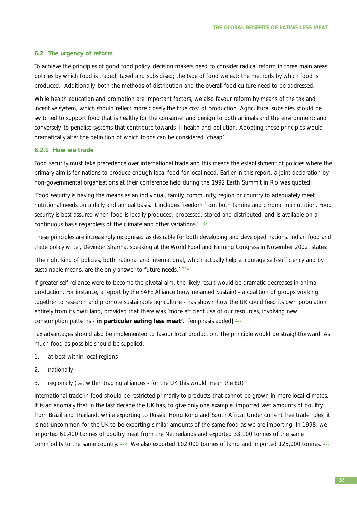### **6.2 The urgency of reform**

To achieve the principles of good food policy, decision makers need to consider radical reform in three main areas: policies by which food is traded, taxed and subsidised; the type of food we eat; the methods by which food is produced. Additionally, both the methods of distribution and the overall food culture need to be addressed.

While health education and promotion are important factors, we also favour reform by means of the tax and incentive system, which should reflect more closely the true cost of production. Agricultural subsidies should be switched to support food that is healthy for the consumer and benign to both animals and the environment; and conversely, to penalise systems that contribute towards ill-health and pollution. Adopting these principles would dramatically alter the definition of which foods can be considered 'cheap'.

#### **6.2.1 How we trade**

Food security must take precedence over international trade and this means the establishment of policies where the primary aim is for nations to produce enough local food for local need. Earlier in this report, a joint declaration by non-governmental organisations at their conference held during the 1992 Earth Summit in Rio was quoted:

'Food security is having the means as an individual, family, community, region or country to adequately meet nutritional needs on a daily and annual basis. It includes freedom from both famine and chronic malnutrition. Food security is best assured when food is locally produced, processed, stored and distributed, and is available on a continuous basis regardless of the climate and other variations.' <sup>233</sup>

These principles are increasingly recognised as desirable for both developing and developed nations. Indian food and trade policy writer, Devinder Sharma, speaking at the World Food and Farming Congress in November 2002, states:

'The right kind of policies, both national and international, which actually help encourage self-sufficiency and by sustainable means, are the only answer to future needs.<sup>' 234</sup>

If greater self-reliance were to become the pivotal aim, the likely result would be dramatic decreases in animal production. For instance, a report by the SAFE Alliance (now renamed Sustain) - a coalition of groups working together to research and promote sustainable agriculture - has shown how the UK could feed its own population entirely from its own land, provided that there was 'more efficient use of our resources, involving new consumption patterns - **in particular eating less meat'.** [*emphasis added*] <sup>235</sup>

Tax advantages should also be implemented to favour local production. The principle would be straightforward. As much food as possible should be supplied:

- 1. at best within local regions
- 2. nationally
- 3. regionally (i.e. within trading alliances for the UK this would mean the EU)

International trade in food should be restricted primarily to products that cannot be grown in more local climates. It is an anomaly that in the last decade the UK has, to give only one example, imported vast amounts of poultry from Brazil and Thailand, while exporting to Russia, Hong Kong and South Africa. Under current free trade rules, it is not uncommon for the UK to be exporting similar amounts of the same food as we are importing. In 1998, we imported 61,400 tonnes of poultry meat from the Netherlands and exported 33,100 tonnes of the same commodity to the same country.  $236$  We also exported 102,000 tonnes of lamb and imported 125,000 tonnes.  $237$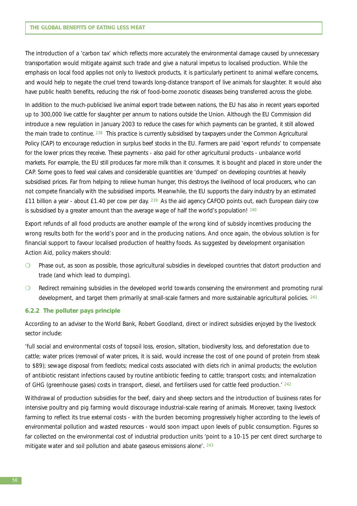The introduction of a 'carbon tax' which reflects more accurately the environmental damage caused by unnecessary transportation would mitigate against such trade and give a natural impetus to localised production. While the emphasis on local food applies not only to livestock products, it is particularly pertinent to animal welfare concerns, and would help to negate the cruel trend towards long-distance transport of live animals for slaughter. It would also have public health benefits, reducing the risk of food-borne zoonotic diseases being transferred across the globe.

In addition to the much-publicised live animal export trade between nations, the EU has also in recent years exported up to 300,000 live cattle for slaughter per annum to nations outside the Union. Although the EU Commission did introduce a new regulation in January 2003 to reduce the cases for which payments can be granted, it still allowed the main trade to continue. <sup>238</sup> This practice is currently subsidised by taxpayers under the Common Agricultural Policy (CAP) to encourage reduction in surplus beef stocks in the EU. Farmers are paid 'export refunds' to compensate for the lower prices they receive. These payments - also paid for other agricultural products - unbalance world markets. For example, the EU still produces far more milk than it consumes. It is bought and placed in store under the CAP. Some goes to feed veal calves and considerable quantities are 'dumped' on developing countries at heavily subsidised prices. Far from helping to relieve human hunger, this destroys the livelihood of local producers, who can not compete financially with the subsidised imports. Meanwhile, the EU supports the dairy industry by an estimated £11 billion a year - about £1.40 per cow per day.  $239$  As the aid agency CAFOD points out, each European dairy cow is subsidised by a greater amount than the average wage of half the world's population!  $240$ 

Export refunds of all food products are another example of the wrong kind of subsidy incentives producing the wrong results both for the world's poor and in the producing nations. And once again, the obvious solution is for financial support to favour localised production of healthy foods. As suggested by development organisation Action Aid, policy makers should:

- ❍ Phase out, as soon as possible, those agricultural subsidies in developed countries that distort production and trade (and which lead to dumping).
- ❍ Redirect remaining subsidies in the developed world towards conserving the environment and promoting rural development, and target them primarily at small-scale farmers and more sustainable agricultural policies. 241

#### **6.2.2 The polluter pays principle**

According to an adviser to the World Bank, Robert Goodland, direct or indirect subsidies enjoyed by the livestock sector include:

'full social and environmental costs of topsoil loss, erosion, siltation, biodiversity loss, and deforestation due to cattle; water prices (removal of water prices, it is said, would increase the cost of one pound of protein from steak to \$89); sewage disposal from feedlots; medical costs associated with diets rich in animal products; the evolution of antibiotic resistant infections caused by routine antibiotic feeding to cattle; transport costs; and internalization of GHG (greenhouse gases) costs in transport, diesel, and fertilisers used for cattle feed production.' <sup>242</sup>

Withdrawal of production subsidies for the beef, dairy and sheep sectors and the introduction of business rates for intensive poultry and pig farming would discourage industrial-scale rearing of animals. Moreover, taxing livestock farming to reflect its true external costs - with the burden becoming progressively higher according to the levels of environmental pollution and wasted resources - would soon impact upon levels of public consumption. Figures so far collected on the environmental cost of industrial production units 'point to a 10-15 per cent direct surcharge to mitigate water and soil pollution and abate gaseous emissions alone'. <sup>243</sup>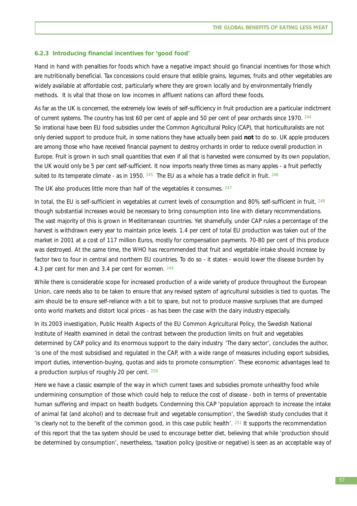#### **6.2.3 Introducing financial incentives for 'good food'**

Hand in hand with penalties for foods which have a negative impact should go financial incentives for those which are nutritionally beneficial. Tax concessions could ensure that edible grains, legumes, fruits and other vegetables are widely available at affordable cost, particularly where they are grown locally and by environmentally friendly methods. It is vital that those on low incomes in affluent nations can afford these foods.

As far as the UK is concerned, the extremely low levels of self-sufficiency in fruit production are a particular indictment of current systems. The country has lost 60 per cent of apple and 50 per cent of pear orchards since 1970. 244 So irrational have been EU food subsidies under the Common Agricultural Policy (CAP), that horticulturalists are not only denied support to produce fruit, in some nations they have actually been paid **not** to do so. UK apple producers are among those who have received financial payment to destroy orchards in order to reduce overall production in Europe. Fruit is grown in such small quantities that even if all that is harvested were consumed by its own population, the UK would only be 5 per cent self-sufficient. It now imports nearly three times as many apples - a fruit perfectly suited to its temperate climate - as in 1950.  $245$  The EU as a whole has a trade deficit in fruit.  $246$ 

The UK also produces little more than half of the vegetables it consumes. 247

In total, the EU is self-sufficient in vegetables at current levels of consumption and 80% self-sufficient in fruit, 248 though substantial increases would be necessary to bring consumption into line with dietary recommendations. The vast majority of this is grown in Mediterranean countries. Yet shamefully, under CAP rules a percentage of the harvest is withdrawn every year to maintain price levels. 1.4 per cent of total EU production was taken out of the market in 2001 at a cost of 117 million Euros, mostly for compensation payments. 70-80 per cent of this produce was destroyed. At the same time, the WHO has recommended that fruit and vegetable intake should increase by factor two to four in central and northern EU countries. To do so - it states - would lower the disease burden by 4.3 per cent for men and 3.4 per cent for women. 249

While there is considerable scope for increased production of a wide variety of produce throughout the European Union, care needs also to be taken to ensure that any revised system of agricultural subsidies is tied to quotas. The aim should be to ensure self-reliance with a bit to spare, but not to produce massive surpluses that are dumped onto world markets and distort local prices - as has been the case with the dairy industry especially.

In its 2003 investigation, *Public Health Aspects of the EU Common Agricultural Policy*, the Swedish National Institute of Health examined in detail the contrast between the production limits on fruit and vegetables determined by CAP policy and its enormous support to the dairy industry. 'The dairy sector', concludes the author, 'is one of the most subsidised and regulated in the CAP, with a wide range of measures including export subsidies, import duties, intervention-buying, quotas and aids to promote consumption'. These economic advantages lead to a production surplus of roughly 20 per cent. 250

Here we have a classic example of the way in which current taxes and subsidies promote unhealthy food while undermining consumption of those which could help to reduce the cost of disease - both in terms of preventable human suffering and impact on health budgets. Condemning this CAP 'population approach to increase the intake of animal fat (and alcohol) and to decrease fruit and vegetable consumption', the Swedish study concludes that it 'is clearly not to the benefit of the common good, in this case public health'. 251 It supports the recommendation of this report that the tax system should be used to encourage better diet, believing that while 'production should be determined by consumption', nevertheless, 'taxation policy (positive or negative) is seen as an acceptable way of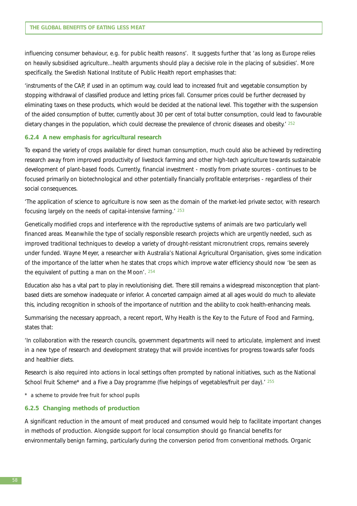influencing consumer behaviour, e.g. for public health reasons'. It suggests further that 'as long as Europe relies on heavily subsidised agriculture...health arguments should play a decisive role in the placing of subsidies'. More specifically, the Swedish National Institute of Public Health report emphasises that:

'instruments of the CAP, if used in an optimum way, could lead to increased fruit and vegetable consumption by stopping withdrawal of classified produce and letting prices fall. Consumer prices could be further decreased by eliminating taxes on these products, which would be decided at the national level. This together with the suspension of the aided consumption of butter, currently about 30 per cent of total butter consumption, could lead to favourable dietary changes in the population, which could decrease the prevalence of chronic diseases and obesity.<sup>' 252</sup>

#### **6.2.4 A new emphasis for agricultural research**

To expand the variety of crops available for direct human consumption, much could also be achieved by redirecting research away from improved productivity of livestock farming and other high-tech agriculture towards sustainable development of plant-based foods. Currently, financial investment - mostly from private sources - continues to be focused primarily on biotechnological and other potentially financially profitable enterprises - regardless of their social consequences.

'The application of science to agriculture is now seen as the domain of the market-led private sector, with research focusing largely on the needs of capital-intensive farming*.*' <sup>253</sup>

Genetically modified crops and interference with the reproductive systems of animals are two particularly well financed areas. Meanwhile the type of socially responsible research projects which are urgently needed, such as improved traditional techniques to develop a variety of drought-resistant micronutrient crops, remains severely under funded. Wayne Meyer, a researcher with Australia's National Agricultural Organisation, gives some indication of the importance of the latter when he states that crops which improve water efficiency should now 'be seen as the equivalent of putting a man on the Moon'. <sup>254</sup>

Education also has a vital part to play in revolutionising diet. There still remains a widespread misconception that plantbased diets are somehow inadequate or inferior. A concerted campaign aimed at all ages would do much to alleviate this, including recognition in schools of the importance of nutrition and the ability to cook health-enhancing meals.

Summarising the necessary approach, a recent report, *Why Health is the Key to the Future of Food and Farming,* states that:

'In collaboration with the research councils, government departments will need to articulate, implement and invest in a new type of research and development strategy that will provide incentives for progress towards safer foods and healthier diets.

Research is also required into actions in local settings often prompted by national initiatives, such as the National School Fruit Scheme\* and a Five a Day programme (five helpings of vegetables/fruit per day).<sup>' 255</sup>

\* a scheme to provide free fruit for school pupils

#### **6.2.5 Changing methods of production**

A significant reduction in the amount of meat produced and consumed would help to facilitate important changes in methods of production. Alongside support for local consumption should go financial benefits for environmentally benign farming, particularly during the conversion period from conventional methods. Organic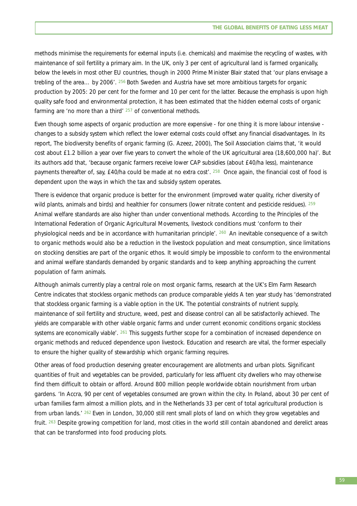methods minimise the requirements for external inputs (i.e. chemicals) and maximise the recycling of wastes, with maintenance of soil fertility a primary aim. In the UK, only 3 per cent of agricultural land is farmed organically, below the levels in most other EU countries, though in 2000 Prime Minister Blair stated that 'our plans envisage a trebling of the area… by 2006'. 256 Both Sweden and Austria have set more ambitious targets for organic production by 2005: 20 per cent for the former and 10 per cent for the latter. Because the emphasis is upon high quality safe food and environmental protection, it has been estimated that the hidden external costs of organic farming are 'no more than a third' 257 of conventional methods.

Even though some aspects of organic production are more expensive - for one thing it is more labour intensive changes to a subsidy system which reflect the lower external costs could offset any financial disadvantages. In its report, *The biodiversity benefits of organic farming* (G. Azeez, 2000), The Soil Association claims that, 'it would cost about £1.2 billion a year over five years to convert the whole of the UK agricultural area (18,600,000 ha)'. But its authors add that, 'because organic farmers receive lower CAP subsidies (about £40/ha less), maintenance payments thereafter of, say, £40/ha could be made at no extra cost'. <sup>258</sup> Once again, the financial cost of food is dependent upon the ways in which the tax and subsidy system operates.

There is evidence that organic produce is better for the environment (improved water quality, richer diversity of wild plants, animals and birds) and healthier for consumers (lower nitrate content and pesticide residues). <sup>259</sup> Animal welfare standards are also higher than under conventional methods. According to the Principles of the International Federation of Organic Agricultural Movements, livestock conditions must 'conform to their physiological needs and be in accordance with humanitarian principle'*.* 260 An inevitable consequence of a switch to organic methods would also be a reduction in the livestock population and meat consumption, since limitations on stocking densities are part of the organic ethos. It would simply be impossible to conform to the environmental and animal welfare standards demanded by organic standards and to keep anything approaching the current population of farm animals.

Although animals currently play a central role on most organic farms, research at the UK's Elm Farm Research Centre indicates that stockless organic methods can produce comparable yields A ten year study has 'demonstrated that stockless organic farming is a viable option in the UK. The potential constraints of nutrient supply, maintenance of soil fertility and structure, weed, pest and disease control can all be satisfactorily achieved. The yields are comparable with other viable organic farms and under current economic conditions organic stockless systems are economically viable'. <sup>261</sup> This suggests further scope for a combination of increased dependence on organic methods and reduced dependence upon livestock. Education and research are vital, the former especially to ensure the higher quality of stewardship which organic farming requires.

Other areas of food production deserving greater encouragement are allotments and urban plots. Significant quantities of fruit and vegetables can be provided, particularly for less affluent city dwellers who may otherwise find them difficult to obtain or afford. Around 800 million people worldwide obtain nourishment from urban gardens. 'In Accra, 90 per cent of vegetables consumed are grown within the city. In Poland, about 30 per cent of urban families farm almost a million plots, and in the Netherlands 33 per cent of total agricultural production is from urban lands.' 262 Even in London, 30,000 still rent small plots of land on which they grow vegetables and fruit. 263 Despite growing competition for land, most cities in the world still contain abandoned and derelict areas that can be transformed into food producing plots.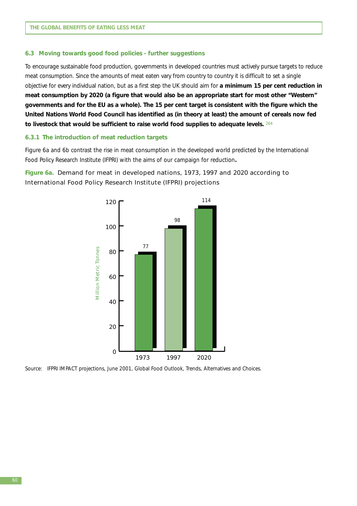#### **6.3 Moving towards good food policies - further suggestions**

To encourage sustainable food production, governments in developed countries must actively pursue targets to reduce meat consumption. Since the amounts of meat eaten vary from country to country it is difficult to set a single objective for every individual nation, but as a first step the UK should aim for **a minimum 15 per cent reduction in meat consumption by 2020 (a figure that would also be an appropriate start for most other "Western" governments and for the EU as a whole). The 15 per cent target is consistent with the figure which the United Nations World Food Council has identified as (in theory at least) the amount of cereals now fed to livestock that would be sufficient to raise world food supplies to adequate levels.** <sup>264</sup>

#### **6.3.1 The introduction of meat reduction targets**

Figure 6a and 6b contrast the rise in meat consumption in the developed world predicted by the International Food Policy Research Institute (IFPRI) with the aims of our campaign for reduction**.** 

# **Figure 6a.** Demand for meat in developed nations, 1973, 1997 and 2020 according to International Food Policy Research Institute (IFPRI) projections



Source: IFPRI IMPACT projections, June 2001, Global Food Outlook, Trends, Alternatives and Choices.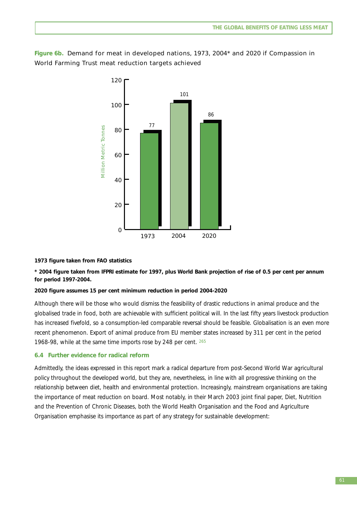**Figure 6b.** Demand for meat in developed nations, 1973, 2004\* and 2020 if Compassion in World Farming Trust meat reduction targets achieved



## **1973 figure taken from FAO statistics**

**\* 2004 figure taken from IFPRI estimate for 1997, plus World Bank projection of rise of 0.5 per cent per annum for period 1997-2004.**

## **2020 figure assumes 15 per cent minimum reduction in period 2004-2020**

Although there will be those who would dismiss the feasibility of drastic reductions in animal produce and the globalised trade in food, both are achievable with sufficient political will. In the last fifty years livestock production has increased fivefold, so a consumption-led comparable reversal should be feasible. Globalisation is an even more recent phenomenon. Export of animal produce from EU member states increased by 311 per cent in the period 1968-98, while at the same time imports rose by 248 per cent. 265

## **6.4 Further evidence for radical reform**

Admittedly, the ideas expressed in this report mark a radical departure from post-Second World War agricultural policy throughout the developed world, but they are, nevertheless, in line with all progressive thinking on the relationship between diet, health and environmental protection. Increasingly, mainstream organisations are taking the importance of meat reduction on board. Most notably, in their March 2003 joint final paper, *Diet, Nutrition and the Prevention of Chronic Diseases*, both the World Health Organisation and the Food and Agriculture Organisation emphasise its importance as part of any strategy for sustainable development: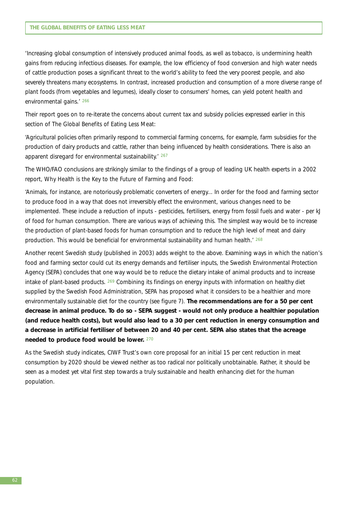'Increasing global consumption of intensively produced animal foods, as well as tobacco, is undermining health gains from reducing infectious diseases. For example, the low efficiency of food conversion and high water needs of cattle production poses a significant threat to the world's ability to feed the very poorest people, and also severely threatens many ecosystems. In contrast, increased production and consumption of a more diverse range of plant foods (from vegetables and legumes), ideally closer to consumers' homes, can yield potent health and environmental gains.' 266

Their report goes on to re-iterate the concerns about current tax and subsidy policies expressed earlier in this section of *The Global Benefits of Eating Less Meat*:

'Agricultural policies often primarily respond to commercial farming concerns, for example, farm subsidies for the production of dairy products and cattle, rather than being influenced by health considerations. There is also an apparent disregard for environmental sustainability.' <sup>267</sup>

The WHO/FAO conclusions are strikingly similar to the findings of a group of leading UK health experts in a 2002 report, *Why Health is the Key to the Future of Farming and Food*:

'Animals, for instance, are notoriously problematic converters of energy... In order for the food and farming sector to produce food in a way that does not irreversibly effect the environment, various changes need to be implemented. These include a reduction of inputs - pesticides, fertilisers, energy from fossil fuels and water - per kJ of food for human consumption. There are various ways of achieving this. The simplest way would be to increase the production of plant-based foods for human consumption and to reduce the high level of meat and dairy production. This would be beneficial for environmental sustainability and human health.' <sup>268</sup>

Another recent Swedish study (published in 2003) adds weight to the above. Examining ways in which the nation's food and farming sector could cut its energy demands and fertiliser inputs, the Swedish Environmental Protection Agency (SEPA) concludes that one way would be to reduce the dietary intake of animal products and to increase intake of plant-based products. 269 Combining its findings on energy inputs with information on healthy diet supplied by the Swedish Food Administration, SEPA has proposed what it considers to be a healthier and more environmentally sustainable diet for the country (see figure 7). **The recommendations are for a 50 per cent decrease in animal produce. To do so - SEPA suggest - would not only produce a healthier population (and reduce health costs), but would also lead to a 30 per cent reduction in energy consumption and a decrease in artificial fertiliser of between 20 and 40 per cent. SEPA also states that the acreage needed to produce food would be lower.** <sup>270</sup>

As the Swedish study indicates, CIWF Trust's own core proposal for an initial 15 per cent reduction in meat consumption by 2020 should be viewed neither as too radical nor politically unobtainable. Rather, it should be seen as a modest yet vital first step towards a truly sustainable and health enhancing diet for the human population.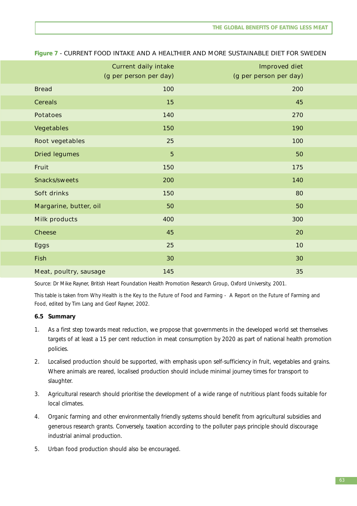|                        | <b>Current daily intake</b> | <b>Improved diet</b>   |  |
|------------------------|-----------------------------|------------------------|--|
|                        | (g per person per day)      | (g per person per day) |  |
| <b>Bread</b>           | 100                         | 200                    |  |
| <b>Cereals</b>         | 15                          | 45                     |  |
| <b>Potatoes</b>        | 140                         | 270                    |  |
| <b>Vegetables</b>      | 150                         | 190                    |  |
| <b>Root vegetables</b> | 25                          | 100                    |  |
| <b>Dried legumes</b>   | $5\phantom{a}$              | 50                     |  |
| Fruit                  | 150                         | 175                    |  |
| <b>Snacks/sweets</b>   | 200                         | 140                    |  |
| Soft drinks            | 150                         | 80                     |  |
| Margarine, butter, oil | 50                          | 50                     |  |
| <b>Milk products</b>   | 400                         | 300                    |  |
| <b>Cheese</b>          | 45                          | 20                     |  |
| <b>Eggs</b>            | 25                          | 10                     |  |
| <b>Fish</b>            | 30                          | 30                     |  |
| Meat, poultry, sausage | 145                         | 35                     |  |

### **Figure 7** - CURRENT FOOD INTAKE AND A HEALTHIER AND MORE SUSTAINABLE DIET FOR SWEDEN

Source: Dr Mike Rayner, British Heart Foundation Health Promotion Research Group, Oxford University, 2001.

This table is taken from *Why Health is the Key to the Future of Food and Farming - A Report on the Future of Farming and Food*, edited by Tim Lang and Geof Rayner, 2002.

## **6.5 Summary**

- 1. As a first step towards meat reduction, we propose that governments in the developed world set themselves targets of at least a 15 per cent reduction in meat consumption by 2020 as part of national health promotion policies.
- 2. Localised production should be supported, with emphasis upon self-sufficiency in fruit, vegetables and grains. Where animals are reared, localised production should include minimal journey times for transport to slaughter.
- 3. Agricultural research should prioritise the development of a wide range of nutritious plant foods suitable for local climates.
- 4. Organic farming and other environmentally friendly systems should benefit from agricultural subsidies and generous research grants. Conversely, taxation according to the polluter pays principle should discourage industrial animal production.
- 5. Urban food production should also be encouraged.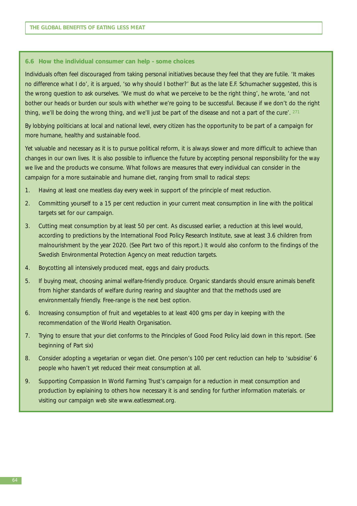#### **6.6 How the individual consumer can help - some choices**

Individuals often feel discouraged from taking personal initiatives because they feel that they are futile. 'It makes no difference what I do', it is argued, 'so why should I bother?' But as the late E.F. Schumacher suggested, this is the wrong question to ask ourselves. 'We must do what we perceive to be the right thing', he wrote, 'and not bother our heads or burden our souls with whether we're going to be successful. Because if we don't do the right thing, we'll be doing the wrong thing, and we'll just be part of the disease and not a part of the cure'. <sup>271</sup>

By lobbying politicians at local and national level, every citizen has the opportunity to be part of a campaign for more humane, healthy and sustainable food.

Yet valuable and necessary as it is to pursue political reform, it is always slower and more difficult to achieve than changes in our own lives. It is also possible to influence the future by accepting personal responsibility for the way we live and the products we consume. What follows are measures that every individual can consider in the campaign for a more sustainable and humane diet, ranging from small to radical steps:

- 1. Having at least one meatless day every week in support of the principle of meat reduction.
- 2. Committing yourself to a 15 per cent reduction in your current meat consumption in line with the political targets set for our campaign.
- 3. Cutting meat consumption by at least 50 per cent. As discussed earlier, a reduction at this level would, according to predictions by the International Food Policy Research Institute, save at least 3.6 children from malnourishment by the year 2020. (See Part two of this report.) It would also conform to the findings of the Swedish Environmental Protection Agency on meat reduction targets.
- 4. Boycotting all intensively produced meat, eggs and dairy products.
- 5. If buying meat, choosing animal welfare-friendly produce. Organic standards should ensure animals benefit from higher standards of welfare during rearing and slaughter and that the methods used are environmentally friendly. Free-range is the next best option.
- 6. Increasing consumption of fruit and vegetables to at least 400 gms per day in keeping with the recommendation of the World Health Organisation.
- 7. Trying to ensure that your diet conforms to the Principles of Good Food Policy laid down in this report. (See beginning of Part six)
- 8. Consider adopting a vegetarian or vegan diet. One person's 100 per cent reduction can help to 'subsidise' 6 people who haven't yet reduced their meat consumption at all.
- 9. Supporting Compassion In World Farming Trust's campaign for a reduction in meat consumption and production by explaining to others how necessary it is and sending for further information materials. or visiting our campaign web site www.eatlessmeat.org.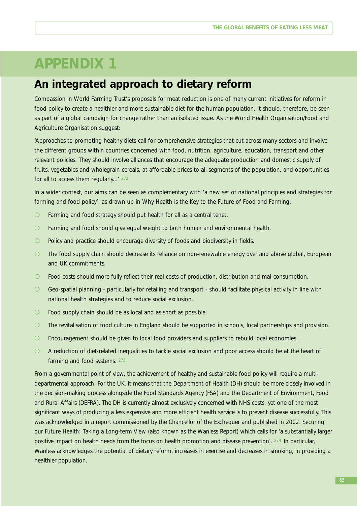# **APPENDIX 1**

# **An integrated approach to dietary reform**

Compassion in World Farming Trust's proposals for meat reduction is one of many current initiatives for reform in food policy to create a healthier and more sustainable diet for the human population. It should, therefore, be seen as part of a global campaign for change rather than an isolated issue. As the World Health Organisation/Food and Agriculture Organisation suggest:

'Approaches to promoting healthy diets call for comprehensive strategies that cut across many sectors and involve the different groups within countries concerned with food, nutrition, agriculture, education, transport and other relevant policies. They should involve alliances that encourage the adequate production and domestic supply of fruits, vegetables and wholegrain cereals, at affordable prices to all segments of the population, and opportunities for all to access them regularly...' 272

In a wider context, our aims can be seen as complementary with 'a new set of national principles and strategies for farming and food policy', as drawn up in *Why Health is the Key to the Future of Food and Farming*:

- ❍ Farming and food strategy should put health for all as a central tenet.
- ❍ Farming and food should give equal weight to both human and environmental health.
- ❍ Policy and practice should encourage diversity of foods and biodiversity in fields.
- ❍ The food supply chain should decrease its reliance on non-renewable energy over and above global, European and UK commitments.
- ❍ Food costs should more fully reflect their real costs of production, distribution and mal-consumption.
- ❍ Geo-spatial planning particularly for retailing and transport should facilitate physical activity in line with national health strategies and to reduce social exclusion.
- ◯ Food supply chain should be as local and as short as possible.
- ❍ The revitalisation of food culture in England should be supported in schools, local partnerships and provision.
- O Encouragement should be given to local food providers and suppliers to rebuild local economies.
- ❍ A reduction of diet-related inequalities to tackle social exclusion and poor access should be at the heart of farming and food systems. <sup>273</sup>

From a governmental point of view, the achievement of healthy and sustainable food policy will require a multidepartmental approach. For the UK, it means that the Department of Health (DH) should be more closely involved in the decision-making process alongside the Food Standards Agency (FSA) and the Department of Environment, Food and Rural Affairs (DEFRA). The DH is currently almost exclusively concerned with NHS costs, yet one of the most significant ways of producing a less expensive and more efficient health service is to prevent disease successfully. This was acknowledged in a report commissioned by the Chancellor of the Exchequer and published in 2002. *Securing our Future Health: Taking a Long-term View* (also known as the Wanless Report) which calls for 'a substantially larger positive impact on health needs from the focus on health promotion and disease prevention'. 274 In particular, Wanless acknowledges the potential of dietary reform, increases in exercise and decreases in smoking, in providing a healthier population.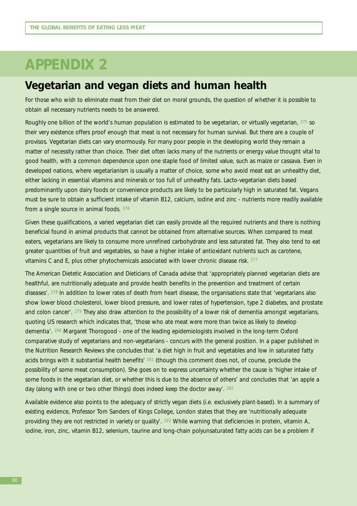# **APPENDIX 2**

# **Vegetarian and vegan diets and human health**

For those who wish to eliminate meat from their diet on moral grounds, the question of whether it is possible to obtain all necessary nutrients needs to be answered.

Roughly one billion of the world's human population is estimated to be vegetarian, or virtually vegetarian, 275 so their very existence offers proof enough that meat is not necessary for human survival. But there are a couple of provisos. Vegetarian diets can vary enormously. For many poor people in the developing world they remain a matter of necessity rather than choice. Their diet often lacks many of the nutrients or energy value thought vital to good health, with a common dependence upon one staple food of limited value, such as maize or cassava. Even in developed nations, where vegetarianism is usually a matter of choice, some who avoid meat eat an unhealthy diet, either lacking in essential vitamins and minerals or too full of unhealthy fats. Lacto-vegetarian diets based predominantly upon dairy foods or convenience products are likely to be particularly high in saturated fat. Vegans must be sure to obtain a sufficient intake of vitamin B12, calcium, iodine and zinc - nutrients more readily available from a single source in animal foods. 276

Given these qualifications, a varied vegetarian diet can easily provide all the required nutrients and there is nothing beneficial found in animal products that cannot be obtained from alternative sources. When compared to meat eaters, vegetarians are likely to consume more unrefined carbohydrate and less saturated fat. They also tend to eat greater quantities of fruit and vegetables, so have a higher intake of antioxidant nutrients such as carotene, vitamins C and E, plus other phytochemicals associated with lower chronic disease risk. 277

The American Dietetic Association and Dieticians of Canada advise that 'appropriately planned vegetarian diets are healthful, are nutritionally adequate and provide health benefits in the prevention and treatment of certain diseases'. 278 In addition to lower rates of death from heart disease, the organisations state that 'vegetarians also show lower blood cholesterol, lower blood pressure, and lower rates of hypertension, type 2 diabetes, and prostate and colon cancer'. 279 They also draw attention to the possibility of a lower risk of dementia amongst vegetarians, quoting US research which indicates that, 'those who ate meat were more than twice as likely to develop dementia'. 280 Margaret Thorogood - one of the leading epidemiologists involved in the long-term Oxford comparative study of vegetarians and non-vegetarians - concurs with the general position. In a paper published in the Nutrition Research Reviews she concludes that 'a diet high in fruit and vegetables and low in saturated fatty acids brings with it substantial health benefits' 281 (though this comment does not, of course, preclude the possibility of some meat consumption). She goes on to express uncertainty whether the cause is 'higher intake of some foods in the vegetarian diet, or whether this is due to the absence of others' and concludes that 'an apple a day (along with one or two other things) does indeed keep the doctor away'*.* <sup>282</sup>

Available evidence also points to the adequacy of strictly vegan diets (i.e. exclusively plant-based). In a summary of existing evidence, Professor Tom Sanders of Kings College, London states that they are 'nutritionally adequate providing they are not restricted in variety or quality'. 283 While warning that deficiencies in protein, vitamin A, iodine, iron, zinc, vitamin B12, selenium, taurine and long-chain polyunsaturated fatty acids can be a problem if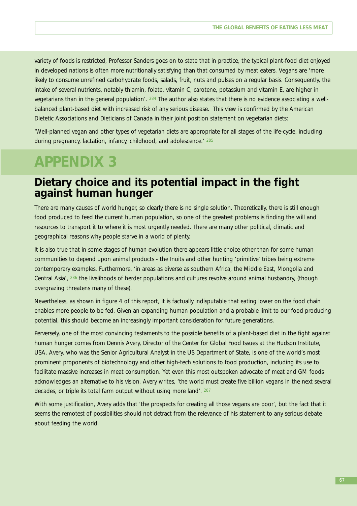variety of foods is restricted, Professor Sanders goes on to state that in practice, the typical plant-food diet enjoyed in developed nations is often more nutritionally satisfying than that consumed by meat eaters. Vegans are 'more likely to consume unrefined carbohydrate foods, salads, fruit, nuts and pulses on a regular basis. Consequently, the intake of several nutrients, notably thiamin, folate, vitamin C, carotene, potassium and vitamin E, are higher in vegetarians than in the general population'. 284 The author also states that there is no evidence associating a wellbalanced plant-based diet with increased risk of any serious disease. This view is confirmed by the American Dietetic Associations and Dieticians of Canada in their joint position statement on vegetarian diets:

'Well-planned vegan and other types of vegetarian diets are appropriate for all stages of the life-cycle, including during pregnancy, lactation, infancy, childhood, and adolescence.' <sup>285</sup>

# **APPENDIX 3**

# **Dietary choice and its potential impact in the fight against human hunger**

There are many causes of world hunger, so clearly there is no single solution. Theoretically, there is still enough food produced to feed the current human population, so one of the greatest problems is finding the will and resources to transport it to where it is most urgently needed. There are many other political, climatic and geographical reasons why people starve in a world of plenty.

It is also true that in some stages of human evolution there appears little choice other than for some human communities to depend upon animal products - the Inuits and other hunting 'primitive' tribes being extreme contemporary examples. Furthermore, 'in areas as diverse as southern Africa, the Middle East, Mongolia and Central Asia', 286 the livelihoods of herder populations and cultures revolve around animal husbandry, (though overgrazing threatens many of these).

Nevertheless, as shown in figure 4 of this report, it is factually indisputable that eating lower on the food chain enables more people to be fed. Given an expanding human population and a probable limit to our food producing potential, this should become an increasingly important consideration for future generations.

Perversely, one of the most convincing testaments to the possible benefits of a plant-based diet in the fight against human hunger comes from Dennis Avery, Director of the Center for Global Food Issues at the Hudson Institute, USA. Avery, who was the Senior Agricultural Analyst in the US Department of State, is one of the world's most prominent proponents of biotechnology and other high-tech solutions to food production, including its use to facilitate massive increases in meat consumption. Yet even this most outspoken advocate of meat and GM foods acknowledges an alternative to his vision. Avery writes, 'the world must create five billion vegans in the next several decades, or triple its total farm output without using more land'. <sup>287</sup>

With some justification, Avery adds that 'the prospects for creating all those vegans are poor', but the fact that it seems the remotest of possibilities should not detract from the relevance of his statement to any serious debate about feeding the world.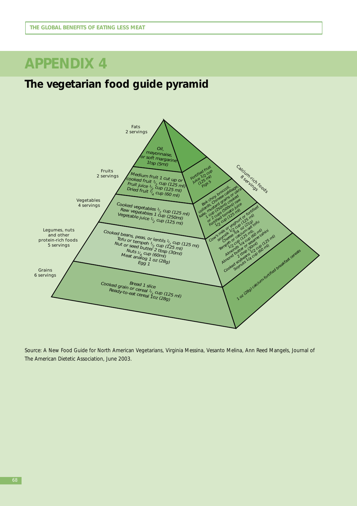# **APPENDIX 4**

# **The vegetarian food guide pyramid**



Source: *A New Food Guide for North American Vegetarians*, Virginia Messina, Vesanto Melina, Ann Reed Mangels, Journal of The American Dietetic Association, June 2003.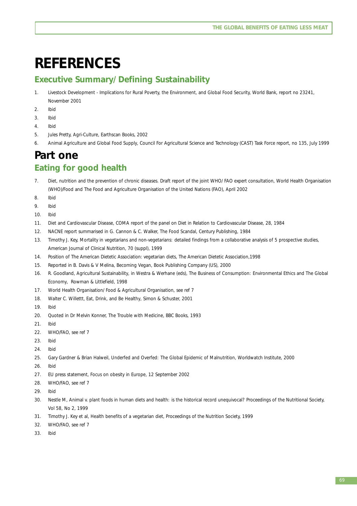# **REFERENCES**

# **Executive Summary/ Defining Sustainability**

- 1. *Livestock Development Implications for Rural Poverty, the Environment, and Global Food Security,* World Bank, report no 23241, November 2001
- 2. Ibid
- 3. Ibid
- 4. Ibid
- 5. Jules Pretty, *Agri-Culture*, Earthscan Books, 2002
- 6. *Animal Agriculture and Global Food Supply*, Council For Agricultural Science and Technology (CAST) Task Force report, no 135, July 1999

# **Part one**

# **Eating for good health**

- 7. *Diet, nutrition and the prevention of chronic diseases*. Draft report of the joint WHO/ FAO expert consultation, World Health Organisation (WHO)/Food and The Food and Agriculture Organisation of the United Nations (FAO), April 2002
- 8. Ibid
- 9. Ibid
- 10. Ibid
- 11. *Diet and Cardiovascular Disease*, COMA report of the panel on Diet in Relation to Cardiovascular Disease, 28, 1984
- 12. NACNE report summarised in G. Cannon & C. Walker, *The Food Scandal*, Century Publishing, 1984
- 13. Timothy J. Key, *Mortality in vegetarians and non-vegetarians: detailed findings from a collaborative analysis of 5 prospective studies*, American Journal of Clinical Nutrition, 70 (suppl), 1999
- 14. Position of The American Dietetic Association: vegetarian diets, The American Dietetic Association,1998
- 15. Reported in B. Davis & V Melina, *Becoming Vegan*, Book Publishing Company (US), 2000
- 16. R. Goodland, *Agricultural Sustainability*, in Westra & Werhane (eds), *The Business of Consumption: Environmental Ethics and The Global Economy*, Rowman & Littlefield, 1998
- 17. World Health Organisation/ Food & Agricultural Organisation, see ref 7
- 18. Walter C. Willettt, *Eat, Drink, and Be Healthy*, Simon & Schuster, 2001
- 19. Ibid
- 20. Quoted in Dr Melvin Konner, *The Trouble with Medicine*, BBC Books, 1993
- 21. Ibid
- 22. WHO/FAO, see ref 7
- 23. Ibid
- 24. Ibid
- 25. Gary Gardner & Brian Halweil, *Underfed and Overfed: The Global Epidemic of Malnutrition,* Worldwatch Institute, 2000
- 26. Ibid
- 27. EU press statement, *Focus on obesity in Europe,* 12 September 2002
- 28. WHO/FAO, see ref 7
- 29. Ibid
- 30. Nestle M, *Animal v. plant foods in human diets and health: is the historical record unequivocal?* Proceedings of the Nutritional Society, Vol 58, No 2, 1999
- 31. Timothy J. Key et al, *Health benefits of a vegetarian diet*, Proceedings of the Nutrition Society, 1999
- 32. WHO/FAO, see ref 7
- 33. Ibid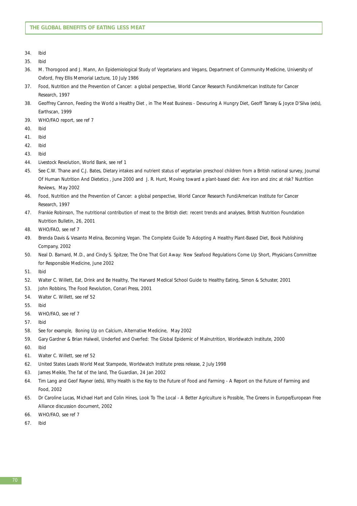- 34. Ibid
- 35. Ibid
- 36. M. Thorogood and J. Mann, *An Epidemiological Study of Vegetarians and Vegans*, Department of Community Medicine, University of Oxford, Frey Ellis Memorial Lecture, 10 July 1986
- 37. *Food, Nutrition and the Prevention of Cancer: a global perspective*, World Cancer Research Fund/American Institute for Cancer Research, 1997
- 38. Geoffrey Cannon, *Feeding the World a Healthy Diet ,* in *The Meat Business Devouring A Hungry Diet*, Geoff Tansey & Joyce D'Silva (eds), Earthscan, 1999
- 39. WHO/FAO report, see ref 7
- 40. Ibid
- 41. Ibid
- 42. Ibid
- 43. Ibid
- 44. Livestock Revolution, World Bank, see ref 1
- 45. See C.W. Thane and C.J. Bates, *Dietary intakes and nutrient status of vegetarian preschool children from a British national survey*, Journal Of Human Nutrition And Dietetics , June 2000 and J. R. Hunt, *Moving toward a plant-based diet: Are iron and zinc at risk?* Nutrition Reviews, May 2002
- 46. *Food, Nutrition and the Prevention of Cancer: a global perspective*, World Cancer Research Fund/American Institute for Cancer Research, 1997
- 47. Frankie Robinson, *The nutritional contribution of meat to the British diet: recent trends and analyses,* British Nutrition Foundation Nutrition Bulletin, 26, 2001
- 48. WHO/FAO, see ref 7
- 49. Brenda Davis & Vesanto Melina, *Becoming Vegan. The Complete Guide To Adopting A Healthy Plant-Based Diet,* Book Publishing Company, 2002
- 50. Neal D. Barnard, M.D., and Cindy S. Spitzer, *The One That Got Away: New Seafood Regulations Come Up Short*, Physicians Committee for Responsible Medicine, June 2002
- 51. Ibid
- 52. Walter C. Willett, *Eat, Drink and Be Healthy*, The Harvard Medical School Guide to Healthy Eating, Simon & Schuster, 2001
- 53. John Robbins, *The Food Revolution*, Conari Press, 2001
- 54. Walter C. Willett, see ref 52
- 55. Ibid
- 56. WHO/FAO, see ref 7
- 57. Ibid
- 58. See for example, *Boning Up on Calcium, Alternative Medicine*, May 2002
- 59. Gary Gardner & Brian Halweil, *Underfed and Overfed: The Global Epidemic of Malnutrition,* Worldwatch Institute, 2000
- 60. Ibid
- 61. Walter C. Willett, see ref 52
- 62. *United States Leads World Meat Stampede*, Worldwatch Institute press release, 2 July 1998
- 63. James Meikle, *The fat of the land*, The Guardian, 24 Jan 2002
- 64. Tim Lang and Geof Rayner (eds), Why Health is the Key to the Future of Food and Farming A Report on the Future of Farming and Food, 2002
- 65. Dr Caroline Lucas, Michael Hart and Colin Hines, *Look To The Local A Better Agriculture is Possible,* The Greens in Europe/European Free Alliance discussion document, 2002
- 66. WHO/FAO, see ref 7
- 67. Ibid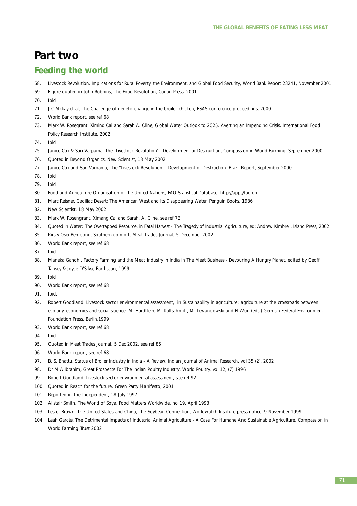## **Part two**

## **Feeding the world**

- 68. *Livestock Revolution. Implications for Rural Poverty, the Environment, and Global Food Security*, World Bank Report 23241, November 2001
- 69. Figure quoted in John Robbins, *The Food Revolution*, Conari Press, 2001
- 70. Ibid
- 71. J C Mckay et al, *The Challenge of genetic change in the broiler chicken,* BSAS conference proceedings, 2000
- 72. World Bank report, see ref 68
- 73. Mark W. Rosegrant, Ximing Cai and Sarah A. Cline, *Global Water Outlook to 2025. Averting an Impending Crisis*. International Food Policy Research Institute, 2002
- 74. Ibid
- 75. Janice Cox & Sari Varpama, *The 'Livestock Revolution' Development or Destruction,* Compassion in World Farming. September 2000.
- 76. Quoted in *Beyond Organics*, New Scientist, 18 May 2002
- 77. Janice Cox and Sari Varpama, *The "Livestock Revolution' Development or Destruction. Brazil Report*, September 2000
- 78. Ibid
- 79. Ibid
- 80. Food and Agriculture Organisation of the United Nations, *FAO Statistical Database,* http://apps/fao.org
- 81. Marc Reisner, Cadillac Desert: The American West and Its Disappearing Water, Penguin Books, 1986
- 82. New Scientist, 18 May 2002
- 83. Mark W. Rosengrant, Ximang Cai and Sarah. A. Cline, see ref 73
- 84. Quoted in Water: The Overtapped Resource, in Fatal Harvest The Tragedy of Industrial Agriculture, ed: Andrew Kimbrell, Island Press, 2002
- 85. Kirsty Osei-Bempong, *Southern comfort*, Meat Trades Journal, 5 December 2002
- 86. World Bank report, see ref 68
- 87. Ibid
- 88. Maneka Gandhi, *Factory Farming and the Meat Industry in India* in *The Meat Business Devouring A Hungry Planet*, edited by Geoff Tansey & Joyce D'Silva, Earthscan, 1999
- 89. Ibid
- 90. World Bank report, see ref 68
- 91. Ibid.
- 92. Robert Goodland, *Livestock sector environmental assessment*, in *Sustainability in agriculture: agriculture at the crossroads between ecology, economics and social science.* M. Hardtlein, M. Kaltschmitt, M. Lewandowski and H Wurl (eds.) German Federal Environment Foundation Press, Berlin,1999
- 93. World Bank report, see ref 68
- 94. Ibid
- 95. Quoted in Meat Trades Journal, 5 Dec 2002, see ref 85
- 96. World Bank report, see ref 68
- 97. B. S. Bhattu, *Status of Broiler Industry in India A Review,* Indian Journal of Animal Research, vol 35 (2), 2002
- 98. Dr M A Ibrahim, *Great Prospects For The Indian Poultry Industry*, World Poultry, vol 12, (7) 1996
- 99. Robert Goodland, *Livestock sector environmental assessment*, see ref 92
- 100. Quoted in *Reach for the future*, Green Party Manifesto, 2001
- 101. Reported in The Independent, 18 July 1997
- 102. Alistair Smith, The World of Soya, Food Matters Worldwide, no 19, April 1993
- 103. Lester Brown, *The United States and China,* The Soybean Connection, Worldwatch Institute press notice, 9 November 1999
- 104. Leah Garcés, *The Detrimental Impacts of Industrial Animal Agriculture A Case For Humane And Sustainable Agriculture*, Compassion in World Farming Trust 2002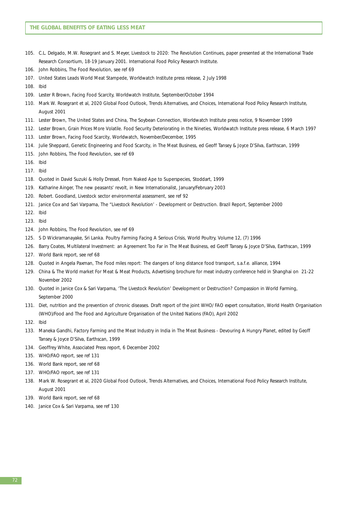- 105. C.L. Delgado, M.W. Rosegrant and S. Meyer, *Livestock to 2020: The Revolution Continues*, paper presented at the International Trade Research Consortium, 18-19 January 2001. International Food Policy Research Institute.
- 106. John Robbins, *The Food Revolution*, see ref 69
- 107. *United States Leads World Meat Stampede*, Worldwatch Institute press release, 2 July 1998
- 108. Ibid
- 109. Lester R Brown, *Facing Food Scarcity,* Worldwatch Institute, September/October 1994
- 110. Mark W. Rosegrant et al, *2020 Global Food Outlook, Trends Alternatives, and Choices,* International Food Policy Research Institute, August 2001
- 111. Lester Brown, *The United States and China,* The Soybean Connection, Worldwatch Institute press notice, 9 November 1999
- 112. Lester Brown, *Grain Prices More Volatile. Food Security Deteriorating in the Nineties,* Worldwatch Institute press release, 6 March 1997
- 113. Lester Brown, *Facing Food Scarcity*, Worldwatch, November/December, 1995
- 114. Julie Sheppard, *Genetic Engineering and Food Scarcity*, in *The Meat Business*, ed Geoff Tansey & Joyce D'Silva, Earthscan, 1999
- 115. John Robbins, *The Food Revolution*, see ref 69
- 116. Ibid
- 117. Ibid
- 118. Quoted in David Suzuki & Holly Dressel, *From Naked Ape to Superspecies*, Stoddart, 1999
- 119. Katharine Ainger, *The new peasants' revolt,* in New Internationalist, January/February 2003
- 120. Robert. Goodland, *Livestock sector environmental assessment*, see ref 92
- 121. Janice Cox and Sari Varpama, *The "Livestock Revolution' Development or Destruction. Brazil Report*, September 2000
- 122. Ibid
- 123. Ibid
- 124. John Robbins, *The Food Revolution*, see ref 69
- 125. S D Wickramanayake, *Sri Lanka. Poultry Farming Facing A Serious Crisis*, World Poultry, Volume 12, (7) 1996
- 126. Barry Coates, *Multilateral Investment: an Agreement Too Far in The Meat Business*, ed Geoff Tansey & Joyce D'Silva, Earthscan, 1999
- 127. World Bank report, see ref 68
- 128. Quoted in Angela Paxman, *The Food miles report: The dangers of long distance food transport*, s.a.f.e. alliance, 1994
- 129. *China & The World market For Meat & Meat Products,* Advertising brochure for meat industry conference held in Shanghai on 21-22 November 2002
- 130. Quoted in Janice Cox & Sari Varpama, *'The Livestock Revolution' Development or Destruction?* Compassion in World Farming, September 2000
- 131. *Diet, nutrition and the prevention of chronic diseases*. Draft report of the joint WHO/ FAO expert consultation, World Health Organisation (WHO)/Food and The Food and Agriculture Organisation of the United Nations (FAO), April 2002
- 132. Ibid
- 133. Maneka Gandhi, *Factory Farming and the Meat Industry in India* in *The Meat Business Devouring A Hungry Planet*, edited by Geoff Tansey & Joyce D'Silva, Earthscan, 1999
- 134. Geoffrey White, Associated Press report, 6 December 2002
- 135. WHO/FAO report, see ref 131
- 136. World Bank report, see ref 68
- 137. WHO/FAO report, see ref 131
- 138. Mark W. Rosegrant et al, *2020 Global Food Outlook, Trends Alternatives, and Choices,* International Food Policy Research Institute, August 2001
- 139. World Bank report, see ref 68
- 140. Janice Cox & Sari Varpama, see ref 130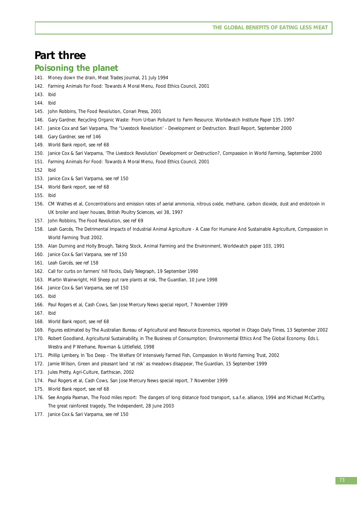## **Part three**

#### **Poisoning the planet**

- 141. *Money down the drain,* Meat Trades Journal, 21 July 1994
- 142. *Farming Animals For Food: Towards A Moral Menu*, Food Ethics Council, 2001
- 143. Ibid
- 144. Ibid
- 145. John Robbins, *The Food Revolution*, Conari Press, 2001
- 146. Gary Gardner, *Recycling Organic Waste: From Urban Pollutant to Farm Resource.* Worldwatch Institute Paper 135. 1997
- 147. Janice Cox and Sari Varpama, *The "Livestock Revolution' Development or Destruction. Brazil Report*, September 2000
- 148. Gary Gardner, see ref 146
- 149. World Bank report, see ref 68
- 150. Janice Cox & Sari Varpama, *'The Livestock Revolution' Development or Destruction?*, Compassion in World Farming, September 2000
- 151. *Farming Animals For Food: Towards A Moral Menu*, Food Ethics Council, 2001
- 152 Ibid
- 153. Janice Cox & Sari Varpama, see ref 150
- 154. World Bank report, see ref 68
- 155. Ibid
- 156. CM Wathes et al, *Concentrations and emission rates of aerial ammonia, nitrous oxide, methane, carbon dioxide, dust and endotoxin in UK broiler and layer houses*, British Poultry Sciences, vol 38, 1997
- 157. John Robbins, The Food Revolution, see ref 69
- 158. Leah Garcés, *The Detrimental Impacts of Industrial Animal Agriculture A Case For Humane And Sustainable Agriculture*, Compassion in World Farming Trust 2002.
- 159. Alan Durning and Holly Brough, *Taking Stock, Animal Farming and the Environment,* Worldwatch paper 103, 1991
- 160. Janice Cox & Sari Varpana, see ref 150
- 161. Leah Garcés, see ref 158
- 162. *Call for curbs on farmers' hill flocks*, Daily Telegraph, 19 September 1990
- 163. Martin Wainwright, *Hill Sheep put rare plants at risk*, The Guardian, 10 June 1998
- 164. Janice Cox & Sari Varpama, see ref 150
- 165. Ibid
- 166. Paul Rogers et al, *Cash Cows,* San Jose Mercury News special report, 7 November 1999
- 167. Ibid
- 168. World Bank report, see ref 68
- 169. Figures estimated by The Australian Bureau of Agricultural and Resource Economics, reported in Otago Daily Times, 13 September 2002
- 170. Robert Goodland, *Agricultural Sustainability, in The Business of Consumption; Environmental Ethics And The Global Economy*. Eds L Westra and P Werhane, Rowman & Littlefield, 1998
- 171. Phillip Lymbery, *In Too Deep The Welfare Of Intensively Farmed Fish*, Compassion In World Farming Trust, 2002
- 172. Jamie Wilson, *Green and pleasant land 'at risk' as meadows disappear*, The Guardian, 15 September 1999
- 173. Jules Pretty, *Agri-Culture*, Earthscan, 2002
- 174. Paul Rogers et al, *Cash Cows,* San Jose Mercury News special report, 7 November 1999
- 175. World Bank report, see ref 68
- 176. See Angela Paxman, *The Food miles report: The dangers of long distance food transport*, s.a.f.e. alliance, 1994 and Michael McCarthy, *The great rainforest tragedy*, The Independent, 28 June 2003
- 177. Janice Cox & Sari Varpama, see ref 150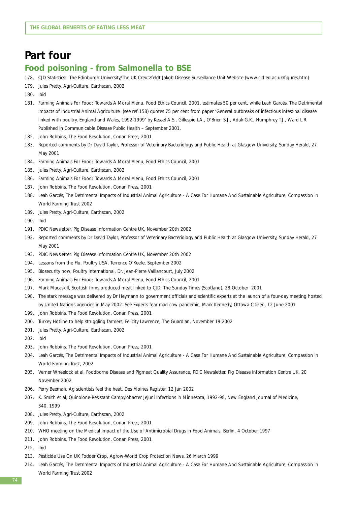## **Part four**

#### **Food poisoning - from** *Salmonella* **to BSE**

- 178. CJD Statistics: The Edinburgh University/The UK Creutzfeldt Jakob Disease Surveillance Unit Website (www.cjd.ed.ac.uk/figures.htm)
- 179. Jules Pretty, *Agri-Culture*, Earthscan, 2002
- 180. Ibid
- 181. *Farming Animals For Food: Towards A Moral Menu*, Food Ethics Council, 2001, estimates 50 per cent, while Leah Garcés, *The Detrimental Impacts of Industrial Animal Agriculture* (see ref 158) quotes 75 per cent from paper 'General outbreaks of infectious intestinal disease linked with poultry, England and Wales, 1992-1999' by Kessel A.S., Gillespie I.A., O'Brien S.J., Adak G.K., Humphrey T.J., Ward L.R. Published in Communicable Disease Public Health – September 2001.
- 182. John Robbins, *The Food Revolution*, Conari Press, 2001
- 183. Reported comments by Dr David Taylor, Professor of Veterinary Bacteriology and Public Health at Glasgow University, Sunday Herald, 27 May 2001
- 184. *Farming Animals For Food: Towards A Moral Menu*, Food Ethics Council, 2001
- 185. Jules Pretty, *Agri-Culture*, Earthscan, 2002
- 186. *Farming Animals For Food: Towards A Moral Menu*, Food Ethics Council, 2001
- 187. John Robbins, *The Food Revolution*, Conari Press, 2001
- 188. Leah Garcés, *The Detrimental Impacts of Industrial Animal Agriculture A Case For Humane And Sustainable Agriculture*, Compassion in World Farming Trust 2002
- 189. Jules Pretty, *Agri-Culture*, Earthscan, 2002
- 190. Ibid
- 191. PDIC Newsletter. Pig Disease Information Centre UK, November 20th 2002
- 192. Reported comments by Dr David Taylor, Professor of Veterinary Bacteriology and Public Health at Glasgow University, Sunday Herald, 27 May 2001
- 193. PDIC Newsletter. Pig Disease Information Centre UK, November 20th 2002
- 194. *Lessons from the Flu*, Poultry USA, Terrence O'Keefe, September 2002
- 195. *Biosecurity now,* Poultry International, Dr. Jean-Pierre Vaillancourt, July 2002
- 196. *Farming Animals For Food: Towards A Moral Menu*, Food Ethics Council, 2001
- 197. Mark Macaskill, *Scottish firms produced meat linked to CJD,* The Sunday Times (Scotland), 28 October 2001
- 198. The stark message was delivered by Dr Heymann to government officials and scientific experts at the launch of a four-day meeting hosted by United Nations agencies in May 2002. See *Experts fear mad cow pandemic*, Mark Kennedy, Ottowa Citizen, 12 June 2001
- 199. John Robbins, *The Food Revolution*, Conari Press, 2001
- 200. *Turkey Hotline to help struggling farmers*, Felicity Lawrence, The Guardian, November 19 2002
- 201. Jules Pretty, *Agri-Culture,* Earthscan, 2002
- 202. Ibid
- 203. John Robbins, *The Food Revolution*, Conari Press, 2001
- 204. Leah Garcés, *The Detrimental Impacts of Industrial Animal Agriculture A Case For Humane And Sustainable Agriculture*, Compassion in World Farming Trust, 2002
- 205. Verner Wheelock et al, *Foodborne Disease and Pigmeat Quality Assurance*, PDIC Newsletter. Pig Disease Information Centre UK, 20 November 2002
- 206. Perry Beeman, *Ag scientists feel the heat*, Des Moines Register, 12 Jan 2002
- 207. K. Smith et al, *Quinolone-Resistant Campylobacter Jejuni Infections in Minnesota, 1992-98,* New England Journal of Medicine, 340, 1999
- 208. Jules Pretty, *Agri-Culture,* Earthscan, 2002
- 209. John Robbins, *The Food Revolution*, Conari Press, 2001
- 210. WHO meeting on *the Medical Impact of the Use of Antimicrobial Drugs in Food Animals*, Berlin, 4 October 1997
- 211. John Robbins, *The Food Revolution,* Conari Press, 2001
- 212. Ibid
- 213. *Pesticide Use On UK Fodder Crop*, Agrow-World Crop Protection News, 26 March 1999
- 214. Leah Garcés, *The Detrimental Impacts of Industrial Animal Agriculture A Case For Humane And Sustainable Agriculture*, Compassion in World Farming Trust 2002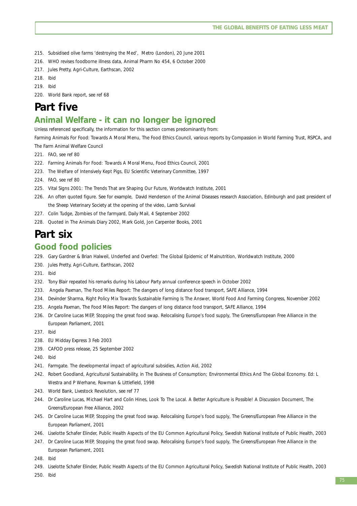- 215. *Subsidised olive farms 'destroying the Med',* Metro (London), 20 June 2001
- 216. *WHO revises foodborne illness data,* Animal Pharm No 454, 6 October 2000
- 217. Jules Pretty, *Agri-Culture,* Earthscan, 2002
- 218. Ibid
- 219. Ibid

220. World Bank report, see ref 68

## **Part five**

### **Animal Welfare - it can no longer be ignored**

Unless referenced specifically, the information for this section comes predominantly from:

Farming Animals For Food: Towards A Moral Menu, The Food Ethics Council, various reports by Compassion in World Farming Trust, RSPCA, and The Farm Animal Welfare Council

- 221. FAO, see ref 80
- 222. *Farming Animals For Food: Towards A Moral Menu*, Food Ethics Council, 2001
- 223. *The Welfare of Intensively Kept Pigs,* EU Scientific Veterinary Committee, 1997
- 224. FAO, see ref 80
- 225. *Vital Signs 2001: The Trends That are Shaping Our Future*, Worldwatch Institute, 2001
- 226. An often quoted figure. See for example, David Henderson of the Animal Diseases research Association, Edinburgh and past president of the Sheep Veterinary Society at the opening of the video, Lamb Survival
- 227. Colin Tudge, *Zombies of the farmyard,* Daily Mail, 4 September 2002
- 228. Quoted in *The Animals Diary 2002,* Mark Gold, Jon Carpenter Books, 2001

## **Part six**

#### **Good food policies**

- 229. Gary Gardner & Brian Halweil, *Underfed and Overfed: The Global Epidemic of Malnutrition,* Worldwatch Institute, 2000
- 230. Jules Pretty, *Agri-Culture,* Earthscan, 2002
- 231. Ibid
- 232. Tony Blair repeated his remarks during his Labour Party annual conference speech in October 2002
- 233. Angela Paxman, The Food Miles Report: The dangers of long distance food transport, SAFE Alliance, 1994
- 234. Devinder Sharma, *Right Policy Mix Towards Sustainable Farming Is The Answer*, World Food And Farming Congress, November 2002
- 235. Angela Paxman, The Food Miles Report: The dangers of long distance food transport, SAFE Alliance, 1994
- 236. Dr Caroline Lucas MEP, *Stopping the great food swap. Relocalising Europe's food supply*, The Greens/European Free Alliance in the European Parliament, 2001
- 237. Ibid
- 238. EU Midday Express 3 Feb 2003
- 239. CAFOD press release, 25 September 2002
- 240. Ibid
- 241. Farmgate. *The developmental impact of agricultural subsidies*, Action Aid, 2002
- 242. Robert Goodland, *Agricultural Sustainability, in The Business of Consumption; Environmental Ethics And The Global Economy*. Ed: L Westra and P Werhane, Rowman & Littlefield, 1998
- 243. World Bank, *Livestock Revolution*, see ref 77
- 244. Dr Caroline Lucas, Michael Hart and Colin Hines, *Look To The Local. A Better Agriculture is Possible! A Discussion Document*, The Greens/European Free Alliance, 2002
- 245. Dr Caroline Lucas MEP, *Stopping the great food swap. Relocalising Europe's food supply*, The Greens/European Free Alliance in the European Parliament, 2001
- 246. Liselotte Schafer Elinder, *Public Health Aspects of the EU Common Agricultural Policy*, Swedish National Institute of Public Health, 2003
- 247. Dr Caroline Lucas MEP, *Stopping the great food swap. Relocalising Europe's food supply*, The Greens/European Free Alliance in the European Parliament, 2001
- 248. Ibid
- 249. Liselotte Schafer Elinder, *Public Health Aspects of the EU Common Agricultural Policy*, Swedish National Institute of Public Health, 2003

250. Ibid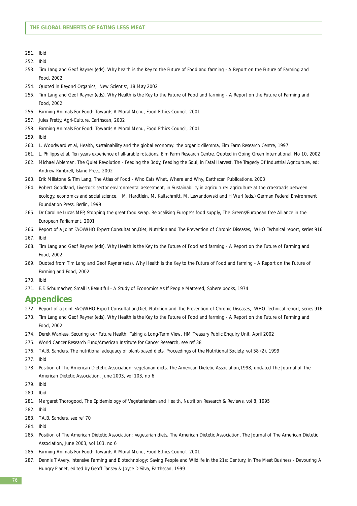- 251. Ibid
- 252. Ibid
- 253. Tim Lang and Geof Rayner (eds), *Why health is the Key to the Future of Food and farming A Report on the Future of Farming and Food, 2002*
- 254. Quoted in *Beyond Organics*, New Scientist, 18 May 2002
- 255. Tim Lang and Geof Rayner (eds), *Why Health is the Key to the Future of Food and farming A Report on the Future of Farming and Food, 2002*
- 256. *Farming Animals For Food: Towards A Moral Menu*, Food Ethics Council, 2001
- 257. Jules Pretty, *Agri-Culture,* Earthscan, 2002
- 258. *Farming Animals For Food: Towards A Moral Menu*, Food Ethics Council, 2001
- 259. Ibid
- 260. L. Woodward et al, *Health, sustainability and the global economy: the organic dilemma*, Elm Farm Research Centre, 1997
- 261. L. Philipps et al, *Ten years experience of all-arable rotations*, Elm Farm Research Centre. Quoted in Going Green International, No 10, 2002
- 262. Michael Ableman, *The Quiet Revolution Feeding the Body, Feeding the Soul*, in *Fatal Harvest. The Tragedy Of Industrial Agriculture*, ed: Andrew Kimbrell, Island Press, 2002
- 263. Erik Millstone & Tim Lang, *The Atlas of Food Who Eats What, Where and Why*, Earthscan Publications, 2003
- 264. Robert Goodland, *Livestock sector environmental assessment*, in *Sustainability in agriculture: agriculture at the crossroads between ecology, economics and social science.* M. Hardtlein, M. Kaltschmitt, M. Lewandowski and H Wurl (eds.) German Federal Environment Foundation Press, Berlin, 1999
- 265. Dr Caroline Lucas MEP, *Stopping the great food swap. Relocalising Europe's food supply*, The Greens/European free Alliance in the European Parliament, 2001
- 266. Report of a Joint FAO/WHO Expert Consultation,*Diet, Nutrition and The Prevention of Chronic Diseases*, WHO Technical report, series 916
- 267. Ibid
- 268. Tim Lang and Geof Rayner (eds), *Why Health is the Key to the Future of Food and farming A Report on the Future of Farming and Food, 2002*
- 269. Quoted from Tim Lang and Geof Rayner (eds), *Why Health is the Key to the Future of Food and farming A Report on the Future of Farming and Food, 2002*
- 270. Ibid
- 271. E.F. Schumacher, *Small is Beautiful A Study of Economics As If People Mattered*, Sphere books, 1974

#### **Appendices**

- 272. Report of a Joint FAO/WHO Expert Consultation,*Diet, Nutrition and The Prevention of Chronic Diseases*, WHO Technical report, series 916
- 273. Tim Lang and Geof Rayner (eds), *Why Health is the Key to the Future of Food and farming A Report on the Future of Farming and Food, 2002*
- 274. Derek Wanless, *Securing our Future Health: Taking a Long-Term View*, HM Treasury Public Enquiry Unit, April 2002
- 275. World Cancer Research Fund/American Institute for Cancer Research, see ref 38
- 276. T.A.B. Sanders, *The nutritional adequacy of plant-based diets,* Proceedings of the Nutritional Society, vol 58 (2), 1999
- 277. Ibid
- 278. Position of The American Dietetic Association: vegetarian diets, The American Dietetic Association,1998, updated The Journal of The American Dietetic Association, June 2003, vol 103, no 6
- 279. Ibid
- 280. Ibid
- 281. Margaret Thorogood, *The Epidemiology of Vegetarianism and Health,* Nutrition Research & Reviews, vol 8, 1995
- 282. Ibid
- 283. T.A.B. Sanders, see ref 70
- 284. Ibid
- 285. *Position of The American Dietetic Association: vegetarian diets,* The American Dietetic Association, The Journal of The American Dietetic Association, June 2003, vol 103, no 6
- 286. *Farming Animals For Food: Towards A Moral Menu*, Food Ethics Council, 2001
- 287. Dennis T Avery, *Intensive Farming and Biotechnology: Saving People and Wildlife in the 21st Century,* in *The Meat Business Devouring A Hungry Planet*, edited by Geoff Tansey & Joyce D'Silva, Earthscan, 1999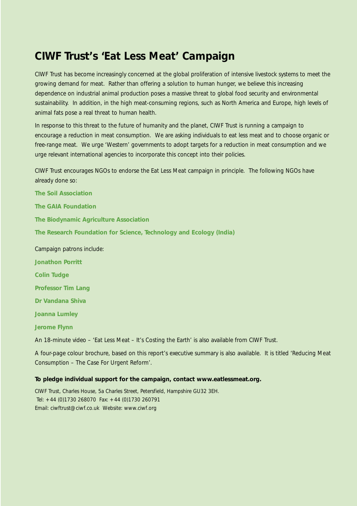## **CIWF Trust's '***Eat Less Meat***' Campaign**

CIWF Trust has become increasingly concerned at the global proliferation of intensive livestock systems to meet the growing demand for meat. Rather than offering a solution to human hunger, we believe this increasing dependence on industrial animal production poses a massive threat to global food security and environmental sustainability. In addition, in the high meat-consuming regions, such as North America and Europe, high levels of animal fats pose a real threat to human health.

In response to this threat to the future of humanity and the planet, CIWF Trust is running a campaign to encourage a reduction in meat consumption. We are asking individuals to eat less meat and to choose organic or free-range meat. We urge 'Western' governments to adopt targets for a reduction in meat consumption and we urge relevant international agencies to incorporate this concept into their policies.

CIWF Trust encourages NGOs to endorse the *Eat Less Meat* campaign in principle. The following NGOs have already done so:

**The Soil Association The GAIA Foundation The Biodynamic Agriculture Association The Research Foundation for Science, Technology and Ecology (India)** Campaign patrons include: **Jonathon Porritt Colin Tudge Professor Tim Lang Dr Vandana Shiva Joanna Lumley Jerome Flynn** An 18-minute video – '*Eat Less Meat – It's Costing the Earth*' is also available from CIWF Trust.

A four-page colour brochure, based on this report's executive summary is also available. It is titled '*Reducing Meat Consumption – The Case For Urgent Reform*'.

#### **To pledge individual support for the campaign, contact www.eatlessmeat.org.**

CIWF Trust, Charles House, 5a Charles Street, Petersfield, Hampshire GU32 3EH. Tel: +44 (0)1730 268070 Fax: +44 (0)1730 260791 Email: ciwftrust@ciwf.co.uk Website: www.ciwf.org